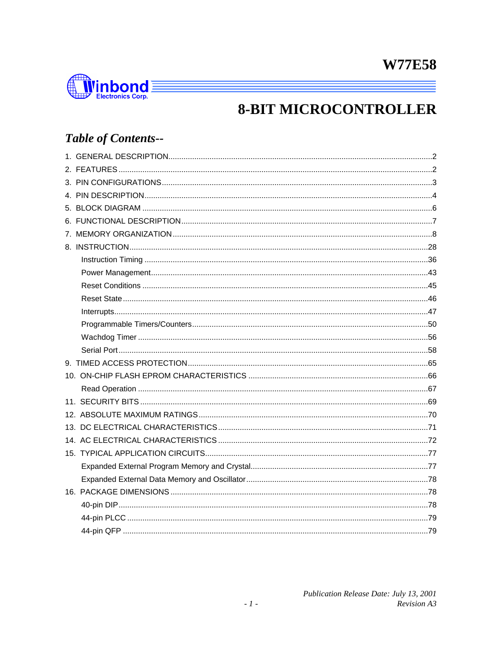

## **8-BIT MICROCONTROLLER**

## **Table of Contents--**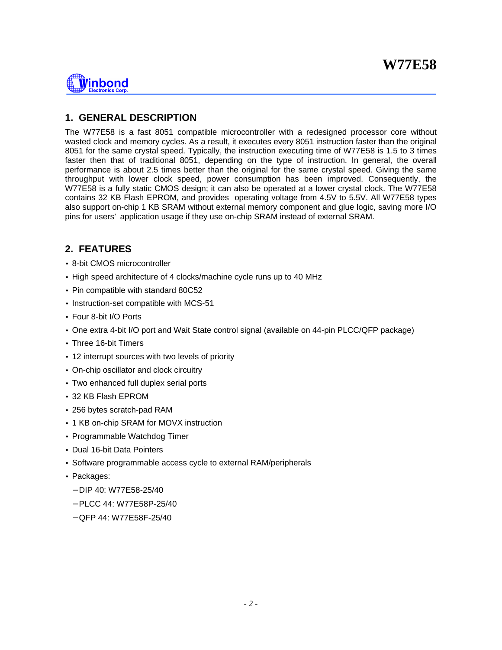

## **1. GENERAL DESCRIPTION**

The W77E58 is a fast 8051 compatible microcontroller with a redesigned processor core without wasted clock and memory cycles. As a result, it executes every 8051 instruction faster than the original 8051 for the same crystal speed. Typically, the instruction executing time of W77E58 is 1.5 to 3 times faster then that of traditional 8051, depending on the type of instruction. In general, the overall performance is about 2.5 times better than the original for the same crystal speed. Giving the same throughput with lower clock speed, power consumption has been improved. Consequently, the W77E58 is a fully static CMOS design; it can also be operated at a lower crystal clock. The W77E58 contains 32 KB Flash EPROM, and provides operating voltage from 4.5V to 5.5V. All W77E58 types also support on-chip 1 KB SRAM without external memory component and glue logic, saving more I/O pins for users' application usage if they use on-chip SRAM instead of external SRAM.

## **2. FEATURES**

- 8-bit CMOS microcontroller
- High speed architecture of 4 clocks/machine cycle runs up to 40 MHz
- Pin compatible with standard 80C52
- Instruction-set compatible with MCS-51
- Four 8-bit I/O Ports
- One extra 4-bit I/O port and Wait State control signal (available on 44-pin PLCC/QFP package)
- Three 16-bit Timers
- 12 interrupt sources with two levels of priority
- On-chip oscillator and clock circuitry
- Two enhanced full duplex serial ports
- 32 KB Flash EPROM
- 256 bytes scratch-pad RAM
- 1 KB on-chip SRAM for MOVX instruction
- Programmable Watchdog Timer
- Dual 16-bit Data Pointers
- Software programmable access cycle to external RAM/peripherals
- Packages:
	- − DIP 40: W77E58-25/40
	- − PLCC 44: W77E58P-25/40
	- − QFP 44: W77E58F-25/40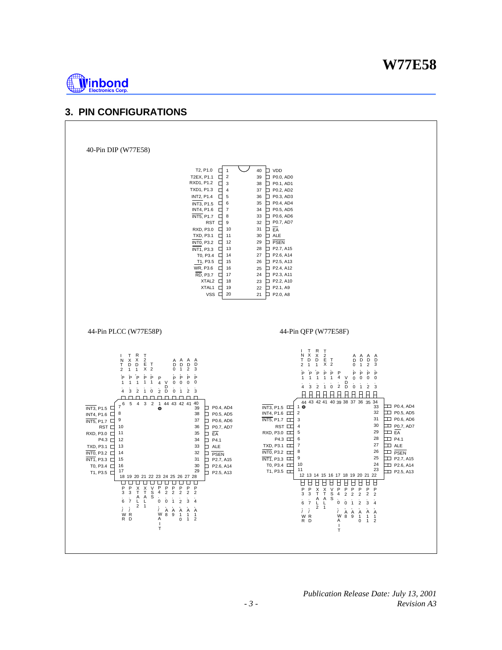

## **3. PIN CONFIGURATIONS**

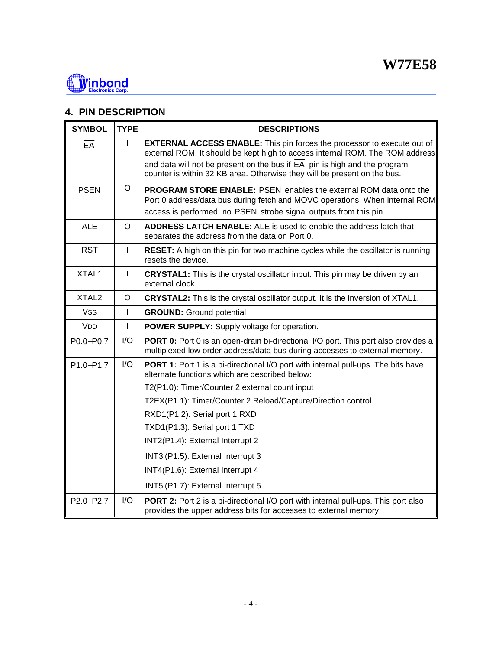

## **4. PIN DESCRIPTION**

| <b>SYMBOL</b>                      | <b>TYPE</b>  | <b>DESCRIPTIONS</b>                                                                                                                                                                                                          |
|------------------------------------|--------------|------------------------------------------------------------------------------------------------------------------------------------------------------------------------------------------------------------------------------|
| $E\overline{A}$                    |              | <b>EXTERNAL ACCESS ENABLE:</b> This pin forces the processor to execute out of<br>external ROM. It should be kept high to access internal ROM. The ROM address                                                               |
|                                    |              | and data will not be present on the bus if $\overline{EA}$ pin is high and the program<br>counter is within 32 KB area. Otherwise they will be present on the bus.                                                           |
| <b>PSEN</b>                        | O            | <b>PROGRAM STORE ENABLE: PSEN enables the external ROM data onto the</b><br>Port 0 address/data bus during fetch and MOVC operations. When internal ROM<br>access is performed, no PSEN strobe signal outputs from this pin. |
| <b>ALE</b>                         | $\Omega$     | <b>ADDRESS LATCH ENABLE:</b> ALE is used to enable the address latch that<br>separates the address from the data on Port 0.                                                                                                  |
| <b>RST</b>                         | J.           | RESET: A high on this pin for two machine cycles while the oscillator is running<br>resets the device.                                                                                                                       |
| XTAL1                              | $\mathbf{I}$ | <b>CRYSTAL1:</b> This is the crystal oscillator input. This pin may be driven by an<br>external clock.                                                                                                                       |
| XTAL <sub>2</sub>                  | O            | <b>CRYSTAL2:</b> This is the crystal oscillator output. It is the inversion of XTAL1.                                                                                                                                        |
| Vss                                | $\mathbf{I}$ | <b>GROUND:</b> Ground potential                                                                                                                                                                                              |
| <b>VDD</b>                         | $\mathbf{I}$ | POWER SUPPLY: Supply voltage for operation.                                                                                                                                                                                  |
| P0.0-P0.7                          | I/O          | <b>PORT 0:</b> Port 0 is an open-drain bi-directional I/O port. This port also provides a<br>multiplexed low order address/data bus during accesses to external memory.                                                      |
| P1.0-P1.7                          | I/O          | PORT 1: Port 1 is a bi-directional I/O port with internal pull-ups. The bits have<br>alternate functions which are described below:                                                                                          |
|                                    |              | T2(P1.0): Timer/Counter 2 external count input                                                                                                                                                                               |
|                                    |              | T2EX(P1.1): Timer/Counter 2 Reload/Capture/Direction control                                                                                                                                                                 |
|                                    |              | RXD1(P1.2): Serial port 1 RXD                                                                                                                                                                                                |
|                                    |              | TXD1(P1.3): Serial port 1 TXD                                                                                                                                                                                                |
|                                    |              | INT2(P1.4): External Interrupt 2                                                                                                                                                                                             |
|                                    |              | INT3 (P1.5): External Interrupt 3                                                                                                                                                                                            |
|                                    |              | INT4(P1.6): External Interrupt 4                                                                                                                                                                                             |
|                                    |              | INT5 (P1.7): External Interrupt 5                                                                                                                                                                                            |
| P <sub>2.0</sub> -P <sub>2.7</sub> | 1/O          | PORT 2: Port 2 is a bi-directional I/O port with internal pull-ups. This port also<br>provides the upper address bits for accesses to external memory.                                                                       |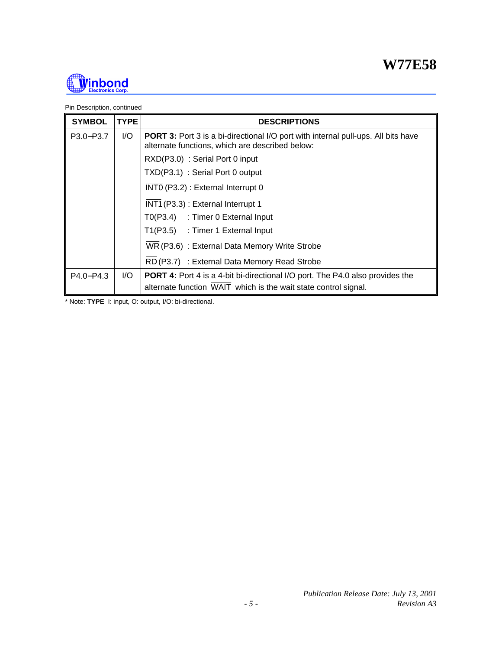

Pin Description, continued

| <b>SYMBOL</b> | <b>TYPE</b> | <b>DESCRIPTIONS</b>                                                                                                                         |
|---------------|-------------|---------------------------------------------------------------------------------------------------------------------------------------------|
| P3.0-P3.7     | I/O         | <b>PORT 3:</b> Port 3 is a bi-directional I/O port with internal pull-ups. All bits have<br>alternate functions, which are described below: |
|               |             | RXD(P3.0): Serial Port 0 input                                                                                                              |
|               |             | TXD(P3.1) : Serial Port 0 output                                                                                                            |
|               |             | INTO (P3.2) : External Interrupt 0                                                                                                          |
|               |             | INT1 (P3.3) : External Interrupt 1                                                                                                          |
|               |             | T0(P3.4) : Timer 0 External Input                                                                                                           |
|               |             | T1(P3.5) : Timer 1 External Input                                                                                                           |
|               |             | WR (P3.6) : External Data Memory Write Strobe                                                                                               |
|               |             | RD (P3.7) : External Data Memory Read Strobe                                                                                                |
| $P4.0 - P4.3$ | I/O         | <b>PORT 4:</b> Port 4 is a 4-bit bi-directional I/O port. The P4.0 also provides the                                                        |
|               |             | alternate function WAIT which is the wait state control signal.                                                                             |

\* Note: **TYPE** I: input, O: output, I/O: bi-directional.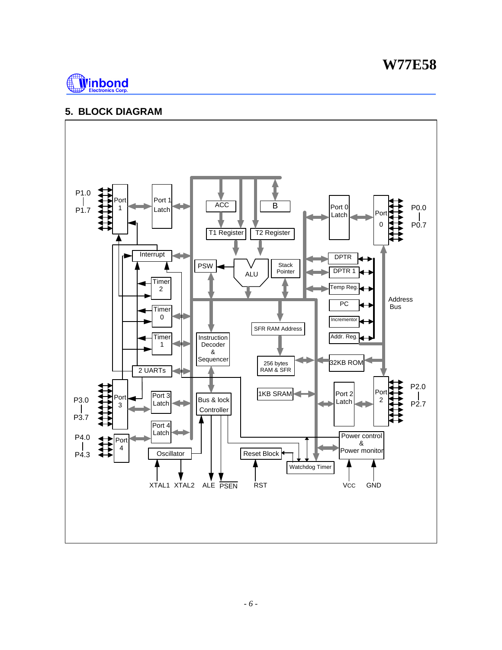## **W77E58**



## **5. BLOCK DIAGRAM**

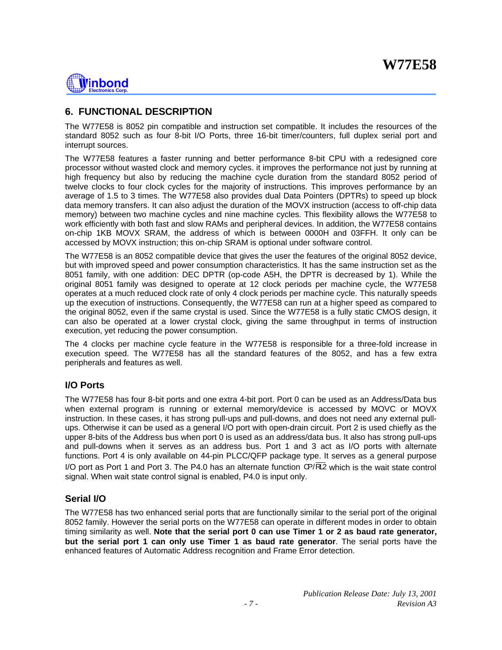# **Ninbond**

## **6. FUNCTIONAL DESCRIPTION**

The W77E58 is 8052 pin compatible and instruction set compatible. It includes the resources of the standard 8052 such as four 8-bit I/O Ports, three 16-bit timer/counters, full duplex serial port and interrupt sources.

The W77E58 features a faster running and better performance 8-bit CPU with a redesigned core processor without wasted clock and memory cycles. it improves the performance not just by running at high frequency but also by reducing the machine cycle duration from the standard 8052 period of twelve clocks to four clock cycles for the majority of instructions. This improves performance by an average of 1.5 to 3 times. The W77E58 also provides dual Data Pointers (DPTRs) to speed up block data memory transfers. It can also adjust the duration of the MOVX instruction (access to off-chip data memory) between two machine cycles and nine machine cycles. This flexibility allows the W77E58 to work efficiently with both fast and slow RAMs and peripheral devices. In addition, the W77E58 contains on-chip 1KB MOVX SRAM, the address of which is between 0000H and 03FFH. It only can be accessed by MOVX instruction; this on-chip SRAM is optional under software control.

The W77E58 is an 8052 compatible device that gives the user the features of the original 8052 device, but with improved speed and power consumption characteristics. It has the same instruction set as the 8051 family, with one addition: DEC DPTR (op-code A5H, the DPTR is decreased by 1). While the original 8051 family was designed to operate at 12 clock periods per machine cycle, the W77E58 operates at a much reduced clock rate of only 4 clock periods per machine cycle. This naturally speeds up the execution of instructions. Consequently, the W77E58 can run at a higher speed as compared to the original 8052, even if the same crystal is used. Since the W77E58 is a fully static CMOS design, it can also be operated at a lower crystal clock, giving the same throughput in terms of instruction execution, yet reducing the power consumption.

The 4 clocks per machine cycle feature in the W77E58 is responsible for a three-fold increase in execution speed. The W77E58 has all the standard features of the 8052, and has a few extra peripherals and features as well.

## **I/O Ports**

The W77E58 has four 8-bit ports and one extra 4-bit port. Port 0 can be used as an Address/Data bus when external program is running or external memory/device is accessed by MOVC or MOVX instruction. In these cases, it has strong pull-ups and pull-downs, and does not need any external pullups. Otherwise it can be used as a general I/O port with open-drain circuit. Port 2 is used chiefly as the upper 8-bits of the Address bus when port 0 is used as an address/data bus. It also has strong pull-ups and pull-downs when it serves as an address bus. Port 1 and 3 act as I/O ports with alternate functions. Port 4 is only available on 44-pin PLCC/QFP package type. It serves as a general purpose I/O port as Port 1 and Port 3. The P4.0 has an alternate function CP/RL2 which is the wait state control signal. When wait state control signal is enabled, P4.0 is input only.

## **Serial I/O**

The W77E58 has two enhanced serial ports that are functionally similar to the serial port of the original 8052 family. However the serial ports on the W77E58 can operate in different modes in order to obtain timing similarity as well. **Note that the serial port 0 can use Timer 1 or 2 as baud rate generator, but the serial port 1 can only use Timer 1 as baud rate generator**. The serial ports have the enhanced features of Automatic Address recognition and Frame Error detection.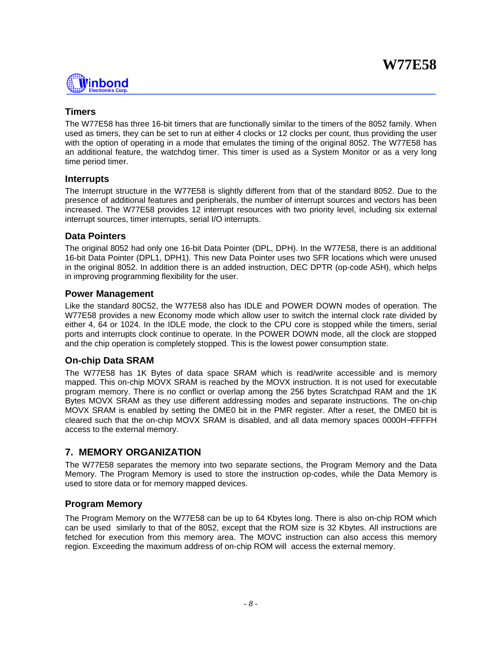

### **Timers**

The W77E58 has three 16-bit timers that are functionally similar to the timers of the 8052 family. When used as timers, they can be set to run at either 4 clocks or 12 clocks per count, thus providing the user with the option of operating in a mode that emulates the timing of the original 8052. The W77E58 has an additional feature, the watchdog timer. This timer is used as a System Monitor or as a very long time period timer.

#### **Interrupts**

The Interrupt structure in the W77E58 is slightly different from that of the standard 8052. Due to the presence of additional features and peripherals, the number of interrupt sources and vectors has been increased. The W77E58 provides 12 interrupt resources with two priority level, including six external interrupt sources, timer interrupts, serial I/O interrupts.

#### **Data Pointers**

The original 8052 had only one 16-bit Data Pointer (DPL, DPH). In the W77E58, there is an additional 16-bit Data Pointer (DPL1, DPH1). This new Data Pointer uses two SFR locations which were unused in the original 8052. In addition there is an added instruction, DEC DPTR (op-code A5H), which helps in improving programming flexibility for the user.

#### **Power Management**

Like the standard 80C52, the W77E58 also has IDLE and POWER DOWN modes of operation. The W77E58 provides a new Economy mode which allow user to switch the internal clock rate divided by either 4, 64 or 1024. In the IDLE mode, the clock to the CPU core is stopped while the timers, serial ports and interrupts clock continue to operate. In the POWER DOWN mode, all the clock are stopped and the chip operation is completely stopped. This is the lowest power consumption state.

#### **On-chip Data SRAM**

The W77E58 has 1K Bytes of data space SRAM which is read/write accessible and is memory mapped. This on-chip MOVX SRAM is reached by the MOVX instruction. It is not used for executable program memory. There is no conflict or overlap among the 256 bytes Scratchpad RAM and the 1K Bytes MOVX SRAM as they use different addressing modes and separate instructions. The on-chip MOVX SRAM is enabled by setting the DME0 bit in the PMR register. After a reset, the DME0 bit is cleared such that the on-chip MOVX SRAM is disabled, and all data memory spaces 0000H−FFFFH access to the external memory.

## **7. MEMORY ORGANIZATION**

The W77E58 separates the memory into two separate sections, the Program Memory and the Data Memory. The Program Memory is used to store the instruction op-codes, while the Data Memory is used to store data or for memory mapped devices.

#### **Program Memory**

The Program Memory on the W77E58 can be up to 64 Kbytes long. There is also on-chip ROM which can be used similarly to that of the 8052, except that the ROM size is 32 Kbytes. All instructions are fetched for execution from this memory area. The MOVC instruction can also access this memory region. Exceeding the maximum address of on-chip ROM will access the external memory.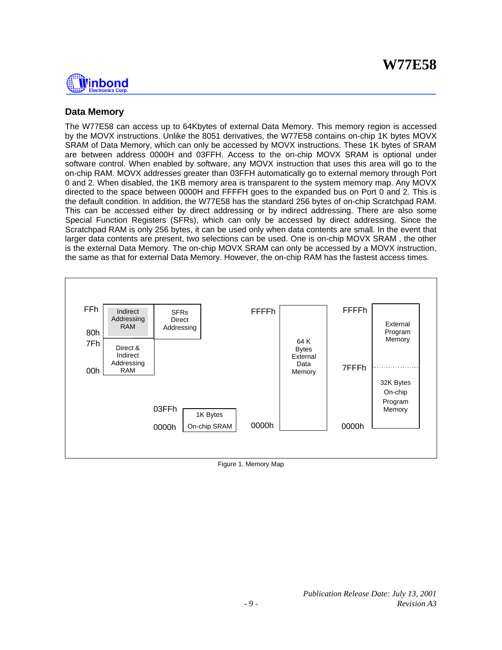

## **Data Memory**

The W77E58 can access up to 64Kbytes of external Data Memory. This memory region is accessed by the MOVX instructions. Unlike the 8051 derivatives, the W77E58 contains on-chip 1K bytes MOVX SRAM of Data Memory, which can only be accessed by MOVX instructions. These 1K bytes of SRAM are between address 0000H and 03FFH. Access to the on-chip MOVX SRAM is optional under software control. When enabled by software, any MOVX instruction that uses this area will go to the on-chip RAM. MOVX addresses greater than 03FFH automatically go to external memory through Port 0 and 2. When disabled, the 1KB memory area is transparent to the system memory map. Any MOVX directed to the space between 0000H and FFFFH goes to the expanded bus on Port 0 and 2. This is the default condition. In addition, the W77E58 has the standard 256 bytes of on-chip Scratchpad RAM. This can be accessed either by direct addressing or by indirect addressing. There are also some Special Function Registers (SFRs), which can only be accessed by direct addressing. Since the Scratchpad RAM is only 256 bytes, it can be used only when data contents are small. In the event that larger data contents are present, two selections can be used. One is on-chip MOVX SRAM , the other is the external Data Memory. The on-chip MOVX SRAM can only be accessed by a MOVX instruction, the same as that for external Data Memory. However, the on-chip RAM has the fastest access times.



Figure 1. Memory Map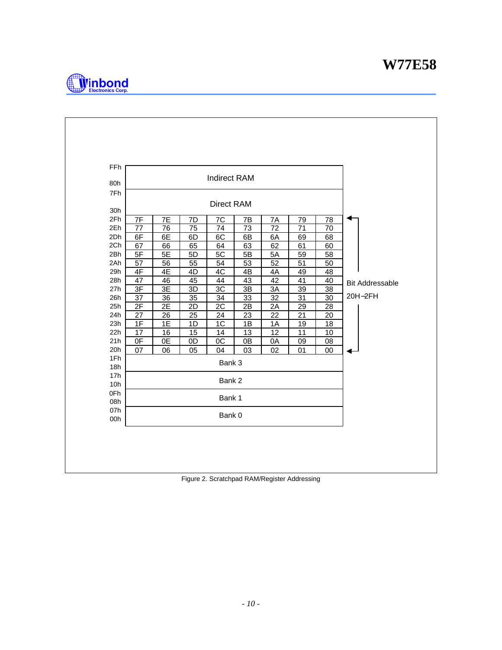

| FF <sub>h</sub> |          |                 |                 | <b>Indirect RAM</b> |                 |                 |                 |                 |                        |
|-----------------|----------|-----------------|-----------------|---------------------|-----------------|-----------------|-----------------|-----------------|------------------------|
| 80h             |          |                 |                 |                     |                 |                 |                 |                 |                        |
| 7Fh             |          |                 |                 |                     |                 |                 |                 |                 |                        |
|                 |          |                 |                 | <b>Direct RAM</b>   |                 |                 |                 |                 |                        |
| 30h             |          |                 |                 |                     |                 |                 |                 |                 |                        |
| 2Fh<br>2Eh      | 7F       | 7E              | 7D              | 7C                  | 7B              | 7A              | 79              | 78              |                        |
|                 | 77       | 76              | $\overline{75}$ | 74                  | $\overline{73}$ | $\overline{72}$ | $\overline{71}$ | $\overline{70}$ |                        |
| 2Dh<br>2Ch      | 6F       | 6E              | 6D              | 6C                  | 6B              | 6A              | 69              | 68              |                        |
| 2Bh             | 67<br>5F | 66<br>5E        | 65<br>5D        | 64<br>5C            | 63<br>5B        | 62<br>5A        | 61<br>59        | 60<br>58        |                        |
| 2Ah             | 57       | 56              | 55              | 54                  | 53              | 52              | 51              | 50              |                        |
| 29h             | 4F       | 4E              | 4D              | 4C                  | 4B              | 4A              | 49              | 48              |                        |
| 28h             | 47       | 46              | 45              | 44                  | 43              | 42              | 41              | 40              |                        |
| 27h             | 3F       | 3E              | 3D              | $\overline{3C}$     | 3B              | 3A              | 39              | $\overline{38}$ | <b>Bit Addressable</b> |
| 26h             | 37       | 36              | 35              | 34                  | 33              | $\overline{32}$ | $\overline{31}$ | $\overline{30}$ | 20H-2FH                |
| 25h             | 2F       | $\overline{2E}$ | 2D              | $\overline{2C}$     | 2B              | 2A              | 29              | 28              |                        |
| 24h             | 27       | 26              | 25              | 24                  | 23              | 22              | 21              | 20              |                        |
| 23h             | 1F       | 1E              | 1D              | 1C                  | 1B              | 1A              | 19              | 18              |                        |
| 22h             | 17       | 16              | 15              | 14                  | 13              | 12              | 11              | 10              |                        |
| 21h             | 0F       | 0E              | 0D              | $\overline{OC}$     | 0B              | 0A              | 09              | 08              |                        |
| 20h             | 07       | 06              | 05              | 04                  | 03              | 02              | 01              | 00              |                        |
| 1Fh             |          |                 |                 | Bank 3              |                 |                 |                 |                 |                        |
| 18h             |          |                 |                 |                     |                 |                 |                 |                 |                        |
| 17h             |          |                 |                 | Bank 2              |                 |                 |                 |                 |                        |
| 10h             |          |                 |                 |                     |                 |                 |                 |                 |                        |
| 0Fh             |          |                 |                 | Bank 1              |                 |                 |                 |                 |                        |
| 08h             |          |                 |                 |                     |                 |                 |                 |                 |                        |
| 07h<br>00h      |          |                 |                 | Bank 0              |                 |                 |                 |                 |                        |
|                 |          |                 |                 |                     |                 |                 |                 |                 |                        |

Figure 2. Scratchpad RAM/Register Addressing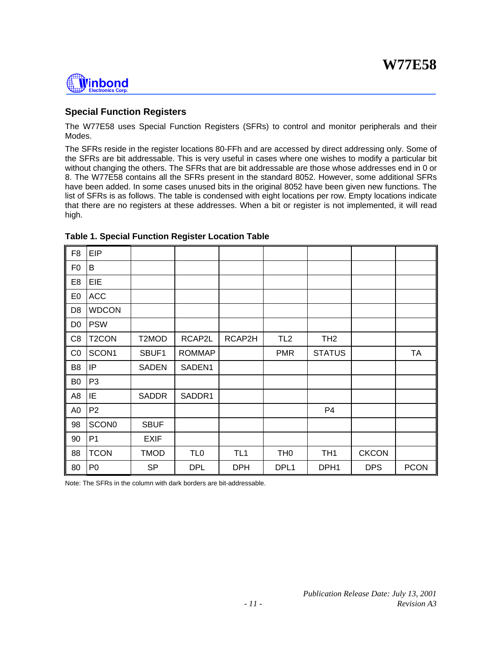# Winbond

### **Special Function Registers**

The W77E58 uses Special Function Registers (SFRs) to control and monitor peripherals and their Modes.

The SFRs reside in the register locations 80-FFh and are accessed by direct addressing only. Some of the SFRs are bit addressable. This is very useful in cases where one wishes to modify a particular bit without changing the others. The SFRs that are bit addressable are those whose addresses end in 0 or 8. The W77E58 contains all the SFRs present in the standard 8052. However, some additional SFRs have been added. In some cases unused bits in the original 8052 have been given new functions. The list of SFRs is as follows. The table is condensed with eight locations per row. Empty locations indicate that there are no registers at these addresses. When a bit or register is not implemented, it will read high.

| F <sub>8</sub> | <b>EIP</b>         |              |                 |                 |                 |                  |              |             |
|----------------|--------------------|--------------|-----------------|-----------------|-----------------|------------------|--------------|-------------|
| F <sub>0</sub> | B                  |              |                 |                 |                 |                  |              |             |
| E <sub>8</sub> | EIE                |              |                 |                 |                 |                  |              |             |
| E <sub>0</sub> | <b>ACC</b>         |              |                 |                 |                 |                  |              |             |
| D <sub>8</sub> | <b>WDCON</b>       |              |                 |                 |                 |                  |              |             |
| D <sub>0</sub> | <b>PSW</b>         |              |                 |                 |                 |                  |              |             |
| C <sub>8</sub> | T <sub>2</sub> CON | T2MOD        | RCAP2L          | RCAP2H          | TL <sub>2</sub> | TH <sub>2</sub>  |              |             |
| CO             | SCON1              | SBUF1        | <b>ROMMAP</b>   |                 | <b>PMR</b>      | <b>STATUS</b>    |              | <b>TA</b>   |
| B <sub>8</sub> | IP                 | <b>SADEN</b> | SADEN1          |                 |                 |                  |              |             |
| B <sub>0</sub> | P <sub>3</sub>     |              |                 |                 |                 |                  |              |             |
| A <sub>8</sub> | ΙE                 | <b>SADDR</b> | SADDR1          |                 |                 |                  |              |             |
| A <sub>0</sub> | P <sub>2</sub>     |              |                 |                 |                 | P <sub>4</sub>   |              |             |
| 98             | <b>SCON0</b>       | <b>SBUF</b>  |                 |                 |                 |                  |              |             |
| 90             | P <sub>1</sub>     | <b>EXIF</b>  |                 |                 |                 |                  |              |             |
| 88             | <b>TCON</b>        | <b>TMOD</b>  | TL <sub>0</sub> | TL <sub>1</sub> | TH <sub>0</sub> | TH <sub>1</sub>  | <b>CKCON</b> |             |
| 80             | P <sub>0</sub>     | <b>SP</b>    | <b>DPL</b>      | <b>DPH</b>      | DPL1            | DPH <sub>1</sub> | <b>DPS</b>   | <b>PCON</b> |

#### **Table 1. Special Function Register Location Table**

Note: The SFRs in the column with dark borders are bit-addressable.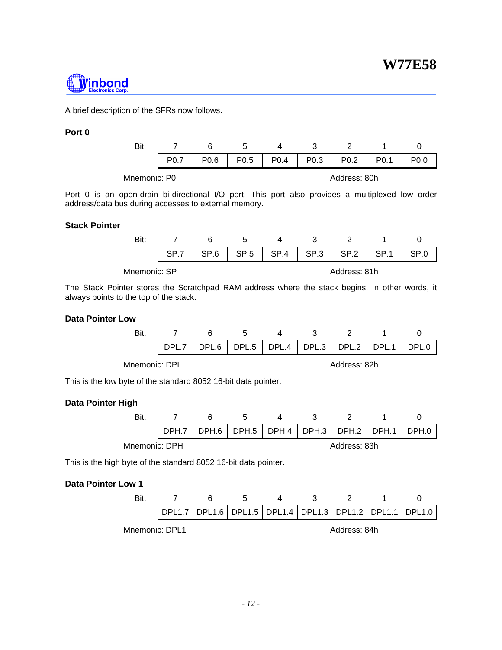

A brief description of the SFRs now follows.

#### **Port 0**

| Bit:         |                  |      |                  |              |                  |                  |                  |      |  |  |
|--------------|------------------|------|------------------|--------------|------------------|------------------|------------------|------|--|--|
|              | P <sub>0.7</sub> | P0.6 | P <sub>0.5</sub> | P0.4         | P <sub>0.3</sub> | P <sub>0.2</sub> | P <sub>0.1</sub> | 20.O |  |  |
| Mnemonic: P0 |                  |      |                  | Address: 80h |                  |                  |                  |      |  |  |

Port 0 is an open-drain bi-directional I/O port. This port also provides a multiplexed low order address/data bus during accesses to external memory.

#### **Stack Pointer**

|              | SP.6 | SP <sub>.5</sub> | SP.4         | SP.3 | SP <sub>.2</sub> |  |  |  |  |
|--------------|------|------------------|--------------|------|------------------|--|--|--|--|
| Mnemonic: SP |      |                  | Address: 81h |      |                  |  |  |  |  |

The Stack Pointer stores the Scratchpad RAM address where the stack begins. In other words, it always points to the top of the stack.

#### **Data Pointer Low**

| Bit: |  |                                                 |  |  |
|------|--|-------------------------------------------------|--|--|
|      |  | DPL.7 DPL.6 DPL.5 DPL.4 DPL.3 DPL.2 DPL.1 DPL.0 |  |  |

Mnemonic: DPL **Address: 82h** 

This is the low byte of the standard 8052 16-bit data pointer.

#### **Data Pointer High**

|               | DPH.7 |  | DPH.6   DPH.5   DPH.4   DPH.3   DPH.2   DPH.1 |              | DPH.0 |
|---------------|-------|--|-----------------------------------------------|--------------|-------|
| Mnemonic: DPH |       |  |                                               | Address: 83h |       |

This is the high byte of the standard 8052 16-bit data pointer.

#### **Data Pointer Low 1**

|                | DPL1.7   DPL1.6   DPL1.5   DPL1.4   DPL1.3   DPL1.2   DPL1.1   DPL1.0 |              |  |  |  |  |  |
|----------------|-----------------------------------------------------------------------|--------------|--|--|--|--|--|
| Mnemonic: DPL1 |                                                                       | Address: 84h |  |  |  |  |  |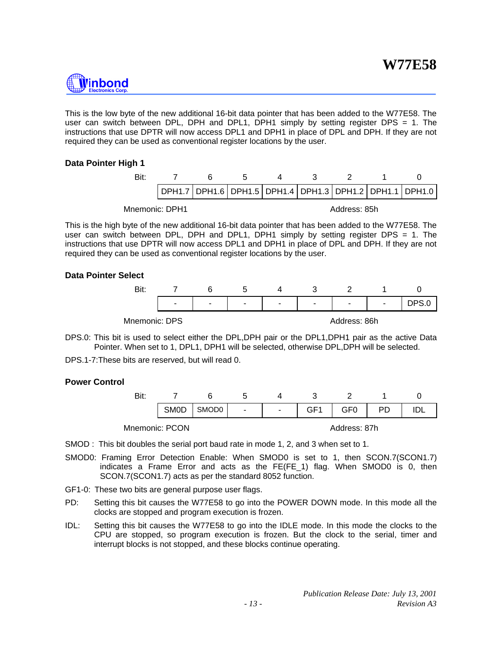

This is the low byte of the new additional 16-bit data pointer that has been added to the W77E58. The user can switch between DPL, DPH and DPL1, DPH1 simply by setting register DPS = 1. The instructions that use DPTR will now access DPL1 and DPH1 in place of DPL and DPH. If they are not required they can be used as conventional register locations by the user.

#### **Data Pointer High 1**

| Bit:           |  |  |              |                                                                       |
|----------------|--|--|--------------|-----------------------------------------------------------------------|
|                |  |  |              | DPH1.7   DPH1.6   DPH1.5   DPH1.4   DPH1.3   DPH1.2   DPH1.1   DPH1.0 |
| Mnemonic: DPH1 |  |  | Address: 85h |                                                                       |

This is the high byte of the new additional 16-bit data pointer that has been added to the W77E58. The user can switch between DPL, DPH and DPL1, DPH1 simply by setting register DPS = 1. The instructions that use DPTR will now access DPL1 and DPH1 in place of DPL and DPH. If they are not required they can be used as conventional register locations by the user.

#### **Data Pointer Select**



Mnemonic: DPS and the control of the Address: 86h

DPS.0: This bit is used to select either the DPL,DPH pair or the DPL1,DPH1 pair as the active Data Pointer. When set to 1, DPL1, DPH1 will be selected, otherwise DPL,DPH will be selected.

DPS.1-7:These bits are reserved, but will read 0.

#### **Power Control**

| - |             |                   |                |                          |                 |     |    |  |
|---|-------------|-------------------|----------------|--------------------------|-----------------|-----|----|--|
|   | <b>SMOD</b> | SMOD <sub>0</sub> | $\blacksquare$ | <b>Contract Contract</b> | GF <sub>1</sub> | GF0 | PD |  |
|   |             |                   |                |                          |                 |     |    |  |

Mnemonic: PCON Address: 87h

SMOD : This bit doubles the serial port baud rate in mode 1, 2, and 3 when set to 1.

- SMOD0: Framing Error Detection Enable: When SMOD0 is set to 1, then SCON.7(SCON1.7) indicates a Frame Error and acts as the FE(FE\_1) flag. When SMOD0 is 0, then SCON.7(SCON1.7) acts as per the standard 8052 function.
- GF1-0: These two bits are general purpose user flags.
- PD: Setting this bit causes the W77E58 to go into the POWER DOWN mode. In this mode all the clocks are stopped and program execution is frozen.
- IDL: Setting this bit causes the W77E58 to go into the IDLE mode. In this mode the clocks to the CPU are stopped, so program execution is frozen. But the clock to the serial, timer and interrupt blocks is not stopped, and these blocks continue operating.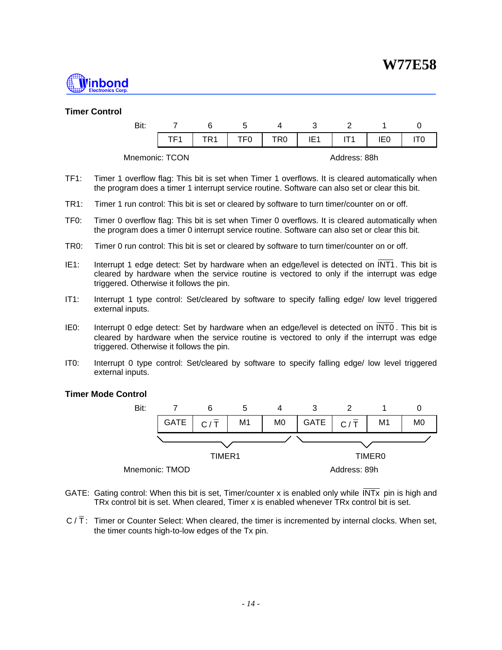

#### **Timer Control**

| Bit:           |     | ∽    |              |     |  |     |  |  |
|----------------|-----|------|--------------|-----|--|-----|--|--|
|                | TE1 | TF0. | TR0          | IE1 |  | IE0 |  |  |
| Mnemonic: TCON |     |      | Address: 88h |     |  |     |  |  |

- TF1: Timer 1 overflow flag: This bit is set when Timer 1 overflows. It is cleared automatically when the program does a timer 1 interrupt service routine. Software can also set or clear this bit.
- TR1: Timer 1 run control: This bit is set or cleared by software to turn timer/counter on or off.
- TF0: Timer 0 overflow flag: This bit is set when Timer 0 overflows. It is cleared automatically when the program does a timer 0 interrupt service routine. Software can also set or clear this bit.
- TR0: Timer 0 run control: This bit is set or cleared by software to turn timer/counter on or off.
- IE1: Interrupt 1 edge detect: Set by hardware when an edge/level is detected on INT1. This bit is cleared by hardware when the service routine is vectored to only if the interrupt was edge triggered. Otherwise it follows the pin.
- IT1: Interrupt 1 type control: Set/cleared by software to specify falling edge/ low level triggered external inputs.
- IE0: Interrupt 0 edge detect: Set by hardware when an edge/level is detected on INT0 . This bit is cleared by hardware when the service routine is vectored to only if the interrupt was edge triggered. Otherwise it follows the pin.
- IT0: Interrupt 0 type control: Set/cleared by software to specify falling edge/ low level triggered external inputs.

#### **Timer Mode Control**



- GATE: Gating control: When this bit is set, Timer/counter x is enabled only while  $\overline{INTx}$  pin is high and TRx control bit is set. When cleared, Timer x is enabled whenever TRx control bit is set.
- $C/\overline{T}$ : Timer or Counter Select: When cleared, the timer is incremented by internal clocks. When set, the timer counts high-to-low edges of the Tx pin.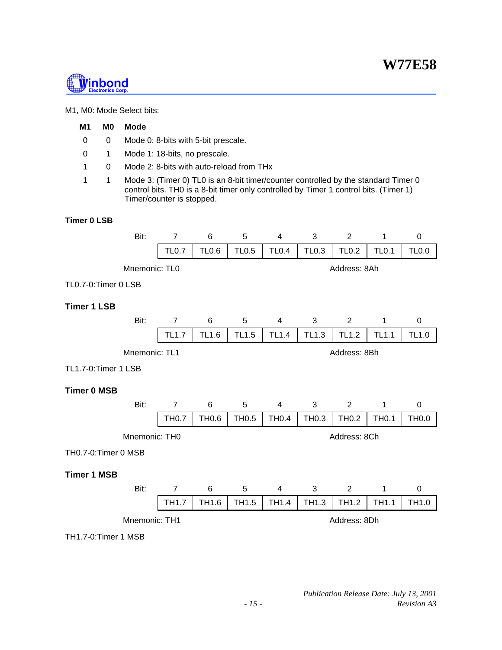

#### M1, M0: Mode Select bits:

### **M1 M0 Mode**

- 0 0 Mode 0: 8-bits with 5-bit prescale.
- 0 1 Mode 1: 18-bits, no prescale.
- 1 0 Mode 2: 8-bits with auto-reload from THx
- 1 1 Mode 3: (Timer 0) TL0 is an 8-bit timer/counter controlled by the standard Timer 0 control bits. TH0 is a 8-bit timer only controlled by Timer 1 control bits. (Timer 1) Timer/counter is stopped.

#### **Timer 0 LSB**

| Bit:                | $\overline{7}$ | 6            | 5                 | 4              | 3            | $\overline{2}$    | 1            | $\mathbf 0$  |  |
|---------------------|----------------|--------------|-------------------|----------------|--------------|-------------------|--------------|--------------|--|
|                     | <b>TL0.7</b>   | <b>TL0.6</b> | <b>TL0.5</b>      | <b>TL0.4</b>   | <b>TL0.3</b> | <b>TL0.2</b>      | <b>TL0.1</b> | <b>TL0.0</b> |  |
| Mnemonic: TL0       |                |              |                   |                |              | Address: 8Ah      |              |              |  |
| TL0.7-0:Timer 0 LSB |                |              |                   |                |              |                   |              |              |  |
| <b>Timer 1 LSB</b>  |                |              |                   |                |              |                   |              |              |  |
| Bit:                | $\overline{7}$ | 6            | 5                 | $\overline{4}$ | 3            | 2                 | $\mathbf{1}$ | $\mathbf 0$  |  |
|                     | <b>TL1.7</b>   | <b>TL1.6</b> | <b>TL1.5</b>      | <b>TL1.4</b>   | <b>TL1.3</b> | <b>TL1.2</b>      | <b>TL1.1</b> | <b>TL1.0</b> |  |
| Mnemonic: TL1       |                |              |                   |                |              | Address: 8Bh      |              |              |  |
| TL1.7-0:Timer 1 LSB |                |              |                   |                |              |                   |              |              |  |
| <b>Timer 0 MSB</b>  |                |              |                   |                |              |                   |              |              |  |
| Bit:                | $\overline{7}$ | 6            | 5                 | 4              | 3            | $\overline{2}$    | 1            | 0            |  |
|                     | <b>TH0.7</b>   | TH0.6        | TH <sub>0.5</sub> | <b>TH0.4</b>   | TH0.3        | TH <sub>0.2</sub> | <b>TH0.1</b> | <b>TH0.0</b> |  |
| Mnemonic: TH0       |                |              |                   |                |              | Address: 8Ch      |              |              |  |
| TH0.7-0:Timer 0 MSB |                |              |                   |                |              |                   |              |              |  |
| <b>Timer 1 MSB</b>  |                |              |                   |                |              |                   |              |              |  |
| Bit:                | $\overline{7}$ | 6            | 5                 | 4              | 3            | 2                 | 1            | 0            |  |
|                     | <b>TH1.7</b>   | TH1.6        | TH1.5             | TH1.4          | TH1.3        | TH1.2             | TH1.1        | TH1.0        |  |
| Mnemonic: TH1       |                |              |                   |                |              | Address: 8Dh      |              |              |  |
| TH1.7-0:Timer 1 MSB |                |              |                   |                |              |                   |              |              |  |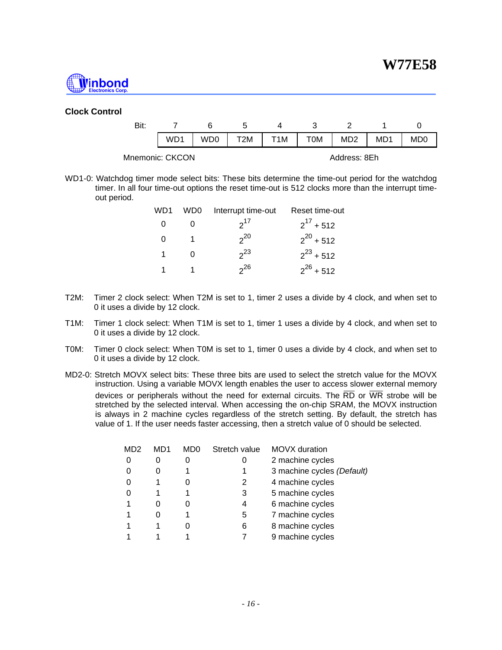

#### **Clock Control**

| Bit:            |                 |     |     |     |     |                 |     |                 |
|-----------------|-----------------|-----|-----|-----|-----|-----------------|-----|-----------------|
|                 | WD <sub>1</sub> | WD0 | T2M | T1M | OM. | MD <sub>2</sub> | MD1 | MD <sub>0</sub> |
| Mnemonic: CKCON |                 |     |     |     |     | Address: 8Eh    |     |                 |

WD1-0: Watchdog timer mode select bits: These bits determine the time-out period for the watchdog timer. In all four time-out options the reset time-out is 512 clocks more than the interrupt timeout period.

| WD1 | WD0 | Interrupt time-out | Reset time-out |
|-----|-----|--------------------|----------------|
| O   |     | $2^{17}$           | $2^{17}$ + 512 |
| 0   |     | $2^{20}$           | $2^{20}$ + 512 |
| 1   |     | $2^{23}$           | $2^{23}$ + 512 |
|     |     | $2^2$              | $2^{26}$ + 512 |

- T2M: Timer 2 clock select: When T2M is set to 1, timer 2 uses a divide by 4 clock, and when set to 0 it uses a divide by 12 clock.
- T1M: Timer 1 clock select: When T1M is set to 1, timer 1 uses a divide by 4 clock, and when set to 0 it uses a divide by 12 clock.
- T0M: Timer 0 clock select: When T0M is set to 1, timer 0 uses a divide by 4 clock, and when set to 0 it uses a divide by 12 clock.
- MD2-0: Stretch MOVX select bits: These three bits are used to select the stretch value for the MOVX instruction. Using a variable MOVX length enables the user to access slower external memory devices or peripherals without the need for external circuits. The  $\overline{RD}$  or  $\overline{WR}$  strobe will be stretched by the selected interval. When accessing the on-chip SRAM, the MOVX instruction is always in 2 machine cycles regardless of the stretch setting. By default, the stretch has value of 1. If the user needs faster accessing, then a stretch value of 0 should be selected.

| MD2 | MD1 | MD0 | Stretch value | MOVX duration              |
|-----|-----|-----|---------------|----------------------------|
|     |     |     |               | 2 machine cycles           |
|     | Ω   |     |               | 3 machine cycles (Default) |
|     |     |     | 2             | 4 machine cycles           |
|     |     |     | 3             | 5 machine cycles           |
|     |     |     | 4             | 6 machine cycles           |
|     |     |     | 5             | 7 machine cycles           |
|     |     |     | 6             | 8 machine cycles           |
|     |     |     |               | 9 machine cycles           |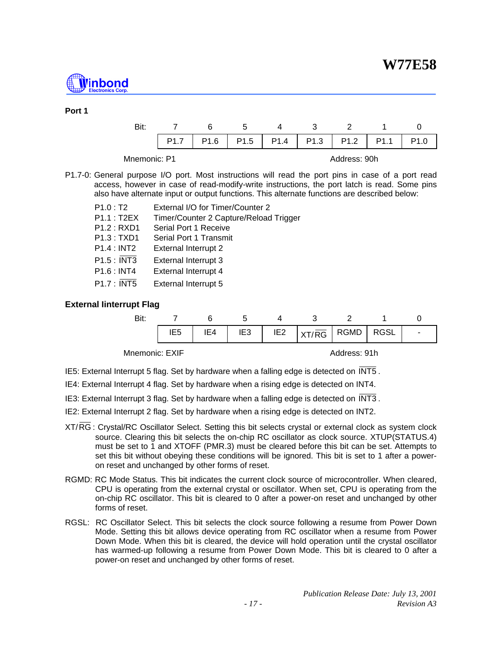

#### **Port 1**

|              | P <sub>1.6</sub> | P1.5 | $P1.4$   P1.3 | P1.2         | P <sub>1.1</sub> |  |
|--------------|------------------|------|---------------|--------------|------------------|--|
| Mnemonic: P1 |                  |      |               | Address: 90h |                  |  |

P1.7-0: General purpose I/O port. Most instructions will read the port pins in case of a port read access, however in case of read-modify-write instructions, the port latch is read. Some pins also have alternate input or output functions. This alternate functions are described below:

| P1.0: T2    | External I/O for Timer/Counter 2       |
|-------------|----------------------------------------|
| P1.1:TZEX   | Timer/Counter 2 Capture/Reload Trigger |
| P1.2: RXD1  | Serial Port 1 Receive                  |
| P1.3 : TXD1 | Serial Port 1 Transmit                 |
| P1.4:INT2   | <b>External Interrupt 2</b>            |
| P1.5 : INT3 | External Interrupt 3                   |
| P1.6 : INT4 | External Interrupt 4                   |
| P1.7 : INT5 | External Interrupt 5                   |
|             |                                        |

#### **External Iinterrupt Flag**

| Bit: |     |     |                                                                                                                      |  |  |
|------|-----|-----|----------------------------------------------------------------------------------------------------------------------|--|--|
|      | IE4 | IE3 | $\parallel$ IE2 $\parallel$ $\angle$ $\angle$ $\angle$ $\angle$ $\angle$ $\angle$ RGMD $\parallel$ RGSL <sup>1</sup> |  |  |

Mnemonic: EXIF Address: 91h

IE5: External Interrupt 5 flag. Set by hardware when a falling edge is detected on INT5 .

IE4: External Interrupt 4 flag. Set by hardware when a rising edge is detected on INT4.

IE3: External Interrupt 3 flag. Set by hardware when a falling edge is detected on INT3 .

- IE2: External Interrupt 2 flag. Set by hardware when a rising edge is detected on INT2.
- XT/RG : Crystal/RC Oscillator Select. Setting this bit selects crystal or external clock as system clock source. Clearing this bit selects the on-chip RC oscillator as clock source. XTUP(STATUS.4) must be set to 1 and XTOFF (PMR.3) must be cleared before this bit can be set. Attempts to set this bit without obeying these conditions will be ignored. This bit is set to 1 after a poweron reset and unchanged by other forms of reset.
- RGMD: RC Mode Status. This bit indicates the current clock source of microcontroller. When cleared, CPU is operating from the external crystal or oscillator. When set, CPU is operating from the on-chip RC oscillator. This bit is cleared to 0 after a power-on reset and unchanged by other forms of reset.
- RGSL: RC Oscillator Select. This bit selects the clock source following a resume from Power Down Mode. Setting this bit allows device operating from RC oscillator when a resume from Power Down Mode. When this bit is cleared, the device will hold operation until the crystal oscillator has warmed-up following a resume from Power Down Mode. This bit is cleared to 0 after a power-on reset and unchanged by other forms of reset.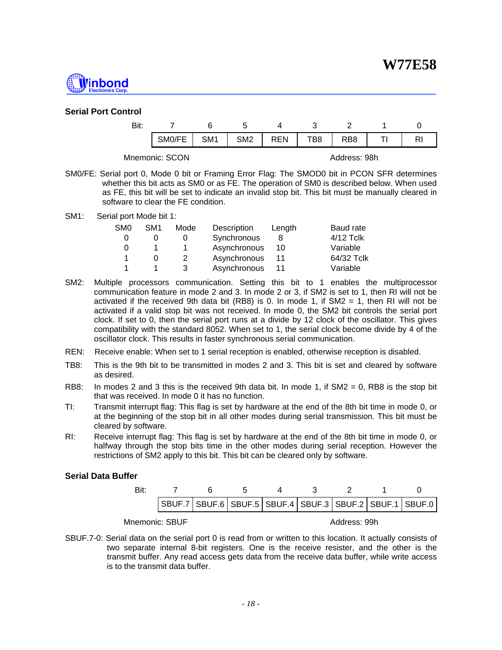

#### **Serial Port Control**

| Bit: |                |     |                 |            |     |                  |    |
|------|----------------|-----|-----------------|------------|-----|------------------|----|
|      | SMO/FE         | SM1 | SM <sub>2</sub> | <b>REN</b> | TB8 | R <sub>B</sub> 8 | R. |
|      | Mnemonic: SCON |     |                 |            |     | Address: 98h     |    |

- SM0/FE: Serial port 0, Mode 0 bit or Framing Error Flag: The SMOD0 bit in PCON SFR determines whether this bit acts as SM0 or as FE. The operation of SM0 is described below. When used as FE, this bit will be set to indicate an invalid stop bit. This bit must be manually cleared in software to clear the FE condition.
- SM1: Serial port Mode bit 1:

| SM <sub>0</sub> | SM <sub>1</sub> | Mode | Description  | Length | Baud rate  |
|-----------------|-----------------|------|--------------|--------|------------|
| 0               |                 |      | Synchronous  |        | 4/12 Tclk  |
| 0               |                 |      | Asynchronous | 10     | Variable   |
|                 |                 |      | Asynchronous | 11     | 64/32 Tclk |
|                 |                 |      | Asynchronous |        | Variable   |

- SM2: Multiple processors communication. Setting this bit to 1 enables the multiprocessor communication feature in mode 2 and 3. In mode 2 or 3, if SM2 is set to 1, then RI will not be activated if the received 9th data bit (RB8) is 0. In mode 1, if SM2 = 1, then RI will not be activated if a valid stop bit was not received. In mode 0, the SM2 bit controls the serial port clock. If set to 0, then the serial port runs at a divide by 12 clock of the oscillator. This gives compatibility with the standard 8052. When set to 1, the serial clock become divide by 4 of the oscillator clock. This results in faster synchronous serial communication.
- REN: Receive enable: When set to 1 serial reception is enabled, otherwise reception is disabled.
- TB8: This is the 9th bit to be transmitted in modes 2 and 3. This bit is set and cleared by software as desired.
- RB8: In modes 2 and 3 this is the received 9th data bit. In mode 1, if  $SM2 = 0$ , RB8 is the stop bit that was received. In mode 0 it has no function.
- TI: Transmit interrupt flag: This flag is set by hardware at the end of the 8th bit time in mode 0, or at the beginning of the stop bit in all other modes during serial transmission. This bit must be cleared by software.
- RI: Receive interrupt flag: This flag is set by hardware at the end of the 8th bit time in mode 0, or halfway through the stop bits time in the other modes during serial reception. However the restrictions of SM2 apply to this bit. This bit can be cleared only by software.

#### **Serial Data Buffer**

|  |  |  |  | $\vert$ SBUF.7 $\vert$ SBUF.6 $\vert$ SBUF.5 $\vert$ SBUF.4 $\vert$ SBUF.3 $\vert$ SBUF.2 $\vert$ SBUF.1 $\vert$ SBUF.0 $\vert$ |
|--|--|--|--|---------------------------------------------------------------------------------------------------------------------------------|

Mnemonic: SBUF **Address: 99h** 

SBUF.7-0: Serial data on the serial port 0 is read from or written to this location. It actually consists of two separate internal 8-bit registers. One is the receive resister, and the other is the transmit buffer. Any read access gets data from the receive data buffer, while write access is to the transmit data buffer.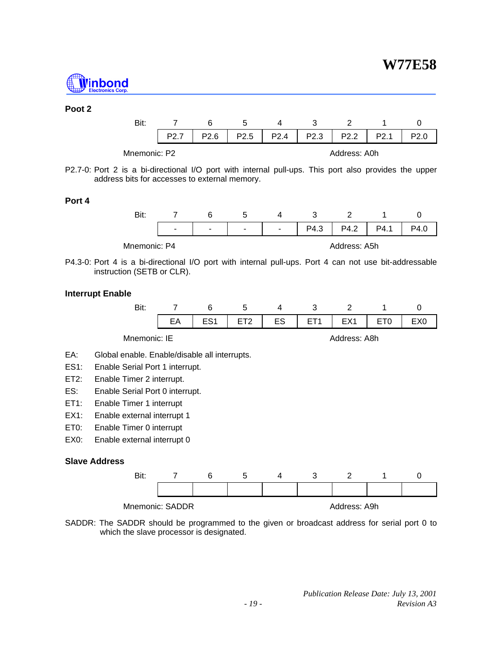

**W77E58**

#### **Poot 2**

| Bit: |                  | 6    | b                | 4                | ว                |                  |                  |  |
|------|------------------|------|------------------|------------------|------------------|------------------|------------------|--|
|      | P <sub>2.7</sub> | P2.6 | P <sub>2.5</sub> | P <sub>2.4</sub> | P <sub>2.3</sub> | P <sub>2.2</sub> | P <sub>2.1</sub> |  |
|      | Mnemonic: P2     |      |                  |                  |                  | Address: A0h     |                  |  |

P2.7-0: Port 2 is a bi-directional I/O port with internal pull-ups. This port also provides the upper address bits for accesses to external memory.

#### **Port 4**



P4.3-0: Port 4 is a bi-directional I/O port with internal pull-ups. Port 4 can not use bit-addressable instruction (SETB or CLR).

#### **Interrupt Enable**

|                      | Bit:                                          | 7  | 6               | 5               | 4  | 3               | 2               | 1               | 0               |  |  |
|----------------------|-----------------------------------------------|----|-----------------|-----------------|----|-----------------|-----------------|-----------------|-----------------|--|--|
|                      |                                               | EA | ES <sub>1</sub> | ET <sub>2</sub> | ES | ET <sub>1</sub> | EX <sub>1</sub> | ET <sub>0</sub> | EX <sub>0</sub> |  |  |
|                      | Mnemonic: IE<br>Address: A8h                  |    |                 |                 |    |                 |                 |                 |                 |  |  |
| EA:                  | Global enable. Enable/disable all interrupts. |    |                 |                 |    |                 |                 |                 |                 |  |  |
| ES <sub>1</sub> :    | Enable Serial Port 1 interrupt.               |    |                 |                 |    |                 |                 |                 |                 |  |  |
| ET2:                 | Enable Timer 2 interrupt.                     |    |                 |                 |    |                 |                 |                 |                 |  |  |
| ES:                  | Enable Serial Port 0 interrupt.               |    |                 |                 |    |                 |                 |                 |                 |  |  |
| ET1:                 | Enable Timer 1 interrupt                      |    |                 |                 |    |                 |                 |                 |                 |  |  |
| $EX1$ :              | Enable external interrupt 1                   |    |                 |                 |    |                 |                 |                 |                 |  |  |
| ET0:                 | Enable Timer 0 interrupt                      |    |                 |                 |    |                 |                 |                 |                 |  |  |
| EX0:                 | Enable external interrupt 0                   |    |                 |                 |    |                 |                 |                 |                 |  |  |
| <b>Slave Address</b> |                                               |    |                 |                 |    |                 |                 |                 |                 |  |  |
|                      | Bit:                                          | 7  | 6               | 5               | 4  | 3               | 2               | 1               | 0               |  |  |



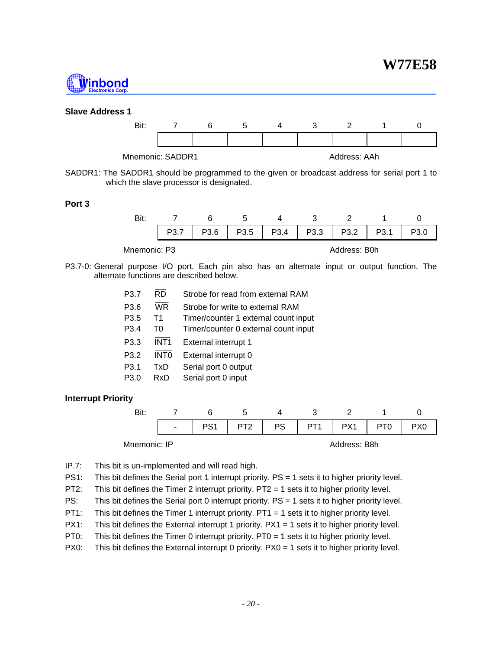## **W77E58**



#### **Slave Address 1**



SADDR1: The SADDR1 should be programmed to the given or broadcast address for serial port 1 to which the slave processor is designated.

#### **Port 3**

| Bit:         |                  |      | ∽    |      |      |                  |                  |  |
|--------------|------------------|------|------|------|------|------------------|------------------|--|
|              | P <sub>3.7</sub> | P3.6 | P3.5 | P3.4 | P3.3 | P <sub>3.2</sub> | P <sub>3.1</sub> |  |
| Mnemonic: P3 |                  |      |      |      |      | Address: B0h     |                  |  |

P3.7-0: General purpose I/O port. Each pin also has an alternate input or output function. The alternate functions are described below.

> P3.7 RD Strobe for read from external RAM P3.6 WR Strobe for write to external RAM P3.5 T1 Timer/counter 1 external count input P3.4 T0 Timer/counter 0 external count input P3.3 INT1 External interrupt 1 P3.2 INTO External interrupt 0 P3.1 TxD Serial port 0 output P3.0 RxD Serial port 0 input

#### **Interrupt Priority**



IP.7: This bit is un-implemented and will read high.

- PS1: This bit defines the Serial port 1 interrupt priority. PS = 1 sets it to higher priority level.
- PT2: This bit defines the Timer 2 interrupt priority. PT2 = 1 sets it to higher priority level.
- PS: This bit defines the Serial port 0 interrupt priority. PS = 1 sets it to higher priority level.
- PT1: This bit defines the Timer 1 interrupt priority. PT1 = 1 sets it to higher priority level.
- PX1: This bit defines the External interrupt 1 priority. PX1 = 1 sets it to higher priority level.
- PT0: This bit defines the Timer 0 interrupt priority. PT0 = 1 sets it to higher priority level.
- PX0: This bit defines the External interrupt 0 priority. PX0 = 1 sets it to higher priority level.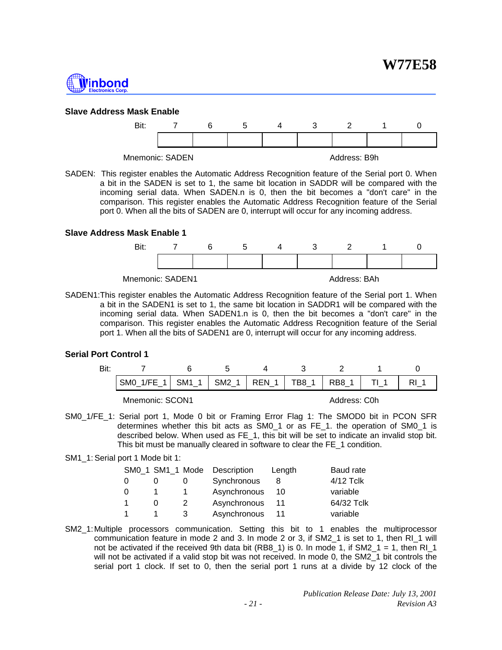



#### **Slave Address Mask Enable**



SADEN: This register enables the Automatic Address Recognition feature of the Serial port 0. When a bit in the SADEN is set to 1, the same bit location in SADDR will be compared with the incoming serial data. When SADEN.n is 0, then the bit becomes a "don't care" in the comparison. This register enables the Automatic Address Recognition feature of the Serial port 0. When all the bits of SADEN are 0, interrupt will occur for any incoming address.

#### **Slave Address Mask Enable 1**



SADEN1:This register enables the Automatic Address Recognition feature of the Serial port 1. When a bit in the SADEN1 is set to 1, the same bit location in SADDR1 will be compared with the incoming serial data. When SADEN1.n is 0, then the bit becomes a "don't care" in the comparison. This register enables the Automatic Address Recognition feature of the Serial port 1. When all the bits of SADEN1 are 0, interrupt will occur for any incoming address.

#### **Serial Port Control 1**

| Bit: |                  |                                   |  |                 |       |       |  |
|------|------------------|-----------------------------------|--|-----------------|-------|-------|--|
|      | SMO 1/FE<br>$-1$ | SM <sub>1</sub><br>$\overline{1}$ |  | $SM2_1   REN_1$ | TB8 1 | RB8 1 |  |
|      | Mnemonic: SCON1  |                                   |  | Address: C0h    |       |       |  |

SM0\_1/FE\_1: Serial port 1, Mode 0 bit or Framing Error Flag 1: The SMOD0 bit in PCON SFR determines whether this bit acts as SM0\_1 or as FE\_1. the operation of SM0\_1 is described below. When used as FE\_1, this bit will be set to indicate an invalid stop bit. This bit must be manually cleared in software to clear the FE\_1 condition.

#### SM1\_1: Serial port 1 Mode bit 1:

|   | SM0_1 SM1_1 Mode |   | Description  | Length | Baud rate  |
|---|------------------|---|--------------|--------|------------|
| 0 |                  |   | Synchronous  | 8      | 4/12 Tclk  |
| 0 |                  |   | Asynchronous | 10     | variable   |
| 1 |                  |   | Asynchronous | 11     | 64/32 Tclk |
| 1 |                  | 3 | Asynchronous |        | variable   |

SM2\_1:Multiple processors communication. Setting this bit to 1 enables the multiprocessor communication feature in mode 2 and 3. In mode 2 or 3, if SM2\_1 is set to 1, then RI\_1 will not be activated if the received 9th data bit (RB8\_1) is 0. In mode 1, if SM2\_1 = 1, then RI\_1 will not be activated if a valid stop bit was not received. In mode 0, the SM2\_1 bit controls the serial port 1 clock. If set to 0, then the serial port 1 runs at a divide by 12 clock of the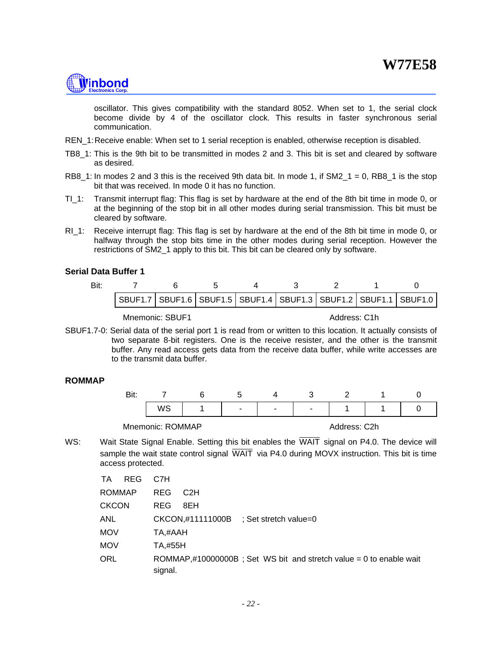# <u> Ninbond</u>

oscillator. This gives compatibility with the standard 8052. When set to 1, the serial clock become divide by 4 of the oscillator clock. This results in faster synchronous serial communication.

- REN 1: Receive enable: When set to 1 serial reception is enabled, otherwise reception is disabled.
- TB8\_1: This is the 9th bit to be transmitted in modes 2 and 3. This bit is set and cleared by software as desired.
- RB8\_1: In modes 2 and 3 this is the received 9th data bit. In mode 1, if  $SM2_1 = 0$ , RB8\_1 is the stop bit that was received. In mode 0 it has no function.
- TI\_1: Transmit interrupt flag: This flag is set by hardware at the end of the 8th bit time in mode 0, or at the beginning of the stop bit in all other modes during serial transmission. This bit must be cleared by software.
- RI<sub>1:</sub> Receive interrupt flag: This flag is set by hardware at the end of the 8th bit time in mode 0, or halfway through the stop bits time in the other modes during serial reception. However the restrictions of SM2\_1 apply to this bit. This bit can be cleared only by software.

#### **Serial Data Buffer 1**

| Bit: |                                                                               |  |  |  |  |
|------|-------------------------------------------------------------------------------|--|--|--|--|
|      | SBUF1.7   SBUF1.6   SBUF1.5   SBUF1.4   SBUF1.3   SBUF1.2   SBUF1.1   SBUF1.0 |  |  |  |  |
|      |                                                                               |  |  |  |  |

Mnemonic: SBUF1 Address: C1h

SBUF1.7-0: Serial data of the serial port 1 is read from or written to this location. It actually consists of two separate 8-bit registers. One is the receive resister, and the other is the transmit buffer. Any read access gets data from the receive data buffer, while write accesses are to the transmit data buffer.

#### **ROMMAP**

|  | $\sim$ | $\sim$ | <u>. т</u> |  |  |
|--|--------|--------|------------|--|--|
|  |        |        |            |  |  |

Mnemonic: ROMMAP Address: C2h

WS: Wait State Signal Enable. Setting this bit enables the WAIT signal on P4.0. The device will sample the wait state control signal WAIT via P4.0 during MOVX instruction. This bit is time access protected.

| <b>REG</b><br>TA | C7H                                                                           |
|------------------|-------------------------------------------------------------------------------|
| <b>ROMMAP</b>    | <b>REG</b><br>C <sub>2</sub> H                                                |
| <b>CKCON</b>     | <b>REG</b><br>8EH                                                             |
| <b>ANL</b>       | CKCON,#11111000B ; Set stretch value=0                                        |
| <b>MOV</b>       | TA,#AAH                                                                       |
| <b>MOV</b>       | TA.#55H                                                                       |
| <b>ORL</b>       | ROMMAP,#10000000B; Set WS bit and stretch value = 0 to enable wait<br>signal. |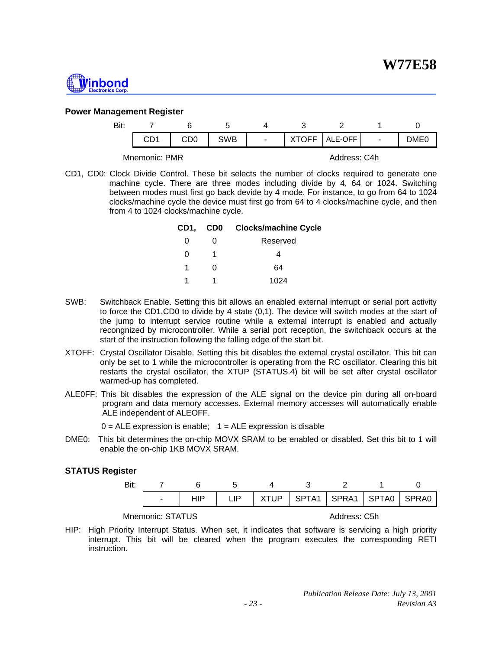

#### **Power Management Register**

| Bit: |               |            |      |              |      |
|------|---------------|------------|------|--------------|------|
|      |               | <b>SWB</b> | OFF. | ALE-OFF      | DME0 |
|      | Mnemonic: PMR |            |      | Address: C4h |      |

CD1, CD0: Clock Divide Control. These bit selects the number of clocks required to generate one machine cycle. There are three modes including divide by 4, 64 or 1024. Switching between modes must first go back devide by 4 mode. For instance, to go from 64 to 1024 clocks/machine cycle the device must first go from 64 to 4 clocks/machine cycle, and then from 4 to 1024 clocks/machine cycle.

|   |   | CD1, CD0 Clocks/machine Cycle |
|---|---|-------------------------------|
| 0 |   | Reserved                      |
| 0 |   |                               |
| 1 | U | 64                            |
|   |   | 1024                          |

- SWB: Switchback Enable. Setting this bit allows an enabled external interrupt or serial port activity to force the CD1,CD0 to divide by 4 state (0,1). The device will switch modes at the start of the jump to interrupt service routine while a external interrupt is enabled and actually recongnized by microcontroller. While a serial port reception, the switchback occurs at the start of the instruction following the falling edge of the start bit.
- XTOFF: Crystal Oscillator Disable. Setting this bit disables the external crystal oscillator. This bit can only be set to 1 while the microcontroller is operating from the RC oscillator. Clearing this bit restarts the crystal oscillator, the XTUP (STATUS.4) bit will be set after crystal oscillator warmed-up has completed.
- ALE0FF: This bit disables the expression of the ALE signal on the device pin during all on-board program and data memory accesses. External memory accesses will automatically enable ALE independent of ALEOFF.

 $0 = ALE$  expression is enable;  $1 = ALE$  expression is disable

DME0: This bit determines the on-chip MOVX SRAM to be enabled or disabled. Set this bit to 1 will enable the on-chip 1KB MOVX SRAM.

#### **STATUS Register**

|  |  |  | -   HIP   LIP   XTUP   SPTA1   SPRA1   SPTA0   SPRA0 |  |
|--|--|--|------------------------------------------------------|--|
|  |  |  |                                                      |  |

Mnemonic: STATUS Address: C5h

HIP: High Priority Interrupt Status. When set, it indicates that software is servicing a high priority interrupt. This bit will be cleared when the program executes the corresponding RETI instruction.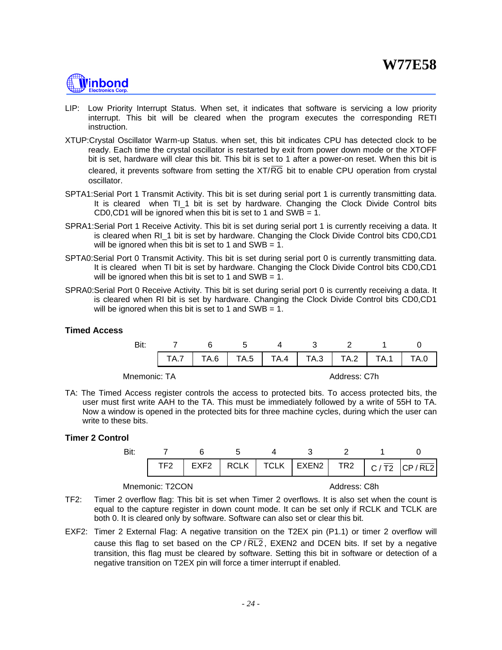# **Ninbond**

- LIP: Low Priority Interrupt Status. When set, it indicates that software is servicing a low priority interrupt. This bit will be cleared when the program executes the corresponding RETI instruction.
- XTUP:Crystal Oscillator Warm-up Status. when set, this bit indicates CPU has detected clock to be ready. Each time the crystal oscillator is restarted by exit from power down mode or the XTOFF bit is set, hardware will clear this bit. This bit is set to 1 after a power-on reset. When this bit is cleared, it prevents software from setting the XT/RG bit to enable CPU operation from crystal oscillator.
- SPTA1:Serial Port 1 Transmit Activity. This bit is set during serial port 1 is currently transmitting data. It is cleared when TI 1 bit is set by hardware. Changing the Clock Divide Control bits CD0,CD1 will be ignored when this bit is set to 1 and SWB = 1.
- SPRA1: Serial Port 1 Receive Activity. This bit is set during serial port 1 is currently receiving a data. It is cleared when RI 1 bit is set by hardware. Changing the Clock Divide Control bits CD0,CD1 will be ignored when this bit is set to 1 and  $SWB = 1$ .
- SPTA0:Serial Port 0 Transmit Activity. This bit is set during serial port 0 is currently transmitting data. It is cleared when TI bit is set by hardware. Changing the Clock Divide Control bits CD0,CD1 will be ignored when this bit is set to 1 and  $SWB = 1$ .
- SPRA0:Serial Port 0 Receive Activity. This bit is set during serial port 0 is currently receiving a data. It is cleared when RI bit is set by hardware. Changing the Clock Divide Control bits CD0,CD1 will be ignored when this bit is set to 1 and  $SWB = 1$ .

#### **Timed Access**

|              |  | $TA.7$   TA.6   TA.5   TA.4   TA.3   TA.2   TA.1 |              | TA.0 |
|--------------|--|--------------------------------------------------|--------------|------|
| Mnemonic: TA |  |                                                  | Address: C7h |      |

TA: The Timed Access register controls the access to protected bits. To access protected bits, the user must first write AAH to the TA. This must be immediately followed by a write of 55H to TA. Now a window is opened in the protected bits for three machine cycles, during which the user can write to these bits.

#### **Timer 2 Control**

|  |  |                 |  | TF2   EXF2   RCLK   TCLK   EXEN2   TR2   C/T2 $ CP/RL2 $ |
|--|--|-----------------|--|----------------------------------------------------------|
|  |  | 7 6 5 4 3 2 1 0 |  |                                                          |

Mnemonic: T2CON Address: C8h

- TF2: Timer 2 overflow flag: This bit is set when Timer 2 overflows. It is also set when the count is equal to the capture register in down count mode. It can be set only if RCLK and TCLK are both 0. It is cleared only by software. Software can also set or clear this bit.
- EXF2: Timer 2 External Flag: A negative transition on the T2EX pin (P1.1) or timer 2 overflow will cause this flag to set based on the  $\mathsf{CP}/\mathsf{RL2}$ ,  $\mathsf{EXEN2}$  and DCEN bits. If set by a negative transition, this flag must be cleared by software. Setting this bit in software or detection of a negative transition on T2EX pin will force a timer interrupt if enabled.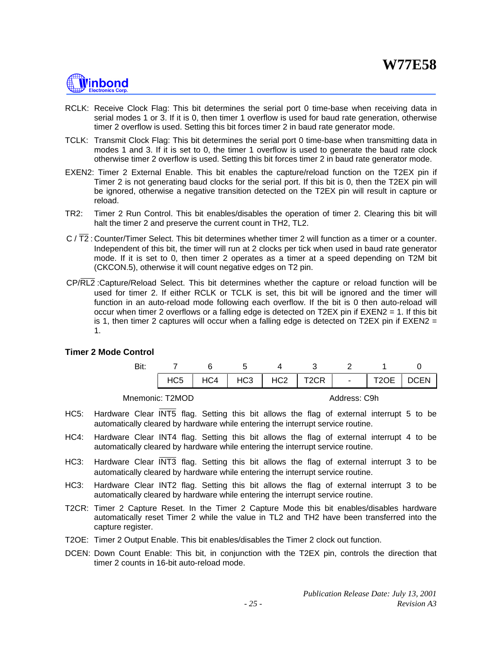

- RCLK: Receive Clock Flag: This bit determines the serial port 0 time-base when receiving data in serial modes 1 or 3. If it is 0, then timer 1 overflow is used for baud rate generation, otherwise timer 2 overflow is used. Setting this bit forces timer 2 in baud rate generator mode.
- TCLK: Transmit Clock Flag: This bit determines the serial port 0 time-base when transmitting data in modes 1 and 3. If it is set to 0, the timer 1 overflow is used to generate the baud rate clock otherwise timer 2 overflow is used. Setting this bit forces timer 2 in baud rate generator mode.
- EXEN2: Timer 2 External Enable. This bit enables the capture/reload function on the T2EX pin if Timer 2 is not generating baud clocks for the serial port. If this bit is 0, then the T2EX pin will be ignored, otherwise a negative transition detected on the T2EX pin will result in capture or reload.
- TR2: Timer 2 Run Control. This bit enables/disables the operation of timer 2. Clearing this bit will halt the timer 2 and preserve the current count in TH2, TL2.
- $C$  /  $\overline{T}2$ : Counter/Timer Select. This bit determines whether timer 2 will function as a timer or a counter. Independent of this bit, the timer will run at 2 clocks per tick when used in baud rate generator mode. If it is set to 0, then timer 2 operates as a timer at a speed depending on T2M bit (CKCON.5), otherwise it will count negative edges on T2 pin.
- CP/RL2 :Capture/Reload Select. This bit determines whether the capture or reload function will be used for timer 2. If either RCLK or TCLK is set, this bit will be ignored and the timer will function in an auto-reload mode following each overflow. If the bit is 0 then auto-reload will occur when timer 2 overflows or a falling edge is detected on T2EX pin if  $EXEN2 = 1$ . If this bit is 1, then timer 2 captures will occur when a falling edge is detected on T2EX pin if  $EXEN2 =$ 1.

#### **Timer 2 Mode Control**

| Bit: |  |  |                                                         |  |  |
|------|--|--|---------------------------------------------------------|--|--|
|      |  |  | $HCS$ $HCA$ $HCS$ $HCS$ $HCC$ $T2CR$ $H1$ $T2OE$ $DCEN$ |  |  |
|      |  |  |                                                         |  |  |

Mnemonic: T2MOD Address: C9h

- HC5: Hardware Clear INT5 flag. Setting this bit allows the flag of external interrupt 5 to be automatically cleared by hardware while entering the interrupt service routine.
- HC4: Hardware Clear INT4 flag. Setting this bit allows the flag of external interrupt 4 to be automatically cleared by hardware while entering the interrupt service routine.
- HC3: Hardware Clear INT3 flag. Setting this bit allows the flag of external interrupt 3 to be automatically cleared by hardware while entering the interrupt service routine.
- HC3: Hardware Clear INT2 flag. Setting this bit allows the flag of external interrupt 3 to be automatically cleared by hardware while entering the interrupt service routine.
- T2CR: Timer 2 Capture Reset. In the Timer 2 Capture Mode this bit enables/disables hardware automatically reset Timer 2 while the value in TL2 and TH2 have been transferred into the capture register.
- T2OE: Timer 2 Output Enable. This bit enables/disables the Timer 2 clock out function.
- DCEN: Down Count Enable: This bit, in conjunction with the T2EX pin, controls the direction that timer 2 counts in 16-bit auto-reload mode.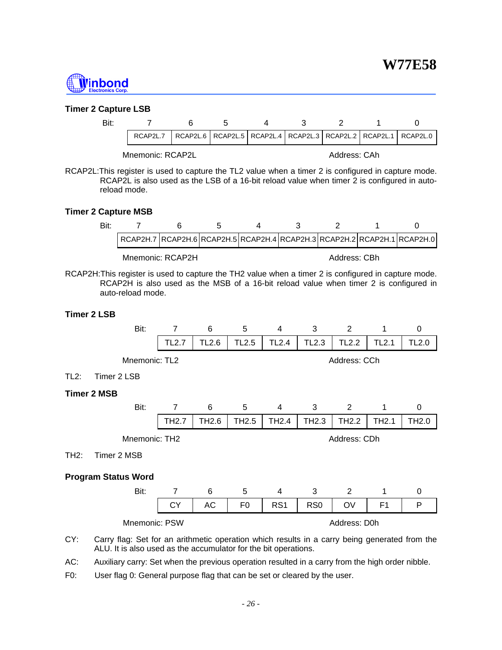

#### **Timer 2 Capture LSB**

| Bit: |                                                                                   |  |  |  |  |
|------|-----------------------------------------------------------------------------------|--|--|--|--|
|      | ,RCAP2L.7 RCAP2L.6 RCAP2L.5 RCAP2L.4 RCAP2L.3 RCAP2L.2 RCAP2L.1 RCAP2L.0 RCAP2L.0 |  |  |  |  |
|      |                                                                                   |  |  |  |  |

Mnemonic: RCAP2L Address: CAh

RCAP2L:This register is used to capture the TL2 value when a timer 2 is configured in capture mode. RCAP2L is also used as the LSB of a 16-bit reload value when timer 2 is configured in autoreload mode.

#### **Timer 2 Capture MSB**

| RCAP2H.7  RCAP2H.6  RCAP2H.5  RCAP2H.4  RCAP2H.3  RCAP2H.2  RCAP2H.1  RCAP2H.0 |                  |  |              |  |
|--------------------------------------------------------------------------------|------------------|--|--------------|--|
|                                                                                | Mnemonic: RCAP2H |  | Address: CBh |  |

RCAP2H:This register is used to capture the TH2 value when a timer 2 is configured in capture mode. RCAP2H is also used as the MSB of a 16-bit reload value when timer 2 is configured in auto-reload mode.

#### **Timer 2 LSB**

|                               | Bit: | 7              | 6                 | 5                 | 4                 | 3                 | 2                 | 1                 | 0                 |
|-------------------------------|------|----------------|-------------------|-------------------|-------------------|-------------------|-------------------|-------------------|-------------------|
|                               |      | <b>TL2.7</b>   | TL <sub>2.6</sub> | <b>TL2.5</b>      | <b>TL2.4</b>      | TL <sub>2.3</sub> | <b>TL2.2</b>      | <b>TL2.1</b>      | <b>TL2.0</b>      |
| Address: CCh<br>Mnemonic: TL2 |      |                |                   |                   |                   |                   |                   |                   |                   |
| $TL2$ :<br>Timer 2 LSB        |      |                |                   |                   |                   |                   |                   |                   |                   |
| <b>Timer 2 MSB</b>            |      |                |                   |                   |                   |                   |                   |                   |                   |
|                               | Bit: | 7              | 6                 | 5                 | 4                 | 3                 | 2                 | 1                 | 0                 |
|                               |      | TH2.7          | TH <sub>2.6</sub> | TH <sub>2.5</sub> | TH <sub>2.4</sub> | TH <sub>2.3</sub> | TH <sub>2.2</sub> | TH <sub>2.1</sub> | TH <sub>2.0</sub> |
| Mnemonic: TH2                 |      |                |                   |                   |                   |                   |                   |                   |                   |
|                               |      |                |                   |                   |                   |                   | Address: CDh      |                   |                   |
| Timer 2 MSB<br>TH2:           |      |                |                   |                   |                   |                   |                   |                   |                   |
|                               |      |                |                   |                   |                   |                   |                   |                   |                   |
| <b>Program Status Word</b>    | Bit: | $\overline{7}$ | 6                 | 5                 | $\overline{4}$    | 3                 | 2                 | 1                 | 0                 |
|                               |      | <b>CY</b>      | <b>AC</b>         | F <sub>0</sub>    | RS <sub>1</sub>   | RS <sub>0</sub>   | OV                | F <sub>1</sub>    | P                 |

CY: Carry flag: Set for an arithmetic operation which results in a carry being generated from the ALU. It is also used as the accumulator for the bit operations.

AC: Auxiliary carry: Set when the previous operation resulted in a carry from the high order nibble.

F0: User flag 0: General purpose flag that can be set or cleared by the user.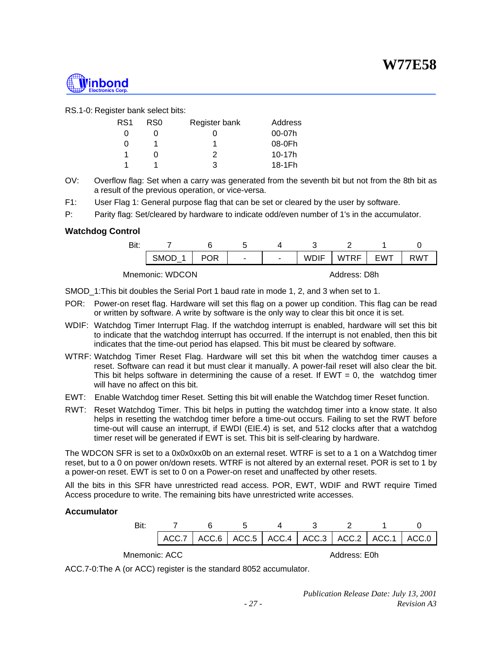

RS.1-0: Register bank select bits:

| RS <sub>1</sub> | RS0 | Register bank | Address  |
|-----------------|-----|---------------|----------|
|                 |     |               | 00-07h   |
| O               |     |               | 08-0Fh   |
|                 |     | 2             | $10-17h$ |
|                 |     | 3             | 18-1Fh   |

OV: Overflow flag: Set when a carry was generated from the seventh bit but not from the 8th bit as a result of the previous operation, or vice-versa.

F1: User Flag 1: General purpose flag that can be set or cleared by the user by software.

P: Parity flag: Set/cleared by hardware to indicate odd/even number of 1's in the accumulator.

#### **Watchdog Control**

| Bit: |                 |            |   |                |             |              |            |     |
|------|-----------------|------------|---|----------------|-------------|--------------|------------|-----|
|      | <b>SMOD</b>     | <b>POR</b> | ۰ | $\blacksquare$ | <b>WDIF</b> | <b>WTRF</b>  | <b>FWT</b> | RWT |
|      | Mnemonic: WDCON |            |   |                |             | Address: D8h |            |     |

SMOD\_1:This bit doubles the Serial Port 1 baud rate in mode 1, 2, and 3 when set to 1.

- POR: Power-on reset flag. Hardware will set this flag on a power up condition. This flag can be read or written by software. A write by software is the only way to clear this bit once it is set.
- WDIF: Watchdog Timer Interrupt Flag. If the watchdog interrupt is enabled, hardware will set this bit to indicate that the watchdog interrupt has occurred. If the interrupt is not enabled, then this bit indicates that the time-out period has elapsed. This bit must be cleared by software.
- WTRF: Watchdog Timer Reset Flag. Hardware will set this bit when the watchdog timer causes a reset. Software can read it but must clear it manually. A power-fail reset will also clear the bit. This bit helps software in determining the cause of a reset. If  $EWT = 0$ , the watchdog timer will have no affect on this bit.
- EWT: Enable Watchdog timer Reset. Setting this bit will enable the Watchdog timer Reset function.
- RWT: Reset Watchdog Timer. This bit helps in putting the watchdog timer into a know state. It also helps in resetting the watchdog timer before a time-out occurs. Failing to set the RWT before time-out will cause an interrupt, if EWDI (EIE.4) is set, and 512 clocks after that a watchdog timer reset will be generated if EWT is set. This bit is self-clearing by hardware.

The WDCON SFR is set to a 0x0x0xx0b on an external reset. WTRF is set to a 1 on a Watchdog timer reset, but to a 0 on power on/down resets. WTRF is not altered by an external reset. POR is set to 1 by a power-on reset. EWT is set to 0 on a Power-on reset and unaffected by other resets.

All the bits in this SFR have unrestricted read access. POR, EWT, WDIF and RWT require Timed Access procedure to write. The remaining bits have unrestricted write accesses.

#### **Accumulator**

|               |  | ACC.7   ACC.6   ACC.5   ACC.4   ACC.3   ACC.2   ACC.1   ACC.0 |              |  |
|---------------|--|---------------------------------------------------------------|--------------|--|
| Mnemonic: ACC |  |                                                               | Address: E0h |  |

ACC.7-0:The A (or ACC) register is the standard 8052 accumulator.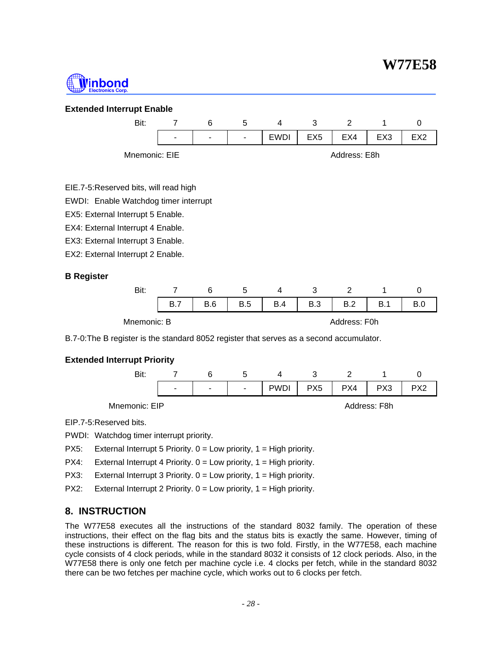## **W77E58**



#### **Extended Interrupt Enable**



#### EIE.7-5:Reserved bits, will read high

EWDI: Enable Watchdog timer interrupt

EX5: External Interrupt 5 Enable.

EX4: External Interrupt 4 Enable.

EX3: External Interrupt 3 Enable.

EX2: External Interrupt 2 Enable.

#### **B Register**

|             |     |     | ∽          |     |     |              |     |  |
|-------------|-----|-----|------------|-----|-----|--------------|-----|--|
|             | B.7 | B.6 | <b>B.5</b> | B.4 | B.3 | B.2          | B.1 |  |
| Mnemonic: B |     |     |            |     |     | Address: F0h |     |  |

B.7-0:The B register is the standard 8052 register that serves as a second accumulator.

#### **Extended Interrupt Priority**



EIP.7-5:Reserved bits.

PWDI: Watchdog timer interrupt priority.

PX5: External Interrupt 5 Priority. 0 = Low priority, 1 = High priority.

PX4: External Interrupt 4 Priority. 0 = Low priority, 1 = High priority.

PX3: External Interrupt 3 Priority. 0 = Low priority, 1 = High priority.

PX2: External Interrupt 2 Priority. 0 = Low priority, 1 = High priority.

#### **8. INSTRUCTION**

The W77E58 executes all the instructions of the standard 8032 family. The operation of these instructions, their effect on the flag bits and the status bits is exactly the same. However, timing of these instructions is different. The reason for this is two fold. Firstly, in the W77E58, each machine cycle consists of 4 clock periods, while in the standard 8032 it consists of 12 clock periods. Also, in the W77E58 there is only one fetch per machine cycle i.e. 4 clocks per fetch, while in the standard 8032 there can be two fetches per machine cycle, which works out to 6 clocks per fetch.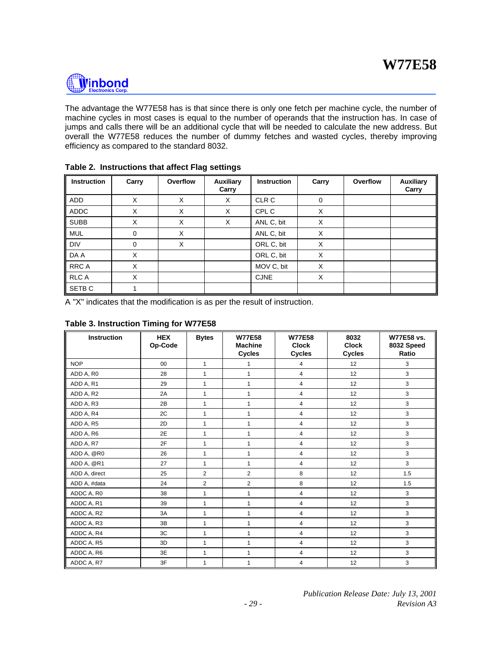

The advantage the W77E58 has is that since there is only one fetch per machine cycle, the number of machine cycles in most cases is equal to the number of operands that the instruction has. In case of jumps and calls there will be an additional cycle that will be needed to calculate the new address. But overall the W77E58 reduces the number of dummy fetches and wasted cycles, thereby improving efficiency as compared to the standard 8032.

| <b>Instruction</b> | Carry       | Overflow | <b>Auxiliary</b><br>Carry | <b>Instruction</b> | Carry    | Overflow | <b>Auxiliary</b><br>Carry |
|--------------------|-------------|----------|---------------------------|--------------------|----------|----------|---------------------------|
| ADD                | X           | X        | X                         | CLR C              | $\Omega$ |          |                           |
| <b>ADDC</b>        | X           | X        | X                         | CPL C              | X        |          |                           |
| <b>SUBB</b>        | X           | X        | X                         | ANL C, bit         | X        |          |                           |
| <b>MUL</b>         | $\Omega$    | X        |                           | ANL C, bit         | X        |          |                           |
| <b>DIV</b>         | $\mathbf 0$ | X        |                           | ORL C, bit         | X        |          |                           |
| DA A               | X           |          |                           | ORL C, bit         | X        |          |                           |
| RRC A              | X           |          |                           | MOV C, bit         | X        |          |                           |
| <b>RLC A</b>       | X           |          |                           | <b>CJNE</b>        | X        |          |                           |
| SETB <sub>C</sub>  |             |          |                           |                    |          |          |                           |

| Table 2. Instructions that affect Flag settings |  |
|-------------------------------------------------|--|
|-------------------------------------------------|--|

A "X" indicates that the modification is as per the result of instruction.

| <b>Instruction</b> | <b>HEX</b><br>Op-Code | <b>Bytes</b>   | <b>W77E58</b><br><b>Machine</b><br><b>Cycles</b> | <b>W77E58</b><br><b>Clock</b><br><b>Cycles</b> | 8032<br><b>Clock</b><br><b>Cycles</b> | <b>W77E58 vs.</b><br>8032 Speed<br>Ratio |
|--------------------|-----------------------|----------------|--------------------------------------------------|------------------------------------------------|---------------------------------------|------------------------------------------|
| <b>NOP</b>         | 00                    | $\mathbf{1}$   | 1                                                | 4                                              | 12                                    | 3                                        |
| ADD A, R0          | 28                    | 1              | 1                                                | $\overline{4}$                                 | 12                                    | 3                                        |
| ADD A, R1          | 29                    | $\mathbf{1}$   | $\mathbf{1}$                                     | $\overline{4}$                                 | 12                                    | 3                                        |
| ADD A, R2          | 2A                    | $\mathbf{1}$   | $\mathbf{1}$                                     | $\overline{4}$                                 | 12                                    | 3                                        |
| ADD A, R3          | 2B                    | $\mathbf{1}$   | $\mathbf{1}$                                     | $\overline{4}$                                 | 12                                    | 3                                        |
| ADD A, R4          | 2C                    | $\mathbf{1}$   | $\mathbf{1}$                                     | $\overline{4}$                                 | 12                                    | 3                                        |
| ADD A, R5          | 2D                    | $\mathbf{1}$   | $\mathbf{1}$                                     | 4                                              | 12                                    | 3                                        |
| ADD A, R6          | 2E                    | $\mathbf{1}$   | 1                                                | 4                                              | 12                                    | 3                                        |
| ADD A, R7          | 2F                    | $\mathbf{1}$   | $\mathbf{1}$                                     | 4                                              | 12                                    | 3                                        |
| ADD A, @R0         | 26                    | $\mathbf{1}$   | 1                                                | $\overline{4}$                                 | 12                                    | 3                                        |
| ADD A, @R1         | 27                    | $\mathbf{1}$   | $\mathbf{1}$                                     | $\overline{4}$                                 | 12                                    | 3                                        |
| ADD A, direct      | 25                    | 2              | $\overline{2}$                                   | 8                                              | 12                                    | 1.5                                      |
| ADD A, #data       | 24                    | $\overline{2}$ | $\overline{2}$                                   | 8                                              | 12                                    | 1.5                                      |
| ADDC A, R0         | 38                    | $\mathbf{1}$   | 1                                                | 4                                              | 12                                    | 3                                        |
| ADDC A, R1         | 39                    | $\mathbf{1}$   | 1                                                | $\overline{4}$                                 | 12                                    | 3                                        |
| ADDC A, R2         | 3A                    | $\mathbf{1}$   | 1                                                | 4                                              | 12                                    | 3                                        |
| ADDC A, R3         | 3B                    | $\mathbf{1}$   | 1                                                | $\overline{4}$                                 | 12                                    | 3                                        |
| ADDC A, R4         | 3C                    | $\mathbf{1}$   | 1                                                | $\overline{4}$                                 | 12                                    | 3                                        |
| ADDC A, R5         | 3D                    | $\mathbf{1}$   | 1                                                | 4                                              | 12                                    | 3                                        |
| ADDC A, R6         | 3E                    | $\mathbf{1}$   | 1                                                | $\overline{4}$                                 | 12                                    | 3                                        |
| ADDC A, R7         | 3F                    | $\mathbf{1}$   | 1                                                | 4                                              | 12                                    | 3                                        |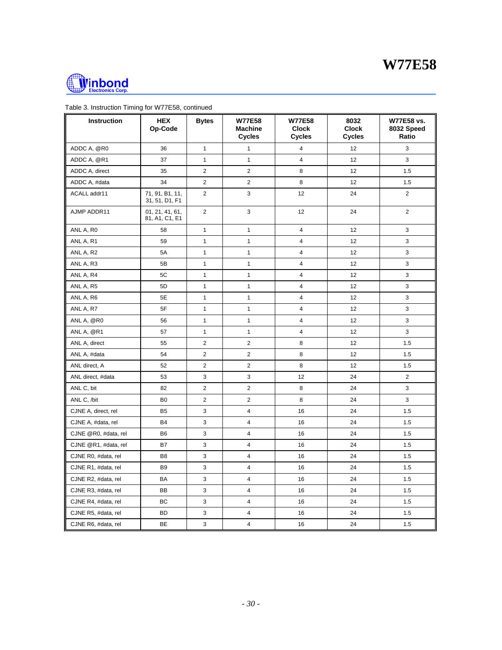



| Instruction          | <b>HEX</b><br>Op-Code             | <b>Bytes</b>            | <b>W77E58</b><br><b>Machine</b><br><b>Cycles</b> | <b>W77E58</b><br><b>Clock</b><br><b>Cycles</b> | 8032<br><b>Clock</b><br><b>Cycles</b> | W77E58 vs.<br>8032 Speed<br>Ratio |
|----------------------|-----------------------------------|-------------------------|--------------------------------------------------|------------------------------------------------|---------------------------------------|-----------------------------------|
| ADDC A, @R0          | 36                                | $\mathbf{1}$            | $\mathbf{1}$                                     | 4                                              | 12                                    | 3                                 |
| ADDC A, @R1          | 37                                | $\mathbf{1}$            | $\mathbf{1}$                                     | $\overline{4}$                                 | 12                                    | 3                                 |
| ADDC A, direct       | 35                                | $\overline{\mathbf{c}}$ | $\overline{2}$                                   | 8                                              | 12                                    | 1.5                               |
| ADDC A, #data        | 34                                | $\overline{\mathbf{c}}$ | $\overline{2}$                                   | 8                                              | 12                                    | 1.5                               |
| ACALL addr11         | 71, 91, B1, 11,<br>31, 51, D1, F1 | $\overline{\mathbf{c}}$ | 3                                                | 12                                             | 24                                    | $\overline{2}$                    |
| AJMP ADDR11          | 01, 21, 41, 61,<br>81, A1, C1, E1 | $\overline{2}$          | 3                                                | 12                                             | 24                                    | $\overline{2}$                    |
| ANL A, R0            | 58                                | $\mathbf{1}$            | $\mathbf{1}$                                     | $\overline{4}$                                 | 12                                    | 3                                 |
| ANL A, R1            | 59                                | $\mathbf{1}$            | $\mathbf{1}$                                     | $\overline{4}$                                 | 12                                    | 3                                 |
| ANL A, R2            | 5A                                | $\mathbf{1}$            | $\mathbf{1}$                                     | 4                                              | 12                                    | 3                                 |
| ANL A, R3            | 5B                                | $\mathbf{1}$            | $\mathbf{1}$                                     | 4                                              | 12                                    | 3                                 |
| ANL A, R4            | 5C                                | $\mathbf{1}$            | $\mathbf{1}$                                     | 4                                              | 12                                    | 3                                 |
| ANL A, R5            | 5D                                | $\mathbf{1}$            | $\mathbf{1}$                                     | 4                                              | 12                                    | 3                                 |
| ANL A, R6            | 5E                                | $\mathbf{1}$            | $\mathbf{1}$                                     | $\overline{\mathbf{4}}$                        | 12                                    | 3                                 |
| ANL A, R7            | 5F                                | $\mathbf{1}$            | $\mathbf{1}$                                     | 4                                              | 12                                    | 3                                 |
| ANL A, @R0           | 56                                | $\mathbf{1}$            | $\mathbf{1}$                                     | 4                                              | 12                                    | 3                                 |
| ANL A, @R1           | 57                                | $\mathbf{1}$            | $\mathbf{1}$                                     | $\overline{\mathbf{4}}$                        | 12                                    | 3                                 |
| ANL A, direct        | 55                                | $\overline{\mathbf{c}}$ | $\overline{2}$                                   | 8                                              | 12                                    | 1.5                               |
| ANL A, #data         | 54                                | $\overline{\mathbf{c}}$ | $\overline{\mathbf{c}}$                          | 8                                              | 12                                    | 1.5                               |
| ANL direct, A        | 52                                | $\overline{c}$          | $\overline{2}$                                   | 8                                              | 12                                    | 1.5                               |
| ANL direct, #data    | 53                                | 3                       | 3                                                | 12                                             | 24                                    | $\overline{2}$                    |
| ANL C, bit           | 82                                | $\overline{c}$          | $\overline{2}$                                   | 8                                              | 24                                    | 3                                 |
| ANL C, /bit          | B <sub>0</sub>                    | $\overline{c}$          | $\overline{2}$                                   | 8                                              | 24                                    | 3                                 |
| CJNE A, direct, rel  | <b>B5</b>                         | 3                       | $\overline{4}$                                   | 16                                             | 24                                    | 1.5                               |
| CJNE A, #data, rel   | <b>B4</b>                         | 3                       | 4                                                | 16                                             | 24                                    | 1.5                               |
| CJNE @R0, #data, rel | <b>B6</b>                         | 3                       | 4                                                | 16                                             | 24                                    | 1.5                               |
| CJNE @R1, #data, rel | B7                                | 3                       | $\overline{4}$                                   | 16                                             | 24                                    | 1.5                               |
| CJNE R0, #data, rel  | B <sub>8</sub>                    | 3                       | 4                                                | 16                                             | 24                                    | 1.5                               |
| CJNE R1, #data, rel  | B <sub>9</sub>                    | 3                       | 4                                                | 16                                             | 24                                    | 1.5                               |
| CJNE R2, #data, rel  | BA                                | 3                       | $\overline{4}$                                   | 16                                             | 24                                    | 1.5                               |
| CJNE R3, #data, rel  | BB                                | 3                       | $\overline{4}$                                   | 16                                             | 24                                    | 1.5                               |
| CJNE R4, #data, rel  | BC                                | 3                       | $\overline{4}$                                   | 16                                             | 24                                    | 1.5                               |
| CJNE R5, #data, rel  | <b>BD</b>                         | 3                       | 4                                                | 16                                             | 24                                    | 1.5                               |
| CJNE R6, #data, rel  | BE                                | 3                       | 4                                                | 16                                             | 24                                    | 1.5                               |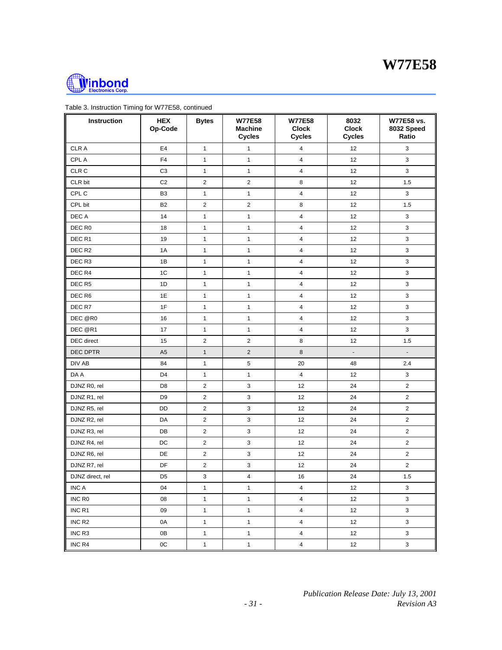



| Instruction        | <b>HEX</b><br>Op-Code | <b>Bytes</b>            | <b>W77E58</b><br><b>Machine</b><br><b>Cycles</b> | <b>W77E58</b><br><b>Clock</b><br><b>Cycles</b> | 8032<br><b>Clock</b><br><b>Cycles</b> | W77E58 vs.<br>8032 Speed<br>Ratio |
|--------------------|-----------------------|-------------------------|--------------------------------------------------|------------------------------------------------|---------------------------------------|-----------------------------------|
| <b>CLRA</b>        | E4                    | $\mathbf{1}$            | $\mathbf{1}$                                     | 4                                              | 12                                    | $\mathbf{3}$                      |
| CPL A              | F4                    | $\mathbf{1}$            | $\mathbf{1}$                                     | $\overline{4}$                                 | 12                                    | $\mathbf{3}$                      |
| CLR <sub>C</sub>   | C <sub>3</sub>        | $\mathbf{1}$            | $\mathbf{1}$                                     | $\overline{\mathbf{4}}$                        | 12                                    | $\mathbf{3}$                      |
| CLR bit            | C <sub>2</sub>        | $\overline{\mathbf{c}}$ | $\mathbf 2$                                      | 8                                              | 12                                    | 1.5                               |
| CPL C              | B <sub>3</sub>        | $\mathbf{1}$            | $\mathbf{1}$                                     | 4                                              | 12                                    | 3                                 |
| CPL bit            | B <sub>2</sub>        | $\overline{\mathbf{c}}$ | $\overline{2}$                                   | 8                                              | 12                                    | 1.5                               |
| DEC A              | 14                    | $\mathbf{1}$            | $\mathbf{1}$                                     | $\overline{4}$                                 | 12                                    | $\mathsf 3$                       |
| DEC R0             | 18                    | $\mathbf{1}$            | $\mathbf{1}$                                     | 4                                              | 12                                    | $\mathbf{3}$                      |
| DEC <sub>R1</sub>  | 19                    | $\mathbf{1}$            | $\mathbf{1}$                                     | $\overline{4}$                                 | 12                                    | 3                                 |
| DEC R <sub>2</sub> | 1A                    | $\mathbf{1}$            | $\mathbf{1}$                                     | $\overline{4}$                                 | 12                                    | 3                                 |
| DEC R3             | 1B                    | $\mathbf{1}$            | $\mathbf{1}$                                     | 4                                              | 12                                    | 3                                 |
| DEC R4             | 1 <sup>C</sup>        | $\mathbf{1}$            | $\mathbf{1}$                                     | $\overline{4}$                                 | 12                                    | 3                                 |
| DEC R5             | 1D                    | $\mathbf{1}$            | $\mathbf{1}$                                     | $\overline{4}$                                 | 12                                    | 3                                 |
| DEC R6             | 1E                    | $\mathbf{1}$            | $\mathbf{1}$                                     | $\overline{4}$                                 | 12                                    | 3                                 |
| DEC R7             | 1F                    | $\mathbf{1}$            | $\mathbf{1}$                                     | 4                                              | 12                                    | $\mathbf{3}$                      |
| DEC @R0            | 16                    | $\mathbf{1}$            | $\mathbf{1}$                                     | $\overline{4}$                                 | 12                                    | 3                                 |
| DEC @R1            | 17                    | $\mathbf{1}$            | $\mathbf{1}$                                     | $\overline{4}$                                 | 12                                    | 3                                 |
| DEC direct         | 15                    | $\overline{\mathbf{c}}$ | $\overline{2}$                                   | 8                                              | 12                                    | 1.5                               |
| DEC DPTR           | A <sub>5</sub>        | $\mathbf{1}$            | $\sqrt{2}$                                       | $\,8\,$                                        | $\overline{\phantom{a}}$              | $\overline{\phantom{a}}$          |
| DIV AB             | 84                    | $\mathbf{1}$            | $\sqrt{5}$                                       | 20                                             | 48                                    | 2.4                               |
| DA A               | D4                    | $\mathbf{1}$            | $\mathbf{1}$                                     | $\overline{4}$                                 | 12                                    | 3                                 |
| DJNZ R0, rel       | D <sub>8</sub>        | $\overline{\mathbf{c}}$ | 3                                                | 12                                             | 24                                    | $\overline{2}$                    |
| DJNZ R1, rel       | D <sub>9</sub>        | $\overline{c}$          | $\mathbf{3}$                                     | 12                                             | 24                                    | $\overline{2}$                    |
| DJNZ R5, rel       | DD                    | $\overline{\mathbf{c}}$ | $\ensuremath{\mathsf{3}}$                        | 12                                             | 24                                    | $\overline{\mathbf{c}}$           |
| DJNZ R2, rel       | DA                    | $\overline{c}$          | $\mathsf 3$                                      | 12                                             | 24                                    | $\overline{2}$                    |
| DJNZ R3, rel       | DB                    | $\overline{c}$          | $\mathsf 3$                                      | 12                                             | 24                                    | $\overline{\mathbf{c}}$           |
| DJNZ R4, rel       | DC                    | 2                       | $\mathbf{3}$                                     | 12                                             | 24                                    | $\overline{2}$                    |
| DJNZ R6, rel       | DE                    | $\overline{2}$          | 3                                                | 12                                             | 24                                    | $\overline{2}$                    |
| DJNZ R7, rel       | DF                    | $\overline{\mathbf{c}}$ | $\ensuremath{\mathsf{3}}$                        | 12                                             | 24                                    | $\overline{2}$                    |
| DJNZ direct, rel   | D <sub>5</sub>        | 3                       | $\overline{4}$                                   | 16                                             | 24                                    | 1.5                               |
| INC A              | 04                    | $\mathbf{1}$            | $\mathbf{1}$                                     | $\overline{4}$                                 | 12                                    | 3                                 |
| INC R <sub>0</sub> | 08                    | $\mathbf{1}$            | $\mathbf{1}$                                     | $\overline{4}$                                 | 12                                    | 3                                 |
| INC R1             | 09                    | $\mathbf{1}$            | $\mathbf{1}$                                     | $\overline{4}$                                 | 12                                    | 3                                 |
| INC <sub>R2</sub>  | 0A                    | $\mathbf{1}$            | $\mathbf{1}$                                     | $\overline{4}$                                 | 12                                    | $\mathbf{3}$                      |
| INC R3             | 0B                    | $\mathbf{1}$            | $\mathbf{1}$                                     | $\overline{4}$                                 | 12                                    | $\mathbf{3}$                      |
| INC R4             | $0\mathrm{C}$         | $\mathbf{1}$            | $\mathbf{1}$                                     | $\overline{4}$                                 | 12                                    | $\mathsf 3$                       |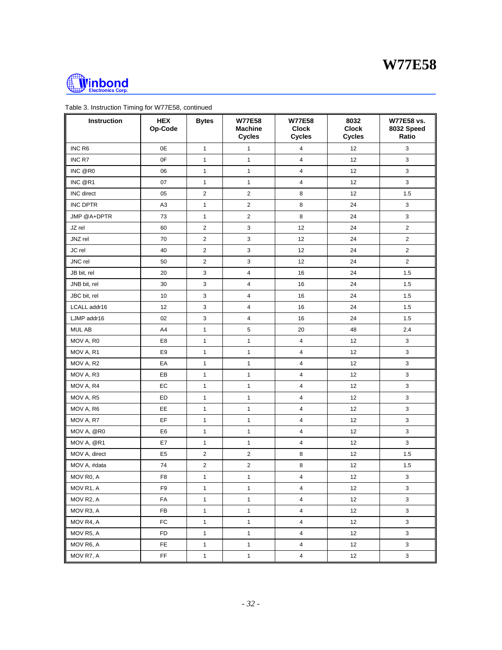



| Instruction       | <b>HEX</b><br>Op-Code | <b>Bytes</b>            | <b>W77E58</b><br><b>Machine</b><br><b>Cycles</b> | <b>W77E58</b><br><b>Clock</b><br><b>Cycles</b> | 8032<br><b>Clock</b><br><b>Cycles</b> | W77E58 vs.<br>8032 Speed<br>Ratio |
|-------------------|-----------------------|-------------------------|--------------------------------------------------|------------------------------------------------|---------------------------------------|-----------------------------------|
| INC R6            | 0E                    | $\mathbf{1}$            | $\mathbf{1}$                                     | 4                                              | 12                                    | 3                                 |
| INC R7            | 0F                    | $\mathbf{1}$            | $\mathbf{1}$                                     | 4                                              | 12                                    | 3                                 |
| INC @R0           | 06                    | $\mathbf{1}$            | $\mathbf{1}$                                     | $\overline{4}$                                 | 12                                    | 3                                 |
| INC @R1           | 07                    | $\mathbf{1}$            | $\mathbf{1}$                                     | $\overline{4}$                                 | 12                                    | 3                                 |
| <b>INC</b> direct | 05                    | $\overline{c}$          | $\overline{2}$                                   | 8                                              | 12                                    | 1.5                               |
| INC DPTR          | A <sub>3</sub>        | $\mathbf{1}$            | $\mathbf 2$                                      | 8                                              | 24                                    | 3                                 |
| JMP @A+DPTR       | 73                    | $\mathbf{1}$            | $\mathbf 2$                                      | 8                                              | 24                                    | 3                                 |
| JZ rel            | 60                    | $\overline{\mathbf{c}}$ | 3                                                | 12                                             | 24                                    | $\overline{2}$                    |
| JNZ rel           | 70                    | 2                       | 3                                                | 12                                             | 24                                    | $\overline{2}$                    |
| JC rel            | 40                    | $\overline{c}$          | $\ensuremath{\mathsf{3}}$                        | 12                                             | 24                                    | $\overline{2}$                    |
| JNC rel           | 50                    | $\overline{\mathbf{c}}$ | $\mathsf 3$                                      | 12                                             | 24                                    | $\overline{2}$                    |
| JB bit, rel       | 20                    | 3                       | 4                                                | 16                                             | 24                                    | 1.5                               |
| JNB bit, rel      | 30                    | 3                       | $\overline{4}$                                   | 16                                             | 24                                    | 1.5                               |
| JBC bit, rel      | 10                    | 3                       | 4                                                | 16                                             | 24                                    | 1.5                               |
| LCALL addr16      | 12                    | 3                       | 4                                                | 16                                             | 24                                    | 1.5                               |
| LJMP addr16       | 02                    | 3                       | $\overline{4}$                                   | 16                                             | 24                                    | 1.5                               |
| MUL AB            | A4                    | $\mathbf{1}$            | 5                                                | 20                                             | 48                                    | 2.4                               |
| MOV A, R0         | E8                    | $\mathbf{1}$            | $\mathbf{1}$                                     | $\overline{4}$                                 | 12                                    | 3                                 |
| MOV A, R1         | E9                    | $\mathbf{1}$            | $\mathbf{1}$                                     | 4                                              | 12                                    | 3                                 |
| MOV A, R2         | EA                    | $\mathbf{1}$            | $\mathbf{1}$                                     | $\overline{4}$                                 | 12                                    | 3                                 |
| MOV A, R3         | EB                    | $\mathbf{1}$            | $\mathbf{1}$                                     | $\overline{4}$                                 | 12                                    | 3                                 |
| MOV A, R4         | EC                    | $\mathbf{1}$            | $\mathbf{1}$                                     | $\overline{4}$                                 | 12                                    | 3                                 |
| MOV A, R5         | ED                    | $\mathbf{1}$            | $\mathbf{1}$                                     | $\overline{4}$                                 | 12                                    | 3                                 |
| MOV A, R6         | EE                    | $\mathbf{1}$            | $\mathbf{1}$                                     | $\overline{4}$                                 | 12                                    | 3                                 |
| MOV A, R7         | EF                    | $\mathbf{1}$            | $\mathbf{1}$                                     | $\overline{4}$                                 | 12                                    | $\mathbf{3}$                      |
| MOV A, @R0        | E <sub>6</sub>        | $\mathbf{1}$            | $\mathbf{1}$                                     | $\overline{4}$                                 | 12                                    | 3                                 |
| MOV A, @R1        | E7                    | $\mathbf{1}$            | $\mathbf{1}$                                     | $\overline{4}$                                 | 12                                    | 3                                 |
| MOV A, direct     | E <sub>5</sub>        | 2                       | $\overline{2}$                                   | 8                                              | 12                                    | 1.5                               |
| MOV A, #data      | 74                    | 2                       | $\boldsymbol{2}$                                 | $\bf 8$                                        | 12                                    | 1.5                               |
| MOV R0, A         | F <sub>8</sub>        | $\mathbf{1}$            | $\mathbf{1}$                                     | $\overline{4}$                                 | 12                                    | $\mathbf{3}$                      |
| MOV R1, A         | F9                    | $\mathbf{1}$            | $\mathbf{1}$                                     | $\overline{4}$                                 | 12                                    | 3                                 |
| MOV R2, A         | FA                    | $\mathbf{1}$            | $\mathbf{1}$                                     | $\overline{4}$                                 | 12                                    | 3                                 |
| MOV R3, A         | FB                    | $\mathbf{1}$            | $\mathbf{1}$                                     | $\overline{4}$                                 | 12                                    | 3                                 |
| MOV R4, A         | FC                    | $\mathbf{1}$            | $\mathbf{1}$                                     | $\overline{\mathbf{4}}$                        | 12                                    | $\mathbf{3}$                      |
| MOV R5, A         | FD                    | $\mathbf{1}$            | $\mathbf{1}$                                     | $\overline{4}$                                 | 12                                    | $\mathbf{3}$                      |
| MOV R6, A         | <b>FE</b>             | $\mathbf{1}$            | $\mathbf{1}$                                     | $\overline{\mathbf{4}}$                        | 12                                    | $\mathbf{3}$                      |
| MOV R7, A         | $\mathsf{FF}% _{F}$   | $\mathbf{1}$            | $\mathbf{1}$                                     | $\overline{4}$                                 | 12                                    | $\mathbf{3}$                      |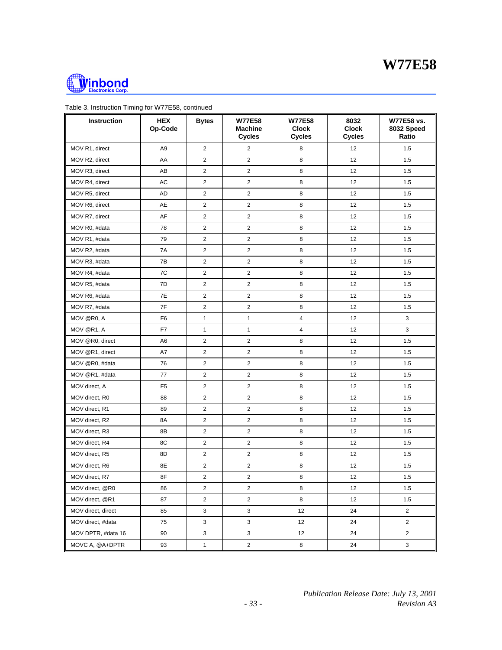



| Instruction        | <b>HEX</b><br>Op-Code | <b>Bytes</b>   | <b>W77E58</b><br><b>Machine</b><br><b>Cycles</b> | <b>W77E58</b><br><b>Clock</b><br><b>Cycles</b> | 8032<br><b>Clock</b><br><b>Cycles</b> | W77E58 vs.<br>8032 Speed<br>Ratio |
|--------------------|-----------------------|----------------|--------------------------------------------------|------------------------------------------------|---------------------------------------|-----------------------------------|
| MOV R1, direct     | A <sub>9</sub>        | $\overline{2}$ | $\overline{2}$                                   | 8                                              | 12                                    | 1.5                               |
| MOV R2, direct     | AA                    | 2              | $\overline{2}$                                   | 8                                              | 12                                    | 1.5                               |
| MOV R3, direct     | AB                    | 2              | $\overline{c}$                                   | 8                                              | 12                                    | 1.5                               |
| MOV R4, direct     | AC                    | 2              | $\overline{c}$                                   | 8                                              | 12                                    | 1.5                               |
| MOV R5, direct     | AD                    | 2              | $\overline{c}$                                   | 8                                              | 12                                    | 1.5                               |
| MOV R6, direct     | AE                    | 2              | $\overline{2}$                                   | 8                                              | 12                                    | 1.5                               |
| MOV R7, direct     | AF                    | 2              | $\overline{2}$                                   | 8                                              | 12                                    | 1.5                               |
| MOV R0, #data      | 78                    | 2              | $\overline{c}$                                   | 8                                              | 12                                    | 1.5                               |
| MOV R1, #data      | 79                    | 2              | $\overline{c}$                                   | 8                                              | 12                                    | 1.5                               |
| MOV R2, #data      | 7A                    | 2              | $\overline{\mathbf{c}}$                          | 8                                              | 12                                    | 1.5                               |
| MOV R3, #data      | 7B                    | 2              | $\overline{2}$                                   | 8                                              | 12                                    | 1.5                               |
| MOV R4, #data      | 7C                    | 2              | $\overline{2}$                                   | 8                                              | 12                                    | 1.5                               |
| MOV R5, #data      | 7D                    | 2              | $\overline{c}$                                   | 8                                              | 12                                    | 1.5                               |
| MOV R6, #data      | 7E                    | 2              | $\overline{2}$                                   | 8                                              | 12                                    | 1.5                               |
| MOV R7, #data      | 7F                    | 2              | $\overline{2}$                                   | 8                                              | 12                                    | 1.5                               |
| MOV @R0, A         | F <sub>6</sub>        | $\mathbf{1}$   | $\mathbf{1}$                                     | $\overline{4}$                                 | 12                                    | 3                                 |
| MOV @R1, A         | F7                    | 1              | $\mathbf{1}$                                     | $\overline{4}$                                 | 12                                    | 3                                 |
| MOV @R0, direct    | A <sub>6</sub>        | 2              | $\overline{2}$                                   | 8                                              | 12                                    | 1.5                               |
| MOV @R1, direct    | A7                    | 2              | $\overline{c}$                                   | 8                                              | 12                                    | 1.5                               |
| MOV @R0, #data     | 76                    | 2              | $\overline{2}$                                   | 8                                              | 12                                    | 1.5                               |
| MOV @R1, #data     | 77                    | 2              | $\overline{2}$                                   | 8                                              | 12                                    | 1.5                               |
| MOV direct, A      | F <sub>5</sub>        | 2              | $\overline{2}$                                   | 8                                              | 12                                    | 1.5                               |
| MOV direct, R0     | 88                    | 2              | $\overline{c}$                                   | 8                                              | 12                                    | 1.5                               |
| MOV direct, R1     | 89                    | 2              | $\overline{c}$                                   | 8                                              | 12                                    | 1.5                               |
| MOV direct, R2     | 8A                    | 2              | $\overline{2}$                                   | 8                                              | 12                                    | 1.5                               |
| MOV direct, R3     | 8B                    | 2              | $\overline{2}$                                   | 8                                              | 12                                    | 1.5                               |
| MOV direct, R4     | 8C                    | 2              | $\overline{2}$                                   | 8                                              | 12                                    | 1.5                               |
| MOV direct, R5     | 8D                    | 2              | $\overline{c}$                                   | 8                                              | 12                                    | 1.5                               |
| MOV direct, R6     | 8E                    | 2              | $\overline{c}$                                   | 8                                              | 12                                    | 1.5                               |
| MOV direct, R7     | 8F                    | 2              | $\mathbf 2$                                      | 8                                              | 12                                    | 1.5                               |
| MOV direct, @R0    | 86                    | 2              | $\overline{2}$                                   | 8                                              | 12                                    | 1.5                               |
| MOV direct, @R1    | 87                    | 2              | $\mathbf 2$                                      | 8                                              | 12                                    | 1.5                               |
| MOV direct, direct | 85                    | 3              | 3                                                | 12                                             | 24                                    | $\overline{2}$                    |
| MOV direct, #data  | 75                    | 3              | $\mathbf{3}$                                     | 12                                             | 24                                    | $\overline{2}$                    |
| MOV DPTR, #data 16 | 90                    | 3              | 3                                                | 12                                             | 24                                    | $\overline{2}$                    |
| MOVC A, @A+DPTR    | 93                    | $\mathbf{1}$   | $\overline{2}$                                   | 8                                              | 24                                    | 3                                 |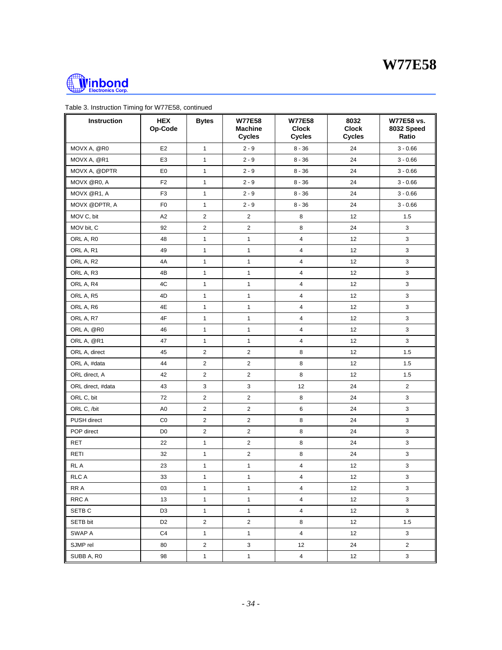



| Instruction       | <b>HEX</b><br>Op-Code | <b>Bytes</b>            | <b>W77E58</b><br><b>Machine</b><br><b>Cycles</b> | <b>W77E58</b><br><b>Clock</b><br><b>Cycles</b> | 8032<br><b>Clock</b><br><b>Cycles</b> | W77E58 vs.<br>8032 Speed<br>Ratio |
|-------------------|-----------------------|-------------------------|--------------------------------------------------|------------------------------------------------|---------------------------------------|-----------------------------------|
| MOVX A, @R0       | E <sub>2</sub>        | $\mathbf{1}$            | $2 - 9$                                          | $8 - 36$                                       | 24                                    | $3 - 0.66$                        |
| MOVX A, @R1       | E <sub>3</sub>        | $\mathbf{1}$            | $2 - 9$                                          | $8 - 36$                                       | 24                                    | $3 - 0.66$                        |
| MOVX A, @DPTR     | E <sub>0</sub>        | $\mathbf{1}$            | $2 - 9$                                          | $8 - 36$                                       | 24                                    | $3 - 0.66$                        |
| MOVX @R0, A       | F <sub>2</sub>        | $\mathbf{1}$            | $2 - 9$                                          | $8 - 36$                                       | 24                                    | $3 - 0.66$                        |
| MOVX @R1, A       | F <sub>3</sub>        | $\mathbf{1}$            | $2 - 9$                                          | $8 - 36$                                       | 24                                    | $3 - 0.66$                        |
| MOVX @DPTR, A     | F <sub>0</sub>        | $\mathbf{1}$            | $2 - 9$                                          | $8 - 36$                                       | 24                                    | $3 - 0.66$                        |
| MOV C, bit        | A <sub>2</sub>        | $\overline{c}$          | $\overline{2}$                                   | 8                                              | 12                                    | 1.5                               |
| MOV bit, C        | 92                    | 2                       | $\overline{c}$                                   | 8                                              | 24                                    | 3                                 |
| ORL A, R0         | 48                    | $\mathbf{1}$            | $\mathbf{1}$                                     | $\overline{4}$                                 | 12                                    | 3                                 |
| ORL A, R1         | 49                    | $\mathbf{1}$            | $\mathbf{1}$                                     | $\overline{4}$                                 | 12                                    | $\mathbf{3}$                      |
| ORL A, R2         | 4A                    | $\mathbf{1}$            | $\mathbf{1}$                                     | $\overline{4}$                                 | 12                                    | $\mathbf{3}$                      |
| ORL A, R3         | 4B                    | $\mathbf{1}$            | $\mathbf{1}$                                     | $\overline{4}$                                 | 12                                    | 3                                 |
| ORL A, R4         | 4C                    | $\mathbf{1}$            | $\mathbf{1}$                                     | 4                                              | 12                                    | 3                                 |
| ORL A, R5         | 4D                    | $\mathbf{1}$            | $\mathbf{1}$                                     | $\overline{4}$                                 | 12                                    | 3                                 |
| ORL A, R6         | 4E                    | $\mathbf{1}$            | $\mathbf{1}$                                     | $\overline{4}$                                 | 12                                    | 3                                 |
| ORL A, R7         | 4F                    | $\mathbf{1}$            | $\mathbf{1}$                                     | $\overline{\mathbf{4}}$                        | 12                                    | 3                                 |
| ORL A, @R0        | 46                    | $\mathbf{1}$            | $\mathbf{1}$                                     | $\overline{4}$                                 | 12                                    | 3                                 |
| ORL A, @R1        | 47                    | $\mathbf{1}$            | $\mathbf{1}$                                     | 4                                              | 12                                    | $\mathbf{3}$                      |
| ORL A, direct     | 45                    | $\overline{\mathbf{c}}$ | $\mathbf 2$                                      | 8                                              | 12                                    | 1.5                               |
| ORL A, #data      | 44                    | $\overline{\mathbf{c}}$ | $\overline{2}$                                   | 8                                              | 12                                    | 1.5                               |
| ORL direct, A     | 42                    | $\overline{\mathbf{c}}$ | $\overline{2}$                                   | 8                                              | 12                                    | 1.5                               |
| ORL direct, #data | 43                    | 3                       | $\mathsf 3$                                      | 12                                             | 24                                    | $\overline{\mathbf{c}}$           |
| ORL C, bit        | 72                    | 2                       | $\mathbf 2$                                      | 8                                              | 24                                    | 3                                 |
| ORL C, /bit       | A <sub>0</sub>        | $\overline{\mathbf{c}}$ | $\mathbf 2$                                      | $\,6\,$                                        | 24                                    | 3                                 |
| PUSH direct       | CO                    | $\overline{\mathbf{c}}$ | $\overline{2}$                                   | 8                                              | 24                                    | 3                                 |
| POP direct        | D <sub>0</sub>        | $\overline{\mathbf{c}}$ | $\mathbf 2$                                      | 8                                              | 24                                    | 3                                 |
| <b>RET</b>        | 22                    | $\mathbf{1}$            | $\mathbf 2$                                      | 8                                              | 24                                    | 3                                 |
| RETI              | 32                    | $\mathbf{1}$            | $\overline{c}$                                   | 8                                              | 24                                    | 3                                 |
| RL A              | 23                    | $\mathbf{1}$            | $\mathbf{1}$                                     | $\overline{4}$                                 | 12                                    | 3                                 |
| <b>RLC A</b>      | 33                    | $\mathbf{1}$            | $\mathbf{1}$                                     | 4                                              | 12                                    | 3                                 |
| RR A              | 03                    | $\mathbf{1}$            | $\mathbf{1}$                                     | $\overline{4}$                                 | 12                                    | 3                                 |
| <b>RRCA</b>       | 13                    | $\mathbf{1}$            | $\mathbf{1}$                                     | $\overline{4}$                                 | 12                                    | 3                                 |
| SETB <sub>C</sub> | D <sub>3</sub>        | $\mathbf{1}$            | $\mathbf{1}$                                     | $\overline{4}$                                 | 12                                    | 3                                 |
| SETB bit          | D <sub>2</sub>        | $\overline{\mathbf{c}}$ | $\overline{2}$                                   | 8                                              | 12                                    | 1.5                               |
| SWAP A            | C4                    | $\mathbf{1}$            | $\mathbf{1}$                                     | 4                                              | 12                                    | 3                                 |
| SJMP rel          | 80                    | $\overline{\mathbf{c}}$ | $\mathsf 3$                                      | 12                                             | 24                                    | $\overline{2}$                    |
| SUBB A, R0        | 98                    | $\mathbf{1}$            | $\mathbf{1}$                                     | $\overline{4}$                                 | 12                                    | $\mathbf{3}$                      |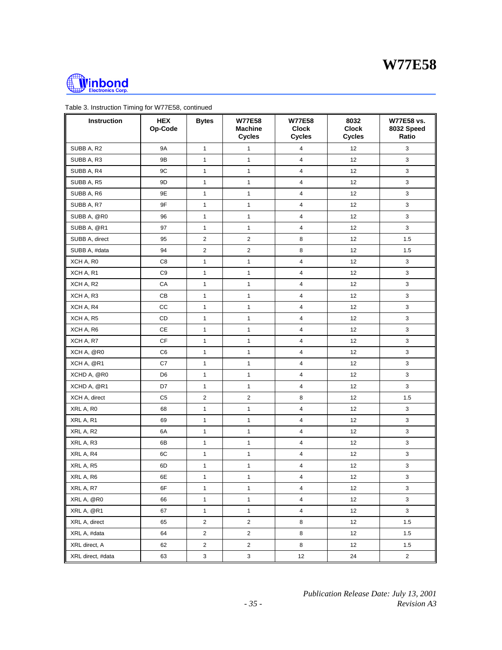



| Instruction       | <b>HEX</b><br>Op-Code | <b>Bytes</b>            | <b>W77E58</b><br><b>Machine</b><br><b>Cycles</b> | <b>W77E58</b><br><b>Clock</b><br><b>Cycles</b> | 8032<br><b>Clock</b><br><b>Cycles</b> | W77E58 vs.<br>8032 Speed<br>Ratio |
|-------------------|-----------------------|-------------------------|--------------------------------------------------|------------------------------------------------|---------------------------------------|-----------------------------------|
| SUBB A, R2        | <b>9A</b>             | $\mathbf{1}$            | $\mathbf{1}$                                     | 4                                              | 12                                    | 3                                 |
| SUBB A, R3        | 9B                    | $\mathbf{1}$            | $\mathbf{1}$                                     | $\overline{4}$                                 | 12                                    | 3                                 |
| SUBB A, R4        | 9C                    | $\mathbf{1}$            | $\mathbf{1}$                                     | $\overline{\mathbf{4}}$                        | 12                                    | 3                                 |
| SUBB A, R5        | 9D                    | $\mathbf{1}$            | $\mathbf{1}$                                     | $\overline{4}$                                 | 12                                    | 3                                 |
| SUBB A, R6        | 9E                    | $\mathbf{1}$            | $\mathbf{1}$                                     | $\overline{4}$                                 | 12                                    | 3                                 |
| SUBB A, R7        | 9F                    | $\mathbf{1}$            | $\mathbf{1}$                                     | $\overline{4}$                                 | 12                                    | 3                                 |
| SUBB A, @R0       | 96                    | $\mathbf{1}$            | $\mathbf{1}$                                     | $\overline{4}$                                 | 12                                    | 3                                 |
| SUBB A, @R1       | 97                    | $\mathbf{1}$            | $\mathbf{1}$                                     | 4                                              | 12                                    | 3                                 |
| SUBB A, direct    | 95                    | $\overline{\mathbf{c}}$ | $\mathbf 2$                                      | 8                                              | 12                                    | 1.5                               |
| SUBB A, #data     | 94                    | $\overline{\mathbf{c}}$ | $\overline{2}$                                   | 8                                              | 12                                    | 1.5                               |
| XCH A, R0         | C <sub>8</sub>        | $\mathbf{1}$            | $\mathbf{1}$                                     | $\overline{4}$                                 | 12                                    | $\mathbf{3}$                      |
| XCH A, R1         | C <sub>9</sub>        | $\mathbf{1}$            | $\mathbf{1}$                                     | $\overline{4}$                                 | 12                                    | 3                                 |
| XCH A, R2         | CA                    | $\mathbf{1}$            | $\mathbf{1}$                                     | 4                                              | 12                                    | 3                                 |
| XCH A, R3         | СB                    | $\mathbf{1}$            | $\mathbf{1}$                                     | $\overline{4}$                                 | 12                                    | 3                                 |
| XCH A, R4         | СC                    | $\mathbf{1}$            | $\mathbf{1}$                                     | $\overline{4}$                                 | 12                                    | 3                                 |
| XCH A, R5         | CD                    | $\mathbf{1}$            | $\mathbf{1}$                                     | $\overline{\mathbf{4}}$                        | 12                                    | 3                                 |
| XCH A, R6         | CE                    | $\mathbf{1}$            | $\mathbf{1}$                                     | $\overline{4}$                                 | 12                                    | 3                                 |
| XCH A, R7         | СF                    | $\mathbf{1}$            | $\mathbf{1}$                                     | 4                                              | 12                                    | 3                                 |
| XCH A, @R0        | C <sub>6</sub>        | $\mathbf{1}$            | $\mathbf{1}$                                     | $\overline{4}$                                 | 12                                    | 3                                 |
| XCH A, @R1        | C7                    | $\mathbf{1}$            | $\mathbf{1}$                                     | $\overline{4}$                                 | 12                                    | 3                                 |
| XCHD A, @R0       | D <sub>6</sub>        | $\mathbf{1}$            | $\mathbf{1}$                                     | 4                                              | 12                                    | 3                                 |
| XCHD A, @R1       | D7                    | $\mathbf{1}$            | $\mathbf{1}$                                     | $\overline{4}$                                 | 12                                    | 3                                 |
| XCH A, direct     | C5                    | 2                       | $\mathbf 2$                                      | 8                                              | 12                                    | 1.5                               |
| XRL A, R0         | 68                    | $\mathbf{1}$            | $\mathbf{1}$                                     | $\overline{4}$                                 | 12                                    | 3                                 |
| XRL A, R1         | 69                    | $\mathbf{1}$            | $\mathbf{1}$                                     | $\overline{4}$                                 | 12                                    | 3                                 |
| XRL A, R2         | 6A                    | $\mathbf{1}$            | $\mathbf{1}$                                     | $\overline{4}$                                 | 12                                    | 3                                 |
| XRL A, R3         | 6B                    | $\mathbf{1}$            | $\mathbf{1}$                                     | $\overline{4}$                                 | 12                                    | 3                                 |
| XRL A, R4         | 6C                    | $\mathbf{1}$            | $\mathbf{1}$                                     | 4                                              | 12                                    | 3                                 |
| XRL A, R5         | 6D                    | $\mathbf{1}$            | $\mathbf{1}$                                     | $\overline{4}$                                 | 12                                    | 3                                 |
| XRL A, R6         | 6E                    | $\mathbf{1}$            | $\mathbf{1}$                                     | 4                                              | 12                                    | 3                                 |
| XRL A, R7         | 6F                    | $\mathbf{1}$            | $\mathbf{1}$                                     | $\overline{4}$                                 | 12                                    | 3                                 |
| XRL A, @R0        | 66                    | $\mathbf{1}$            | $\mathbf{1}$                                     | $\overline{4}$                                 | 12                                    | 3                                 |
| XRL A, @R1        | 67                    | $\mathbf{1}$            | $\mathbf{1}$                                     | $\overline{4}$                                 | 12                                    | 3                                 |
| XRL A, direct     | 65                    | 2                       | $\mathbf 2$                                      | $\bf 8$                                        | 12                                    | 1.5                               |
| XRL A, #data      | 64                    | 2                       | $\overline{c}$                                   | 8                                              | 12                                    | 1.5                               |
| XRL direct, A     | 62                    | 2                       | $\mathbf 2$                                      | 8                                              | 12                                    | 1.5                               |
| XRL direct, #data | 63                    | 3                       | $\ensuremath{\mathsf{3}}$                        | 12                                             | 24                                    | $\overline{\mathbf{c}}$           |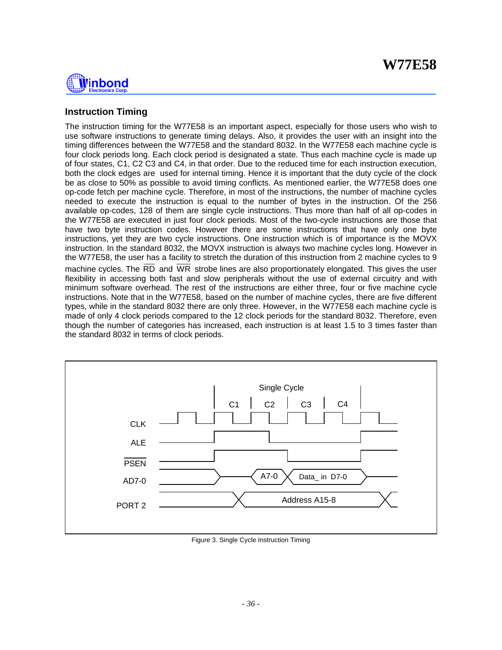

## **Instruction Timing**

The instruction timing for the W77E58 is an important aspect, especially for those users who wish to use software instructions to generate timing delays. Also, it provides the user with an insight into the timing differences between the W77E58 and the standard 8032. In the W77E58 each machine cycle is four clock periods long. Each clock period is designated a state. Thus each machine cycle is made up of four states, C1, C2 C3 and C4, in that order. Due to the reduced time for each instruction execution, both the clock edges are used for internal timing. Hence it is important that the duty cycle of the clock be as close to 50% as possible to avoid timing conflicts. As mentioned earlier, the W77E58 does one op-code fetch per machine cycle. Therefore, in most of the instructions, the number of machine cycles needed to execute the instruction is equal to the number of bytes in the instruction. Of the 256 available op-codes, 128 of them are single cycle instructions. Thus more than half of all op-codes in the W77E58 are executed in just four clock periods. Most of the two-cycle instructions are those that have two byte instruction codes. However there are some instructions that have only one byte instructions, yet they are two cycle instructions. One instruction which is of importance is the MOVX instruction. In the standard 8032, the MOVX instruction is always two machine cycles long. However in the W77E58, the user has a facility to stretch the duration of this instruction from 2 machine cycles to 9 machine cycles. The RD and WR strobe lines are also proportionately elongated. This gives the user flexibility in accessing both fast and slow peripherals without the use of external circuitry and with minimum software overhead. The rest of the instructions are either three, four or five machine cycle instructions. Note that in the W77E58, based on the number of machine cycles, there are five different types, while in the standard 8032 there are only three. However, in the W77E58 each machine cycle is made of only 4 clock periods compared to the 12 clock periods for the standard 8032. Therefore, even though the number of categories has increased, each instruction is at least 1.5 to 3 times faster than the standard 8032 in terms of clock periods.



Figure 3. Single Cycle Instruction Timing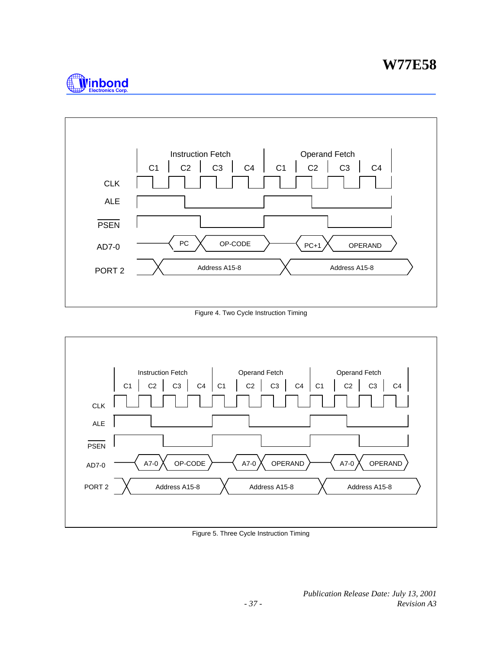



Figure 4. Two Cycle Instruction Timing



Figure 5. Three Cycle Instruction Timing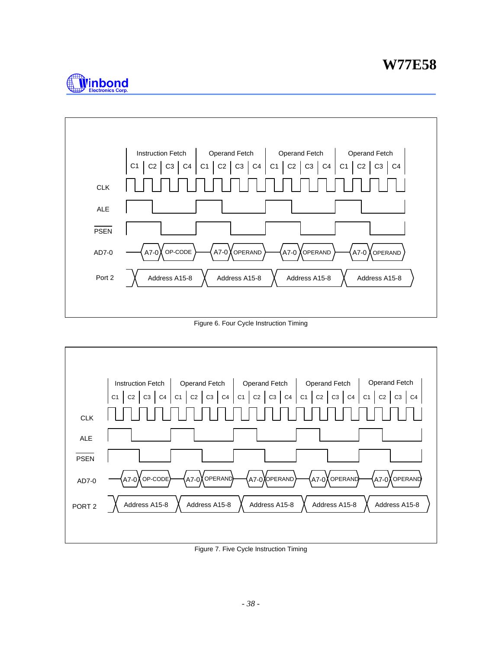



Figure 6. Four Cycle Instruction Timing



Figure 7. Five Cycle Instruction Timing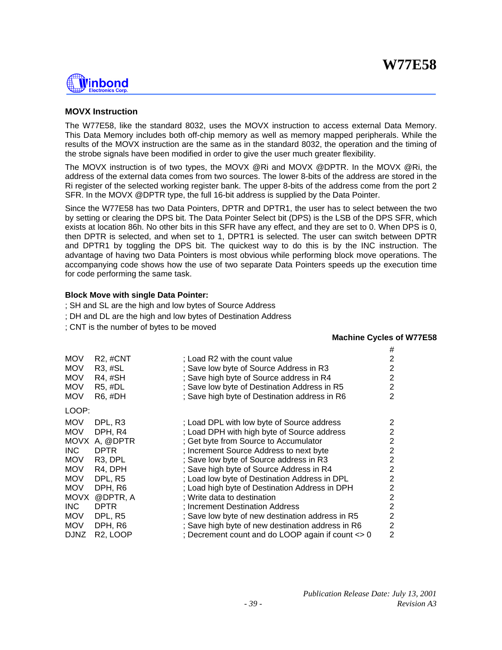

# **MOVX Instruction**

The W77E58, like the standard 8032, uses the MOVX instruction to access external Data Memory. This Data Memory includes both off-chip memory as well as memory mapped peripherals. While the results of the MOVX instruction are the same as in the standard 8032, the operation and the timing of the strobe signals have been modified in order to give the user much greater flexibility.

The MOVX instruction is of two types, the MOVX @Ri and MOVX @DPTR. In the MOVX @Ri, the address of the external data comes from two sources. The lower 8-bits of the address are stored in the Ri register of the selected working register bank. The upper 8-bits of the address come from the port 2 SFR. In the MOVX @DPTR type, the full 16-bit address is supplied by the Data Pointer.

Since the W77E58 has two Data Pointers, DPTR and DPTR1, the user has to select between the two by setting or clearing the DPS bit. The Data Pointer Select bit (DPS) is the LSB of the DPS SFR, which exists at location 86h. No other bits in this SFR have any effect, and they are set to 0. When DPS is 0, then DPTR is selected, and when set to 1, DPTR1 is selected. The user can switch between DPTR and DPTR1 by toggling the DPS bit. The quickest way to do this is by the INC instruction. The advantage of having two Data Pointers is most obvious while performing block move operations. The accompanying code shows how the use of two separate Data Pointers speeds up the execution time for code performing the same task.

### **Block Move with single Data Pointer:**

- ; SH and SL are the high and low bytes of Source Address
- ; DH and DL are the high and low bytes of Destination Address
- ; CNT is the number of bytes to be moved

### **Machine Cycles of W77E58**

|             |                       |                                                   | #              |
|-------------|-----------------------|---------------------------------------------------|----------------|
| <b>MOV</b>  | R <sub>2</sub> , #CNT | : Load R2 with the count value                    | 2              |
| MOV         | R3, #SL               | ; Save low byte of Source Address in R3           | $\overline{2}$ |
| MOV         | R4, #SH               | ; Save high byte of Source address in R4          | 2              |
| MOV         | R5, #DL               | ; Save low byte of Destination Address in R5      | 2              |
| <b>MOV</b>  | R6, #DH               | ; Save high byte of Destination address in R6     | $\overline{2}$ |
| LOOP:       |                       |                                                   |                |
| <b>MOV</b>  | DPL, R3               | ; Load DPL with low byte of Source address        | 2              |
| <b>MOV</b>  | DPH, R4               | ; Load DPH with high byte of Source address       | 2              |
|             | MOVX A, @DPTR         | ; Get byte from Source to Accumulator             | 2              |
| INC .       | <b>DPTR</b>           | ; Increment Source Address to next byte           | 2              |
| MOV         | R <sub>3</sub> , DPL  | ; Save low byte of Source address in R3           | $\overline{2}$ |
| <b>MOV</b>  | R4, DPH               | ; Save high byte of Source Address in R4          | $\overline{2}$ |
| MOV         | DPL, R <sub>5</sub>   | ; Load low byte of Destination Address in DPL     | 2              |
| MOV         | DPH, R6               | ; Load high byte of Destination Address in DPH    | 2              |
| MOVX        | @DPTR, A              | ; Write data to destination                       | $\overline{2}$ |
| INC.        | <b>DPTR</b>           | ; Increment Destination Address                   | 2              |
| MOV         | DPL, R <sub>5</sub>   | ; Save low byte of new destination address in R5  | 2              |
| MOV         | DPH, R6               | ; Save high byte of new destination address in R6 | 2              |
| <b>DJNZ</b> | R <sub>2</sub> , LOOP | ; Decrement count and do LOOP again if count <> 0 | 2              |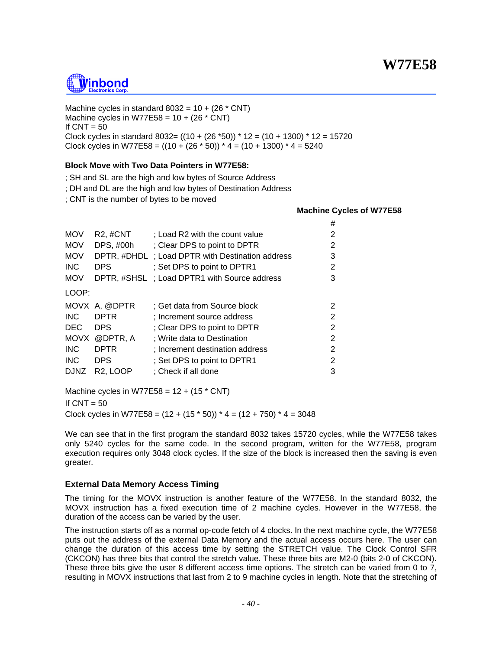# <u>Ñinbond</u>

Machine cycles in standard  $8032 = 10 + (26 * CNT)$ Machine cycles in W77E58 =  $10 + (26 * CNT)$ If  $CNT = 50$ Clock cycles in standard  $8032 = ((10 + (26 * 50)) * 12 = (10 + 1300) * 12 = 15720$ Clock cycles in W77E58 =  $((10 + (26 * 50)) * 4 = (10 + 1300) * 4 = 5240$ 

# **Block Move with Two Data Pointers in W77E58:**

; SH and SL are the high and low bytes of Source Address

; DH and DL are the high and low bytes of Destination Address

; CNT is the number of bytes to be moved

### **Machine Cycles of W77E58**

|             |                       |                                                  | #              |
|-------------|-----------------------|--------------------------------------------------|----------------|
| <b>MOV</b>  | R <sub>2</sub> , #CNT | : Load R2 with the count value                   | 2              |
| <b>MOV</b>  | DPS, #00h             | ; Clear DPS to point to DPTR                     | 2              |
| <b>MOV</b>  |                       | DPTR, #DHDL ; Load DPTR with Destination address | 3              |
| INC.        | <b>DPS</b>            | ; Set DPS to point to DPTR1                      | 2              |
| <b>MOV</b>  |                       | DPTR, #SHSL ; Load DPTR1 with Source address     | 3              |
| LOOP:       |                       |                                                  |                |
|             | MOVX A, @DPTR         | ; Get data from Source block                     | 2              |
| <b>INC</b>  | <b>DPTR</b>           | : Increment source address                       | $\overline{2}$ |
| <b>DEC</b>  | <b>DPS</b>            | ; Clear DPS to point to DPTR                     | $\overline{2}$ |
|             | MOVX @DPTR, A         | ; Write data to Destination                      | 2              |
| <b>INC</b>  | <b>DPTR</b>           | : Increment destination address                  | 2              |
| INC.        | <b>DPS</b>            | ; Set DPS to point to DPTR1                      | 2              |
| <b>DJNZ</b> | R <sub>2</sub> . LOOP | ; Check if all done                              | 3              |

Machine cycles in W77E58 =  $12 + (15 * CNT)$ 

If  $CNT = 50$ 

Clock cycles in W77E58 =  $(12 + (15 * 50)) * 4 = (12 + 750) * 4 = 3048$ 

We can see that in the first program the standard 8032 takes 15720 cycles, while the W77E58 takes only 5240 cycles for the same code. In the second program, written for the W77E58, program execution requires only 3048 clock cycles. If the size of the block is increased then the saving is even greater.

# **External Data Memory Access Timing**

The timing for the MOVX instruction is another feature of the W77E58. In the standard 8032, the MOVX instruction has a fixed execution time of 2 machine cycles. However in the W77E58, the duration of the access can be varied by the user.

The instruction starts off as a normal op-code fetch of 4 clocks. In the next machine cycle, the W77E58 puts out the address of the external Data Memory and the actual access occurs here. The user can change the duration of this access time by setting the STRETCH value. The Clock Control SFR (CKCON) has three bits that control the stretch value. These three bits are M2-0 (bits 2-0 of CKCON). These three bits give the user 8 different access time options. The stretch can be varied from 0 to 7, resulting in MOVX instructions that last from 2 to 9 machine cycles in length. Note that the stretching of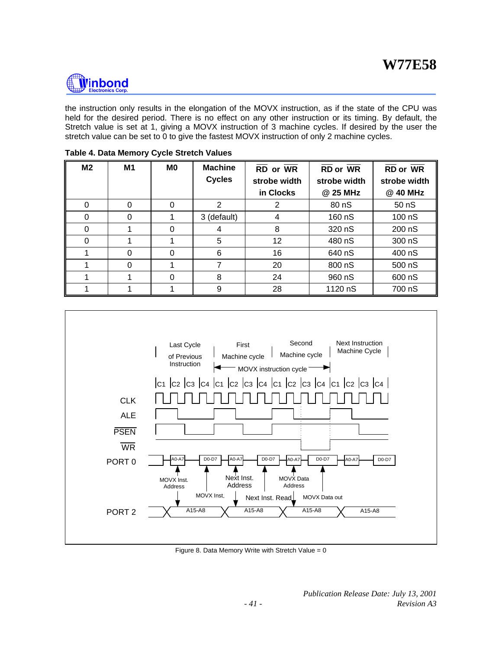

the instruction only results in the elongation of the MOVX instruction, as if the state of the CPU was held for the desired period. There is no effect on any other instruction or its timing. By default, the Stretch value is set at 1, giving a MOVX instruction of 3 machine cycles. If desired by the user the stretch value can be set to 0 to give the fastest MOVX instruction of only 2 machine cycles.

| M <sub>2</sub> | M1 | M <sub>0</sub> | <b>Machine</b><br><b>Cycles</b> | RD or WR<br>strobe width | <b>RD</b> or WR<br>strobe width | <b>RD</b> or WR<br>strobe width |
|----------------|----|----------------|---------------------------------|--------------------------|---------------------------------|---------------------------------|
|                |    |                |                                 | in Clocks                | @ 25 MHz                        | @ 40 MHz                        |
| 0              | 0  | 0              | 2                               | 2                        | 80 nS                           | 50 nS                           |
| $\Omega$       | 0  |                | 3 (default)                     | 4                        | 160 nS                          | 100 nS                          |
| 0              |    | 0              |                                 | 8                        | 320 nS                          | 200 nS                          |
| $\Omega$       |    |                | 5                               | 12                       | 480 nS                          | 300 nS                          |
|                | 0  | 0              | 6                               | 16                       | 640 nS                          | 400 nS                          |
|                |    |                |                                 | 20                       | 800 nS                          | 500 nS                          |
|                |    | 0              | 8                               | 24                       | 960 nS                          | 600 nS                          |
|                |    |                | 9                               | 28                       | 1120 nS                         | 700 nS                          |

**Table 4. Data Memory Cycle Stretch Values**



Figure 8. Data Memory Write with Stretch Value =  $0$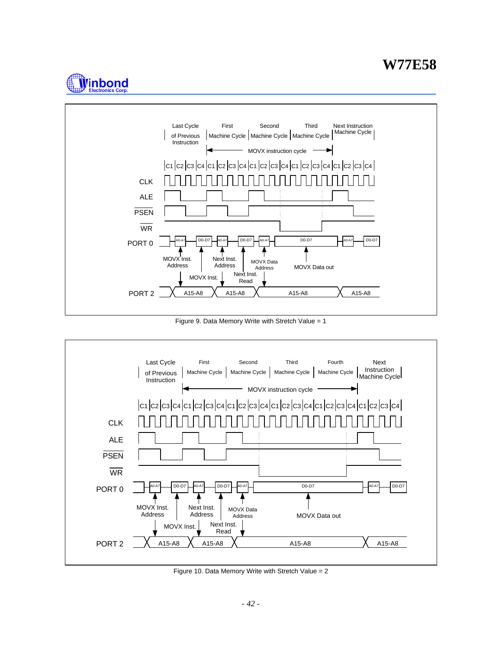# **W77E58**





Figure 9. Data Memory Write with Stretch Value = 1



Figure 10. Data Memory Write with Stretch Value = 2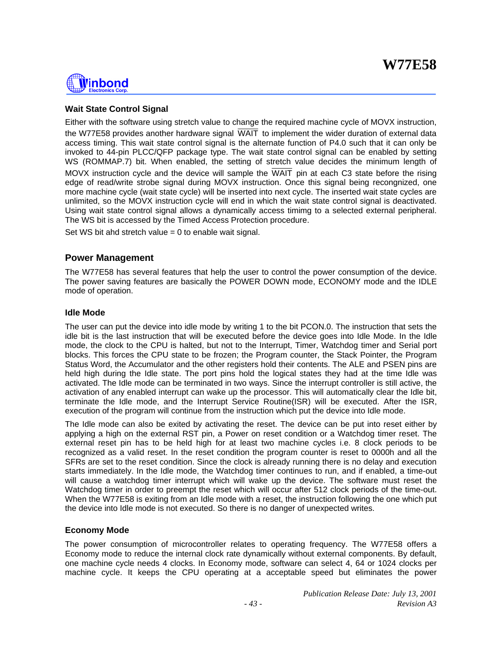

# **Wait State Control Signal**

Either with the software using stretch value to change the required machine cycle of MOVX instruction, the W77E58 provides another hardware signal WAIT to implement the wider duration of external data access timing. This wait state control signal is the alternate function of P4.0 such that it can only be invoked to 44-pin PLCC/QFP package type. The wait state control signal can be enabled by setting WS (ROMMAP.7) bit. When enabled, the setting of stretch value decides the minimum length of MOVX instruction cycle and the device will sample the WAIT pin at each C3 state before the rising edge of read/write strobe signal during MOVX instruction. Once this signal being recongnized, one more machine cycle (wait state cycle) will be inserted into next cycle. The inserted wait state cycles are unlimited, so the MOVX instruction cycle will end in which the wait state control signal is deactivated. Using wait state control signal allows a dynamically access timimg to a selected external peripheral. The WS bit is accessed by the Timed Access Protection procedure.

Set WS bit ahd stretch value  $= 0$  to enable wait signal.

# **Power Management**

The W77E58 has several features that help the user to control the power consumption of the device. The power saving features are basically the POWER DOWN mode, ECONOMY mode and the IDLE mode of operation.

### **Idle Mode**

The user can put the device into idle mode by writing 1 to the bit PCON.0. The instruction that sets the idle bit is the last instruction that will be executed before the device goes into Idle Mode. In the Idle mode, the clock to the CPU is halted, but not to the Interrupt, Timer, Watchdog timer and Serial port blocks. This forces the CPU state to be frozen; the Program counter, the Stack Pointer, the Program Status Word, the Accumulator and the other registers hold their contents. The ALE and PSEN pins are held high during the Idle state. The port pins hold the logical states they had at the time Idle was activated. The Idle mode can be terminated in two ways. Since the interrupt controller is still active, the activation of any enabled interrupt can wake up the processor. This will automatically clear the Idle bit, terminate the Idle mode, and the Interrupt Service Routine(ISR) will be executed. After the ISR, execution of the program will continue from the instruction which put the device into Idle mode.

The Idle mode can also be exited by activating the reset. The device can be put into reset either by applying a high on the external RST pin, a Power on reset condition or a Watchdog timer reset. The external reset pin has to be held high for at least two machine cycles i.e. 8 clock periods to be recognized as a valid reset. In the reset condition the program counter is reset to 0000h and all the SFRs are set to the reset condition. Since the clock is already running there is no delay and execution starts immediately. In the Idle mode, the Watchdog timer continues to run, and if enabled, a time-out will cause a watchdog timer interrupt which will wake up the device. The software must reset the Watchdog timer in order to preempt the reset which will occur after 512 clock periods of the time-out. When the W77E58 is exiting from an Idle mode with a reset, the instruction following the one which put the device into Idle mode is not executed. So there is no danger of unexpected writes.

# **Economy Mode**

The power consumption of microcontroller relates to operating frequency. The W77E58 offers a Economy mode to reduce the internal clock rate dynamically without external components. By default, one machine cycle needs 4 clocks. In Economy mode, software can select 4, 64 or 1024 clocks per machine cycle. It keeps the CPU operating at a acceptable speed but eliminates the power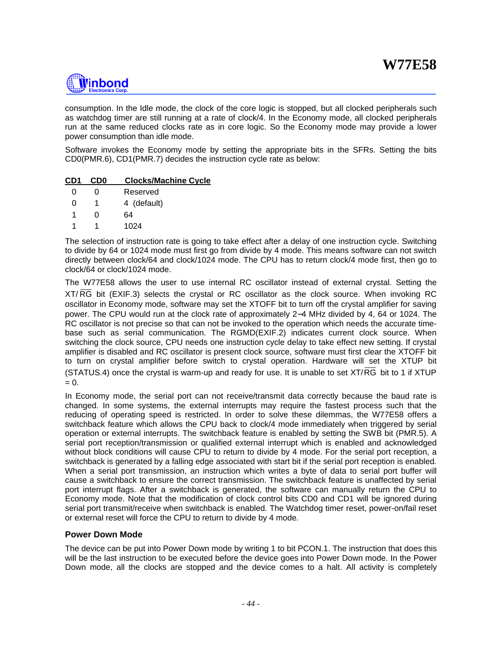

consumption. In the Idle mode, the clock of the core logic is stopped, but all clocked peripherals such as watchdog timer are still running at a rate of clock/4. In the Economy mode, all clocked peripherals run at the same reduced clocks rate as in core logic. So the Economy mode may provide a lower power consumption than idle mode.

Software invokes the Economy mode by setting the appropriate bits in the SFRs. Setting the bits CD0(PMR.6), CD1(PMR.7) decides the instruction cycle rate as below:

### **CD1 CD0 Clocks/Machine Cycle**

| 0 | O | Reserved    |
|---|---|-------------|
| O | 1 | 4 (default) |
| 1 | U | 64          |
| 1 |   | 1024        |

The selection of instruction rate is going to take effect after a delay of one instruction cycle. Switching to divide by 64 or 1024 mode must first go from divide by 4 mode. This means software can not switch directly between clock/64 and clock/1024 mode. The CPU has to return clock/4 mode first, then go to clock/64 or clock/1024 mode.

The W77E58 allows the user to use internal RC oscillator instead of external crystal. Setting the XT/ RG bit (EXIF.3) selects the crystal or RC oscillator as the clock source. When invoking RC oscillator in Economy mode, software may set the XTOFF bit to turn off the crystal amplifier for saving power. The CPU would run at the clock rate of approximately 2−4 MHz divided by 4, 64 or 1024. The RC oscillator is not precise so that can not be invoked to the operation which needs the accurate timebase such as serial communication. The RGMD(EXIF.2) indicates current clock source. When switching the clock source, CPU needs one instruction cycle delay to take effect new setting. If crystal amplifier is disabled and RC oscillator is present clock source, software must first clear the XTOFF bit to turn on crystal amplifier before switch to crystal operation. Hardware will set the XTUP bit (STATUS.4) once the crystal is warm-up and ready for use. It is unable to set XT/RG bit to 1 if XTUP  $= 0.$ 

In Economy mode, the serial port can not receive/transmit data correctly because the baud rate is changed. In some systems, the external interrupts may require the fastest process such that the reducing of operating speed is restricted. In order to solve these dilemmas, the W77E58 offers a switchback feature which allows the CPU back to clock/4 mode immediately when triggered by serial operation or external interrupts. The switchback feature is enabled by setting the SWB bit (PMR.5). A serial port reception/transmission or qualified external interrupt which is enabled and acknowledged without block conditions will cause CPU to return to divide by 4 mode. For the serial port reception, a switchback is generated by a falling edge associated with start bit if the serial port reception is enabled. When a serial port transmission, an instruction which writes a byte of data to serial port buffer will cause a switchback to ensure the correct transmission. The switchback feature is unaffected by serial port interrupt flags. After a switchback is generated, the software can manually return the CPU to Economy mode. Note that the modification of clock control bits CD0 and CD1 will be ignored during serial port transmit/receive when switchback is enabled. The Watchdog timer reset, power-on/fail reset or external reset will force the CPU to return to divide by 4 mode.

# **Power Down Mode**

The device can be put into Power Down mode by writing 1 to bit PCON.1. The instruction that does this will be the last instruction to be executed before the device goes into Power Down mode. In the Power Down mode, all the clocks are stopped and the device comes to a halt. All activity is completely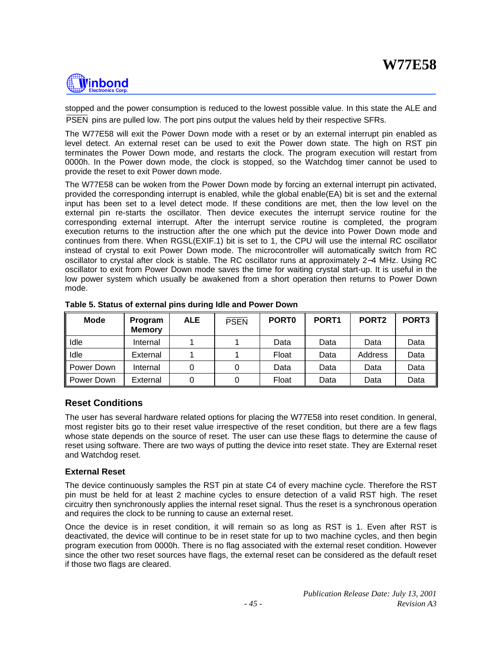# Winbond

stopped and the power consumption is reduced to the lowest possible value. In this state the ALE and PSEN pins are pulled low. The port pins output the values held by their respective SFRs.

The W77E58 will exit the Power Down mode with a reset or by an external interrupt pin enabled as level detect. An external reset can be used to exit the Power down state. The high on RST pin terminates the Power Down mode, and restarts the clock. The program execution will restart from 0000h. In the Power down mode, the clock is stopped, so the Watchdog timer cannot be used to provide the reset to exit Power down mode.

The W77E58 can be woken from the Power Down mode by forcing an external interrupt pin activated, provided the corresponding interrupt is enabled, while the global enable(EA) bit is set and the external input has been set to a level detect mode. If these conditions are met, then the low level on the external pin re-starts the oscillator. Then device executes the interrupt service routine for the corresponding external interrupt. After the interrupt service routine is completed, the program execution returns to the instruction after the one which put the device into Power Down mode and continues from there. When RGSL(EXIF.1) bit is set to 1, the CPU will use the internal RC oscillator instead of crystal to exit Power Down mode. The microcontroller will automatically switch from RC oscillator to crystal after clock is stable. The RC oscillator runs at approximately 2−4 MHz. Using RC oscillator to exit from Power Down mode saves the time for waiting crystal start-up. It is useful in the low power system which usually be awakened from a short operation then returns to Power Down mode.

| <b>Mode</b> | Program<br><b>Memory</b> | <b>ALE</b> | <b>PSEN</b> | <b>PORTO</b> | PORT <sub>1</sub> | PORT <sub>2</sub> | PORT <sub>3</sub> |
|-------------|--------------------------|------------|-------------|--------------|-------------------|-------------------|-------------------|
| Idle        | Internal                 |            |             | Data         | Data              | Data              | Data              |
| Idle        | External                 |            |             | Float        | Data              | Address           | Data              |
| Power Down  | Internal                 |            |             | Data         | Data              | Data              | Data              |
| Power Down  | External                 |            |             | Float        | Data              | Data              | Data              |

|  | Table 5. Status of external pins during Idle and Power Down |  |  |  |
|--|-------------------------------------------------------------|--|--|--|
|  |                                                             |  |  |  |

# **Reset Conditions**

The user has several hardware related options for placing the W77E58 into reset condition. In general, most register bits go to their reset value irrespective of the reset condition, but there are a few flags whose state depends on the source of reset. The user can use these flags to determine the cause of reset using software. There are two ways of putting the device into reset state. They are External reset and Watchdog reset.

# **External Reset**

The device continuously samples the RST pin at state C4 of every machine cycle. Therefore the RST pin must be held for at least 2 machine cycles to ensure detection of a valid RST high. The reset circuitry then synchronously applies the internal reset signal. Thus the reset is a synchronous operation and requires the clock to be running to cause an external reset.

Once the device is in reset condition, it will remain so as long as RST is 1. Even after RST is deactivated, the device will continue to be in reset state for up to two machine cycles, and then begin program execution from 0000h. There is no flag associated with the external reset condition. However since the other two reset sources have flags, the external reset can be considered as the default reset if those two flags are cleared.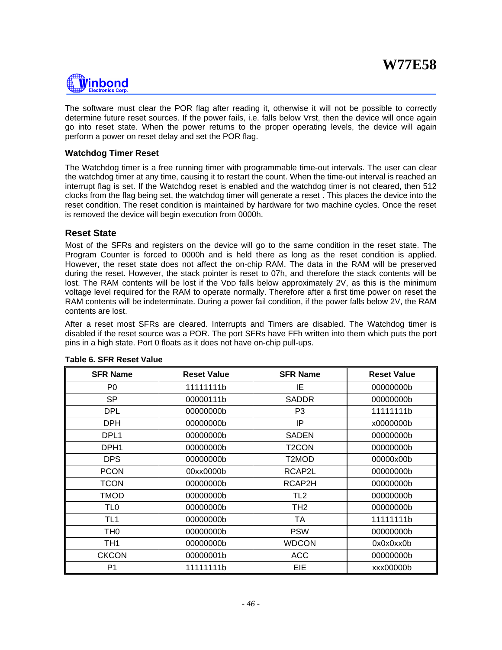

The software must clear the POR flag after reading it, otherwise it will not be possible to correctly determine future reset sources. If the power fails, i.e. falls below Vrst, then the device will once again go into reset state. When the power returns to the proper operating levels, the device will again perform a power on reset delay and set the POR flag.

### **Watchdog Timer Reset**

The Watchdog timer is a free running timer with programmable time-out intervals. The user can clear the watchdog timer at any time, causing it to restart the count. When the time-out interval is reached an interrupt flag is set. If the Watchdog reset is enabled and the watchdog timer is not cleared, then 512 clocks from the flag being set, the watchdog timer will generate a reset . This places the device into the reset condition. The reset condition is maintained by hardware for two machine cycles. Once the reset is removed the device will begin execution from 0000h.

### **Reset State**

Most of the SFRs and registers on the device will go to the same condition in the reset state. The Program Counter is forced to 0000h and is held there as long as the reset condition is applied. However, the reset state does not affect the on-chip RAM. The data in the RAM will be preserved during the reset. However, the stack pointer is reset to 07h, and therefore the stack contents will be lost. The RAM contents will be lost if the VDD falls below approximately 2V, as this is the minimum voltage level required for the RAM to operate normally. Therefore after a first time power on reset the RAM contents will be indeterminate. During a power fail condition, if the power falls below 2V, the RAM contents are lost.

After a reset most SFRs are cleared. Interrupts and Timers are disabled. The Watchdog timer is disabled if the reset source was a POR. The port SFRs have FFh written into them which puts the port pins in a high state. Port 0 floats as it does not have on-chip pull-ups.

| <b>SFR Name</b>  | <b>Reset Value</b> | <b>SFR Name</b> | <b>Reset Value</b> |
|------------------|--------------------|-----------------|--------------------|
| P <sub>0</sub>   | 11111111b          | ΙE              | 00000000b          |
| <b>SP</b>        | 00000111b          | <b>SADDR</b>    | 00000000b          |
| <b>DPL</b>       | 00000000b          | P <sub>3</sub>  | 11111111b          |
| <b>DPH</b>       | 00000000b          | IP              | x0000000b          |
| DPL <sub>1</sub> | 00000000b          | <b>SADEN</b>    | 00000000b          |
| DPH <sub>1</sub> | 00000000b          | T2CON           | 00000000b          |
| <b>DPS</b>       | 00000000b          | T2MOD           | 00000x00b          |
| <b>PCON</b>      | 00xx0000b          | RCAP2L          | 00000000b          |
| <b>TCON</b>      | 00000000b          | RCAP2H          | 00000000b          |
| TMOD             | 00000000b          | TL <sub>2</sub> | 00000000b          |
| TL <sub>0</sub>  | 00000000b          | TH <sub>2</sub> | 00000000b          |
| TL1              | 00000000b          | TA              | 11111111b          |
| TH <sub>0</sub>  | 00000000b          | <b>PSW</b>      | 00000000b          |
| TH <sub>1</sub>  | 00000000b          | <b>WDCON</b>    | 0x0x0xx0b          |
| <b>CKCON</b>     | 00000001b          | <b>ACC</b>      | 00000000b          |
| P <sub>1</sub>   | 11111111b          | EIE             | xxx000000b         |

#### **Table 6. SFR Reset Value**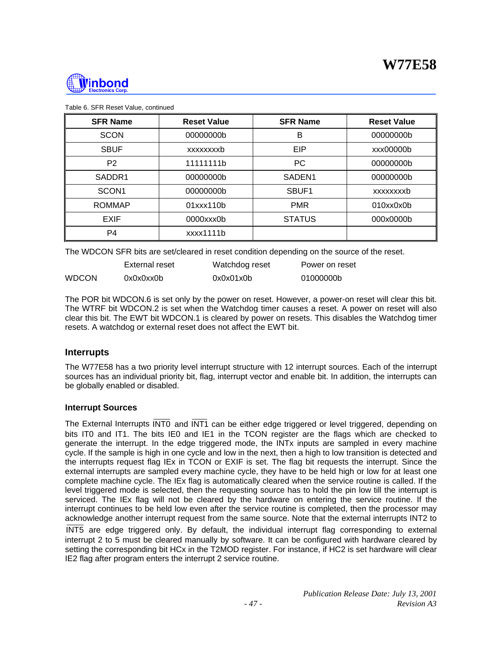

| <b>SFR Name</b>    | <b>Reset Value</b> | <b>SFR Name</b>    | <b>Reset Value</b> |
|--------------------|--------------------|--------------------|--------------------|
| <b>SCON</b>        | 00000000b          | B                  | 00000000b          |
| <b>SBUF</b>        | xxxxxxxxb          | EIP                | xxx000000b         |
| P <sub>2</sub>     | 11111111b          | <b>PC</b>          | 00000000b          |
| SADDR <sub>1</sub> | 00000000b          | SADEN <sub>1</sub> | 00000000b          |
| SCON <sub>1</sub>  | 00000000b          | SBUF1              | xxxxxxxxb          |
| <b>ROMMAP</b>      | 01xxx110b          | <b>PMR</b>         | 010xx0x0b          |
| <b>EXIF</b>        | $0000$ $xx0$ b     | <b>STATUS</b>      | 000x0000b          |
| P4                 | xxxx1111b          |                    |                    |

Table 6. SFR Reset Value, continued

The WDCON SFR bits are set/cleared in reset condition depending on the source of the reset.

|              | External reset | Watchdog reset | Power on reset |
|--------------|----------------|----------------|----------------|
| <b>WDCON</b> | 0x0x0xx0b      | 0x0x01x0b      | 01000000b      |

The POR bit WDCON.6 is set only by the power on reset. However, a power-on reset will clear this bit. The WTRF bit WDCON.2 is set when the Watchdog timer causes a reset. A power on reset will also clear this bit. The EWT bit WDCON.1 is cleared by power on resets. This disables the Watchdog timer resets. A watchdog or external reset does not affect the EWT bit.

# **Interrupts**

The W77E58 has a two priority level interrupt structure with 12 interrupt sources. Each of the interrupt sources has an individual priority bit, flag, interrupt vector and enable bit. In addition, the interrupts can be globally enabled or disabled.

### **Interrupt Sources**

The External Interrupts INT0 and INT1 can be either edge triggered or level triggered, depending on bits IT0 and IT1. The bits IE0 and IE1 in the TCON register are the flags which are checked to generate the interrupt. In the edge triggered mode, the INTx inputs are sampled in every machine cycle. If the sample is high in one cycle and low in the next, then a high to low transition is detected and the interrupts request flag IEx in TCON or EXIF is set. The flag bit requests the interrupt. Since the external interrupts are sampled every machine cycle, they have to be held high or low for at least one complete machine cycle. The IEx flag is automatically cleared when the service routine is called. If the level triggered mode is selected, then the requesting source has to hold the pin low till the interrupt is serviced. The IEx flag will not be cleared by the hardware on entering the service routine. If the interrupt continues to be held low even after the service routine is completed, then the processor may acknowledge another interrupt request from the same source. Note that the external interrupts INT2 to INT5 are edge triggered only. By default, the individual interrupt flag corresponding to external interrupt 2 to 5 must be cleared manually by software. It can be configured with hardware cleared by setting the corresponding bit HCx in the T2MOD register. For instance, if HC2 is set hardware will clear IE2 flag after program enters the interrupt 2 service routine.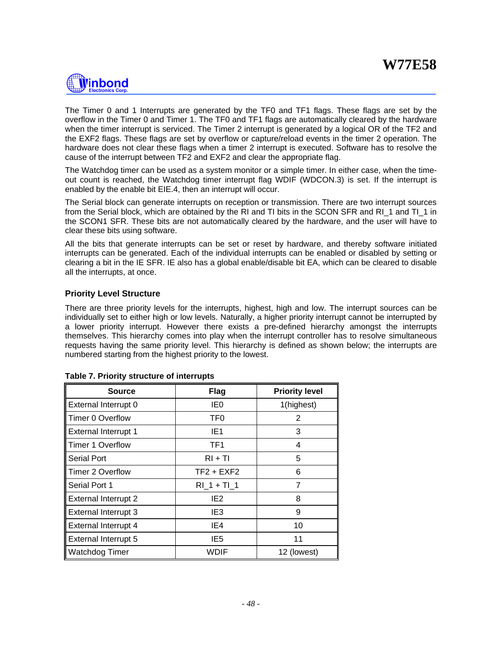

The Timer 0 and 1 Interrupts are generated by the TF0 and TF1 flags. These flags are set by the overflow in the Timer 0 and Timer 1. The TF0 and TF1 flags are automatically cleared by the hardware when the timer interrupt is serviced. The Timer 2 interrupt is generated by a logical OR of the TF2 and the EXF2 flags. These flags are set by overflow or capture/reload events in the timer 2 operation. The hardware does not clear these flags when a timer 2 interrupt is executed. Software has to resolve the cause of the interrupt between TF2 and EXF2 and clear the appropriate flag.

The Watchdog timer can be used as a system monitor or a simple timer. In either case, when the timeout count is reached, the Watchdog timer interrupt flag WDIF (WDCON.3) is set. If the interrupt is enabled by the enable bit EIE.4, then an interrupt will occur.

The Serial block can generate interrupts on reception or transmission. There are two interrupt sources from the Serial block, which are obtained by the RI and TI bits in the SCON SFR and RI\_1 and TI\_1 in the SCON1 SFR. These bits are not automatically cleared by the hardware, and the user will have to clear these bits using software.

All the bits that generate interrupts can be set or reset by hardware, and thereby software initiated interrupts can be generated. Each of the individual interrupts can be enabled or disabled by setting or clearing a bit in the IE SFR. IE also has a global enable/disable bit EA, which can be cleared to disable all the interrupts, at once.

# **Priority Level Structure**

There are three priority levels for the interrupts, highest, high and low. The interrupt sources can be individually set to either high or low levels. Naturally, a higher priority interrupt cannot be interrupted by a lower priority interrupt. However there exists a pre-defined hierarchy amongst the interrupts themselves. This hierarchy comes into play when the interrupt controller has to resolve simultaneous requests having the same priority level. This hierarchy is defined as shown below; the interrupts are numbered starting from the highest priority to the lowest.

| <b>Source</b>               | <b>Flag</b>     | <b>Priority level</b> |
|-----------------------------|-----------------|-----------------------|
| External Interrupt 0        | IEO             | 1(highest)            |
| <b>Timer 0 Overflow</b>     | TF <sub>0</sub> | 2                     |
| <b>External Interrupt 1</b> | IE1             | 3                     |
| <b>Timer 1 Overflow</b>     | TF1             | 4                     |
| <b>Serial Port</b>          | $RI + TI$       | 5                     |
| <b>Timer 2 Overflow</b>     | $TF2 + EXF2$    | 6                     |
| Serial Port 1               | $RI$ 1 + Tl 1   | 7                     |
| <b>External Interrupt 2</b> | IE2             | 8                     |
| External Interrupt 3        | IE <sub>3</sub> | 9                     |
| External Interrupt 4        | IE4             | 10                    |
| <b>External Interrupt 5</b> | IE5             | 11                    |
| <b>Watchdog Timer</b>       | WDIF            | 12 (lowest)           |

### **Table 7. Priority structure of interrupts**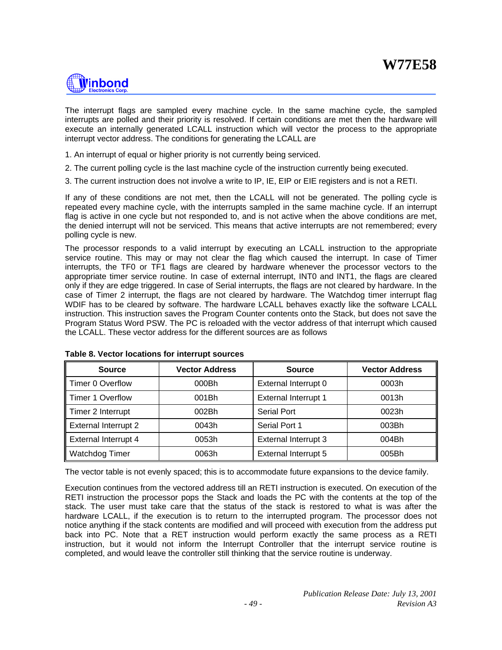

The interrupt flags are sampled every machine cycle. In the same machine cycle, the sampled interrupts are polled and their priority is resolved. If certain conditions are met then the hardware will execute an internally generated LCALL instruction which will vector the process to the appropriate interrupt vector address. The conditions for generating the LCALL are

- 1. An interrupt of equal or higher priority is not currently being serviced.
- 2. The current polling cycle is the last machine cycle of the instruction currently being executed.
- 3. The current instruction does not involve a write to IP, IE, EIP or EIE registers and is not a RETI.

If any of these conditions are not met, then the LCALL will not be generated. The polling cycle is repeated every machine cycle, with the interrupts sampled in the same machine cycle. If an interrupt flag is active in one cycle but not responded to, and is not active when the above conditions are met, the denied interrupt will not be serviced. This means that active interrupts are not remembered; every polling cycle is new.

The processor responds to a valid interrupt by executing an LCALL instruction to the appropriate service routine. This may or may not clear the flag which caused the interrupt. In case of Timer interrupts, the TF0 or TF1 flags are cleared by hardware whenever the processor vectors to the appropriate timer service routine. In case of external interrupt, INT0 and INT1, the flags are cleared only if they are edge triggered. In case of Serial interrupts, the flags are not cleared by hardware. In the case of Timer 2 interrupt, the flags are not cleared by hardware. The Watchdog timer interrupt flag WDIF has to be cleared by software. The hardware LCALL behaves exactly like the software LCALL instruction. This instruction saves the Program Counter contents onto the Stack, but does not save the Program Status Word PSW. The PC is reloaded with the vector address of that interrupt which caused the LCALL. These vector address for the different sources are as follows

| <b>Source</b>               | <b>Vector Address</b> | <b>Source</b>               | <b>Vector Address</b> |
|-----------------------------|-----------------------|-----------------------------|-----------------------|
| Timer 0 Overflow            | 000Bh                 | External Interrupt 0        | 0003h                 |
| Timer 1 Overflow            | 001Bh                 | <b>External Interrupt 1</b> | 0013h                 |
| Timer 2 Interrupt           | 002Bh                 | <b>Serial Port</b>          | 0023h                 |
| <b>External Interrupt 2</b> | 0043h                 | Serial Port 1               | 003Bh                 |
| <b>External Interrupt 4</b> | 0053h                 | <b>External Interrupt 3</b> | 004Bh                 |
| <b>Watchdog Timer</b>       | 0063h                 | <b>External Interrupt 5</b> | 005Bh                 |

### **Table 8. Vector locations for interrupt sources**

The vector table is not evenly spaced; this is to accommodate future expansions to the device family.

Execution continues from the vectored address till an RETI instruction is executed. On execution of the RETI instruction the processor pops the Stack and loads the PC with the contents at the top of the stack. The user must take care that the status of the stack is restored to what is was after the hardware LCALL, if the execution is to return to the interrupted program. The processor does not notice anything if the stack contents are modified and will proceed with execution from the address put back into PC. Note that a RET instruction would perform exactly the same process as a RETI instruction, but it would not inform the Interrupt Controller that the interrupt service routine is completed, and would leave the controller still thinking that the service routine is underway.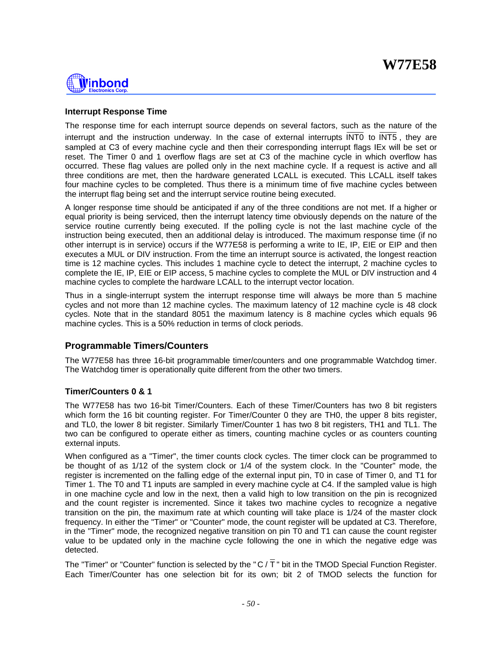

# **Interrupt Response Time**

The response time for each interrupt source depends on several factors, such as the nature of the interrupt and the instruction underway. In the case of external interrupts INT0 to INT5 , they are sampled at C3 of every machine cycle and then their corresponding interrupt flags IEx will be set or reset. The Timer 0 and 1 overflow flags are set at C3 of the machine cycle in which overflow has occurred. These flag values are polled only in the next machine cycle. If a request is active and all three conditions are met, then the hardware generated LCALL is executed. This LCALL itself takes four machine cycles to be completed. Thus there is a minimum time of five machine cycles between the interrupt flag being set and the interrupt service routine being executed.

A longer response time should be anticipated if any of the three conditions are not met. If a higher or equal priority is being serviced, then the interrupt latency time obviously depends on the nature of the service routine currently being executed. If the polling cycle is not the last machine cycle of the instruction being executed, then an additional delay is introduced. The maximum response time (if no other interrupt is in service) occurs if the W77E58 is performing a write to IE, IP, EIE or EIP and then executes a MUL or DIV instruction. From the time an interrupt source is activated, the longest reaction time is 12 machine cycles. This includes 1 machine cycle to detect the interrupt, 2 machine cycles to complete the IE, IP, EIE or EIP access, 5 machine cycles to complete the MUL or DIV instruction and 4 machine cycles to complete the hardware LCALL to the interrupt vector location.

Thus in a single-interrupt system the interrupt response time will always be more than 5 machine cycles and not more than 12 machine cycles. The maximum latency of 12 machine cycle is 48 clock cycles. Note that in the standard 8051 the maximum latency is 8 machine cycles which equals 96 machine cycles. This is a 50% reduction in terms of clock periods.

# **Programmable Timers/Counters**

The W77E58 has three 16-bit programmable timer/counters and one programmable Watchdog timer. The Watchdog timer is operationally quite different from the other two timers.

# **Timer/Counters 0 & 1**

The W77E58 has two 16-bit Timer/Counters. Each of these Timer/Counters has two 8 bit registers which form the 16 bit counting register. For Timer/Counter 0 they are TH0, the upper 8 bits register, and TL0, the lower 8 bit register. Similarly Timer/Counter 1 has two 8 bit registers, TH1 and TL1. The two can be configured to operate either as timers, counting machine cycles or as counters counting external inputs.

When configured as a "Timer", the timer counts clock cycles. The timer clock can be programmed to be thought of as 1/12 of the system clock or 1/4 of the system clock. In the "Counter" mode, the register is incremented on the falling edge of the external input pin, T0 in case of Timer 0, and T1 for Timer 1. The T0 and T1 inputs are sampled in every machine cycle at C4. If the sampled value is high in one machine cycle and low in the next, then a valid high to low transition on the pin is recognized and the count register is incremented. Since it takes two machine cycles to recognize a negative transition on the pin, the maximum rate at which counting will take place is 1/24 of the master clock frequency. In either the "Timer" or "Counter" mode, the count register will be updated at C3. Therefore, in the "Timer" mode, the recognized negative transition on pin T0 and T1 can cause the count register value to be updated only in the machine cycle following the one in which the negative edge was detected.

The "Timer" or "Counter" function is selected by the "C / $\overline{T}$ " bit in the TMOD Special Function Register. Each Timer/Counter has one selection bit for its own; bit 2 of TMOD selects the function for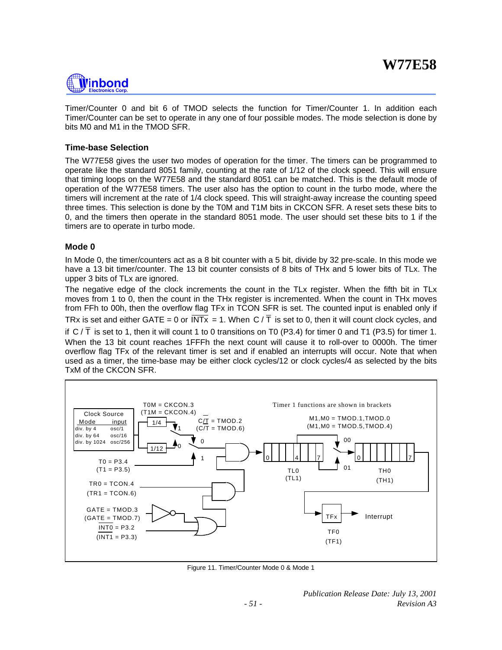

Timer/Counter 0 and bit 6 of TMOD selects the function for Timer/Counter 1. In addition each Timer/Counter can be set to operate in any one of four possible modes. The mode selection is done by bits M0 and M1 in the TMOD SFR.

# **Time-base Selection**

The W77E58 gives the user two modes of operation for the timer. The timers can be programmed to operate like the standard 8051 family, counting at the rate of 1/12 of the clock speed. This will ensure that timing loops on the W77E58 and the standard 8051 can be matched. This is the default mode of operation of the W77E58 timers. The user also has the option to count in the turbo mode, where the timers will increment at the rate of 1/4 clock speed. This will straight-away increase the counting speed three times. This selection is done by the T0M and T1M bits in CKCON SFR. A reset sets these bits to 0, and the timers then operate in the standard 8051 mode. The user should set these bits to 1 if the timers are to operate in turbo mode.

# **Mode 0**

In Mode 0, the timer/counters act as a 8 bit counter with a 5 bit, divide by 32 pre-scale. In this mode we have a 13 bit timer/counter. The 13 bit counter consists of 8 bits of THx and 5 lower bits of TLx. The upper 3 bits of TLx are ignored.

The negative edge of the clock increments the count in the TLx register. When the fifth bit in TLx moves from 1 to 0, then the count in the THx register is incremented. When the count in THx moves from FFh to 00h, then the overflow flag TFx in TCON SFR is set. The counted input is enabled only if

TRx is set and either GATE = 0 or  $\overline{INTx}$  = 1. When C /  $\overline{T}$  is set to 0, then it will count clock cycles, and

if  $C/T$  is set to 1, then it will count 1 to 0 transitions on T0 (P3.4) for timer 0 and T1 (P3.5) for timer 1. When the 13 bit count reaches 1FFFh the next count will cause it to roll-over to 0000h. The timer overflow flag TFx of the relevant timer is set and if enabled an interrupts will occur. Note that when used as a timer, the time-base may be either clock cycles/12 or clock cycles/4 as selected by the bits TxM of the CKCON SFR.



Figure 11. Timer/Counter Mode 0 & Mode 1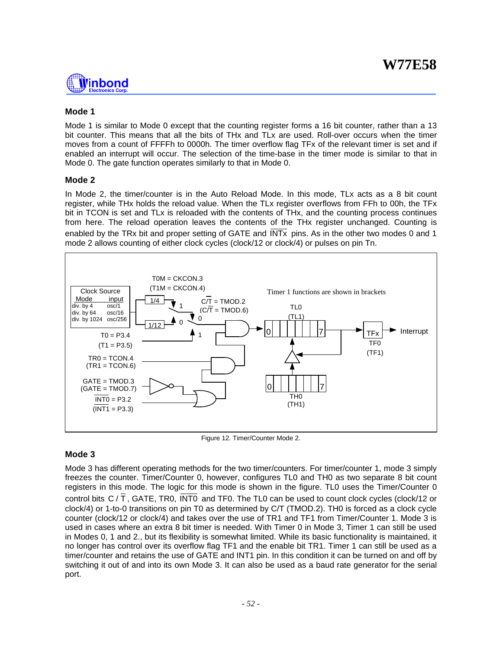

# **Mode 1**

Mode 1 is similar to Mode 0 except that the counting register forms a 16 bit counter, rather than a 13 bit counter. This means that all the bits of THx and TLx are used. Roll-over occurs when the timer moves from a count of FFFFh to 0000h. The timer overflow flag TFx of the relevant timer is set and if enabled an interrupt will occur. The selection of the time-base in the timer mode is similar to that in Mode 0. The gate function operates similarly to that in Mode 0.

# **Mode 2**

In Mode 2, the timer/counter is in the Auto Reload Mode. In this mode, TLx acts as a 8 bit count register, while THx holds the reload value. When the TLx register overflows from FFh to 00h, the TFx bit in TCON is set and TLx is reloaded with the contents of THx, and the counting process continues from here. The reload operation leaves the contents of the THx register unchanged. Counting is enabled by the TRx bit and proper setting of GATE and INTx pins. As in the other two modes 0 and 1 mode 2 allows counting of either clock cycles (clock/12 or clock/4) or pulses on pin Tn.



Figure 12. Timer/Counter Mode 2.

# **Mode 3**

Mode 3 has different operating methods for the two timer/counters. For timer/counter 1, mode 3 simply freezes the counter. Timer/Counter 0, however, configures TL0 and TH0 as two separate 8 bit count registers in this mode. The logic for this mode is shown in the figure. TL0 uses the Timer/Counter 0 control bits C / T , GATE, TR0, INT0 and TF0. The TL0 can be used to count clock cycles (clock/12 or clock/4) or 1-to-0 transitions on pin T0 as determined by C/T (TMOD.2). TH0 is forced as a clock cycle counter (clock/12 or clock/4) and takes over the use of TR1 and TF1 from Timer/Counter 1. Mode 3 is used in cases where an extra 8 bit timer is needed. With Timer 0 in Mode 3, Timer 1 can still be used in Modes 0, 1 and 2., but its flexibility is somewhat limited. While its basic functionality is maintained, it no longer has control over its overflow flag TF1 and the enable bit TR1. Timer 1 can still be used as a timer/counter and retains the use of GATE and INT1 pin. In this condition it can be turned on and off by switching it out of and into its own Mode 3. It can also be used as a baud rate generator for the serial port.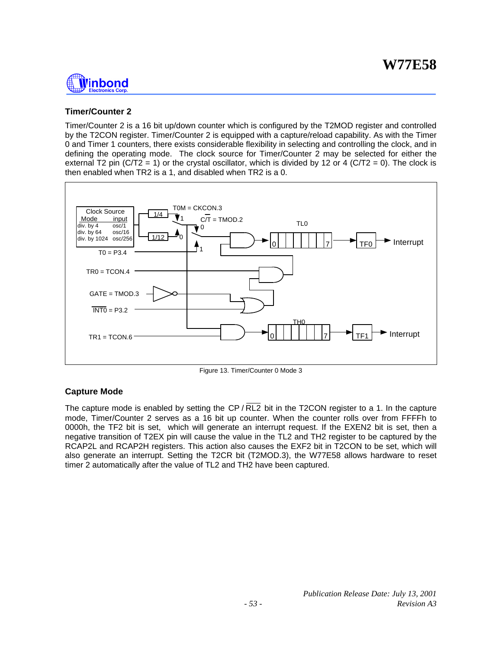

# **Timer/Counter 2**

Timer/Counter 2 is a 16 bit up/down counter which is configured by the T2MOD register and controlled by the T2CON register. Timer/Counter 2 is equipped with a capture/reload capability. As with the Timer 0 and Timer 1 counters, there exists considerable flexibility in selecting and controlling the clock, and in defining the operating mode. The clock source for Timer/Counter 2 may be selected for either the external T2 pin (C/T2 = 1) or the crystal oscillator, which is divided by 12 or 4 (C/T2 = 0). The clock is then enabled when TR2 is a 1, and disabled when TR2 is a 0.



Figure 13. Timer/Counter 0 Mode 3

# **Capture Mode**

The capture mode is enabled by setting the  $\mathsf{CP}/\mathsf{RL2}$  bit in the T2CON register to a 1. In the capture mode, Timer/Counter 2 serves as a 16 bit up counter. When the counter rolls over from FFFFh to 0000h, the TF2 bit is set, which will generate an interrupt request. If the EXEN2 bit is set, then a negative transition of T2EX pin will cause the value in the TL2 and TH2 register to be captured by the RCAP2L and RCAP2H registers. This action also causes the EXF2 bit in T2CON to be set, which will also generate an interrupt. Setting the T2CR bit (T2MOD.3), the W77E58 allows hardware to reset timer 2 automatically after the value of TL2 and TH2 have been captured.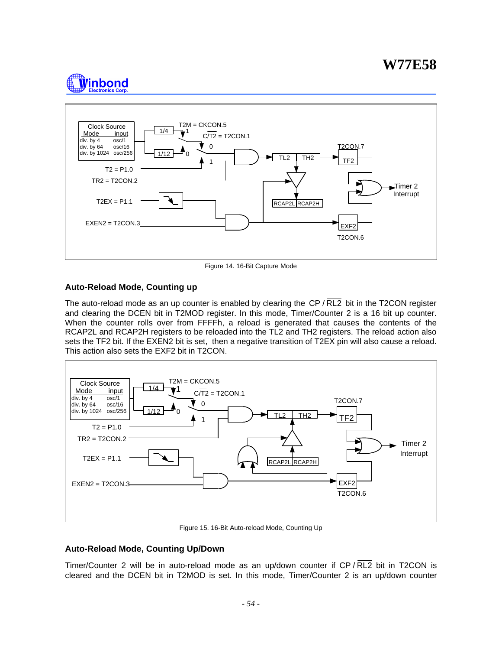



Figure 14. 16-Bit Capture Mode

# **Auto-Reload Mode, Counting up**

The auto-reload mode as an up counter is enabled by clearing the  $\text{CP}/\text{RL2}$  bit in the T2CON register and clearing the DCEN bit in T2MOD register. In this mode, Timer/Counter 2 is a 16 bit up counter. When the counter rolls over from FFFFh, a reload is generated that causes the contents of the RCAP2L and RCAP2H registers to be reloaded into the TL2 and TH2 registers. The reload action also sets the TF2 bit. If the EXEN2 bit is set, then a negative transition of T2EX pin will also cause a reload. This action also sets the EXF2 bit in T2CON.



Figure 15. 16-Bit Auto-reload Mode, Counting Up

# **Auto-Reload Mode, Counting Up/Down**

Timer/Counter 2 will be in auto-reload mode as an up/down counter if CP / RL2 bit in T2CON is cleared and the DCEN bit in T2MOD is set. In this mode, Timer/Counter 2 is an up/down counter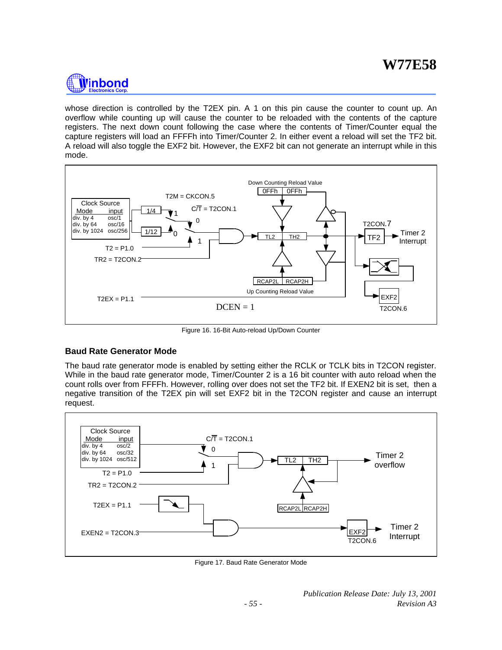

whose direction is controlled by the T2EX pin. A 1 on this pin cause the counter to count up. An overflow while counting up will cause the counter to be reloaded with the contents of the capture registers. The next down count following the case where the contents of Timer/Counter equal the capture registers will load an FFFFh into Timer/Counter 2. In either event a reload will set the TF2 bit. A reload will also toggle the EXF2 bit. However, the EXF2 bit can not generate an interrupt while in this mode.



Figure 16. 16-Bit Auto-reload Up/Down Counter

# **Baud Rate Generator Mode**

The baud rate generator mode is enabled by setting either the RCLK or TCLK bits in T2CON register. While in the baud rate generator mode, Timer/Counter 2 is a 16 bit counter with auto reload when the count rolls over from FFFFh. However, rolling over does not set the TF2 bit. If EXEN2 bit is set, then a negative transition of the T2EX pin will set EXF2 bit in the T2CON register and cause an interrupt request.



Figure 17. Baud Rate Generator Mode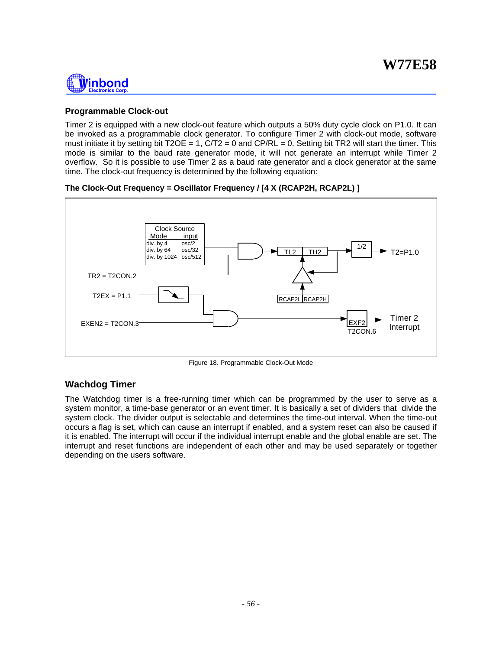

# **Programmable Clock-out**

Timer 2 is equipped with a new clock-out feature which outputs a 50% duty cycle clock on P1.0. It can be invoked as a programmable clock generator. To configure Timer 2 with clock-out mode, software must initiate it by setting bit T2OE = 1,  $C/T2 = 0$  and  $CP/RL = 0$ . Setting bit TR2 will start the timer. This mode is similar to the baud rate generator mode, it will not generate an interrupt while Timer 2 overflow. So it is possible to use Timer 2 as a baud rate generator and a clock generator at the same time. The clock-out frequency is determined by the following equation:

**The Clock-Out Frequency = Oscillator Frequency / [4 X (RCAP2H, RCAP2L) ]**



Figure 18. Programmable Clock-Out Mode

# **Wachdog Timer**

The Watchdog timer is a free-running timer which can be programmed by the user to serve as a system monitor, a time-base generator or an event timer. It is basically a set of dividers that divide the system clock. The divider output is selectable and determines the time-out interval. When the time-out occurs a flag is set, which can cause an interrupt if enabled, and a system reset can also be caused if it is enabled. The interrupt will occur if the individual interrupt enable and the global enable are set. The interrupt and reset functions are independent of each other and may be used separately or together depending on the users software.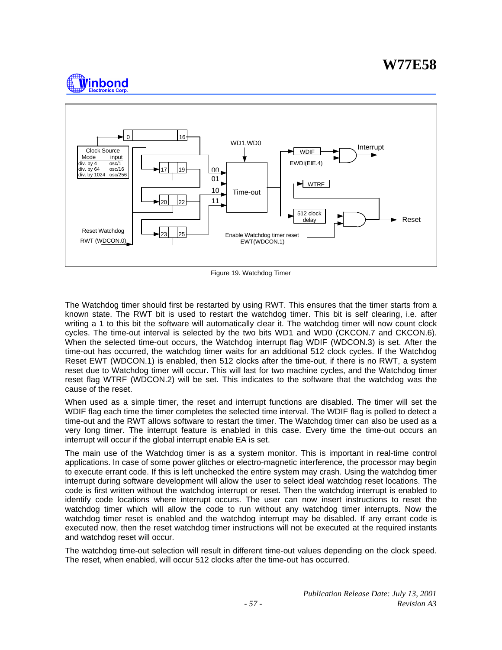# **W77E58**





Figure 19. Watchdog Timer

The Watchdog timer should first be restarted by using RWT. This ensures that the timer starts from a known state. The RWT bit is used to restart the watchdog timer. This bit is self clearing, i.e. after writing a 1 to this bit the software will automatically clear it. The watchdog timer will now count clock cycles. The time-out interval is selected by the two bits WD1 and WD0 (CKCON.7 and CKCON.6). When the selected time-out occurs, the Watchdog interrupt flag WDIF (WDCON.3) is set. After the time-out has occurred, the watchdog timer waits for an additional 512 clock cycles. If the Watchdog Reset EWT (WDCON.1) is enabled, then 512 clocks after the time-out, if there is no RWT, a system reset due to Watchdog timer will occur. This will last for two machine cycles, and the Watchdog timer reset flag WTRF (WDCON.2) will be set. This indicates to the software that the watchdog was the cause of the reset.

When used as a simple timer, the reset and interrupt functions are disabled. The timer will set the WDIF flag each time the timer completes the selected time interval. The WDIF flag is polled to detect a time-out and the RWT allows software to restart the timer. The Watchdog timer can also be used as a very long timer. The interrupt feature is enabled in this case. Every time the time-out occurs an interrupt will occur if the global interrupt enable EA is set.

The main use of the Watchdog timer is as a system monitor. This is important in real-time control applications. In case of some power glitches or electro-magnetic interference, the processor may begin to execute errant code. If this is left unchecked the entire system may crash. Using the watchdog timer interrupt during software development will allow the user to select ideal watchdog reset locations. The code is first written without the watchdog interrupt or reset. Then the watchdog interrupt is enabled to identify code locations where interrupt occurs. The user can now insert instructions to reset the watchdog timer which will allow the code to run without any watchdog timer interrupts. Now the watchdog timer reset is enabled and the watchdog interrupt may be disabled. If any errant code is executed now, then the reset watchdog timer instructions will not be executed at the required instants and watchdog reset will occur.

The watchdog time-out selection will result in different time-out values depending on the clock speed. The reset, when enabled, will occur 512 clocks after the time-out has occurred.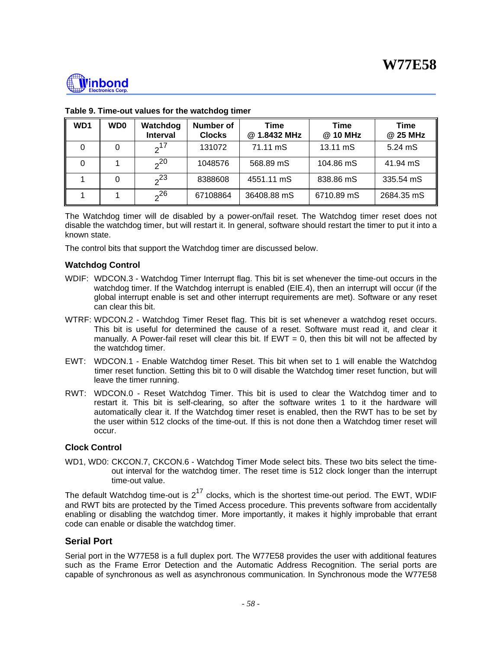

| WD1 | <b>WD0</b> | Watchdog<br><b>Interval</b> | <b>Number of</b><br><b>Clocks</b> | Time<br>@ 1.8432 MHz | Time<br>@ 10 MHz | Time<br>@ 25 MHz |
|-----|------------|-----------------------------|-----------------------------------|----------------------|------------------|------------------|
|     |            | $2^{17}$                    | 131072                            | 71.11 mS             | 13.11 mS         | 5.24 mS          |
|     |            | 20                          | 1048576                           | 568.89 mS            | 104.86 mS        | 41.94 mS         |
|     | 0          | $2^3$                       | 8388608                           | 4551.11 mS           | 838.86 mS        | 335.54 mS        |
|     |            | 2 <sup>26</sup>             | 67108864                          | 36408.88 mS          | 6710.89 mS       | 2684.35 mS       |

# **Table 9. Time-out values for the watchdog timer**

The Watchdog timer will de disabled by a power-on/fail reset. The Watchdog timer reset does not disable the watchdog timer, but will restart it. In general, software should restart the timer to put it into a known state.

The control bits that support the Watchdog timer are discussed below.

# **Watchdog Control**

- WDIF: WDCON.3 Watchdog Timer Interrupt flag. This bit is set whenever the time-out occurs in the watchdog timer. If the Watchdog interrupt is enabled (EIE.4), then an interrupt will occur (if the global interrupt enable is set and other interrupt requirements are met). Software or any reset can clear this bit.
- WTRF: WDCON.2 Watchdog Timer Reset flag. This bit is set whenever a watchdog reset occurs. This bit is useful for determined the cause of a reset. Software must read it, and clear it manually. A Power-fail reset will clear this bit. If  $EWT = 0$ , then this bit will not be affected by the watchdog timer.
- EWT: WDCON.1 Enable Watchdog timer Reset. This bit when set to 1 will enable the Watchdog timer reset function. Setting this bit to 0 will disable the Watchdog timer reset function, but will leave the timer running.
- RWT: WDCON.0 Reset Watchdog Timer. This bit is used to clear the Watchdog timer and to restart it. This bit is self-clearing, so after the software writes 1 to it the hardware will automatically clear it. If the Watchdog timer reset is enabled, then the RWT has to be set by the user within 512 clocks of the time-out. If this is not done then a Watchdog timer reset will occur.

# **Clock Control**

WD1, WD0: CKCON.7, CKCON.6 - Watchdog Timer Mode select bits. These two bits select the timeout interval for the watchdog timer. The reset time is 512 clock longer than the interrupt time-out value.

The default Watchdog time-out is  $2^{17}$  clocks, which is the shortest time-out period. The EWT, WDIF and RWT bits are protected by the Timed Access procedure. This prevents software from accidentally enabling or disabling the watchdog timer. More importantly, it makes it highly improbable that errant code can enable or disable the watchdog timer.

# **Serial Port**

Serial port in the W77E58 is a full duplex port. The W77E58 provides the user with additional features such as the Frame Error Detection and the Automatic Address Recognition. The serial ports are capable of synchronous as well as asynchronous communication. In Synchronous mode the W77E58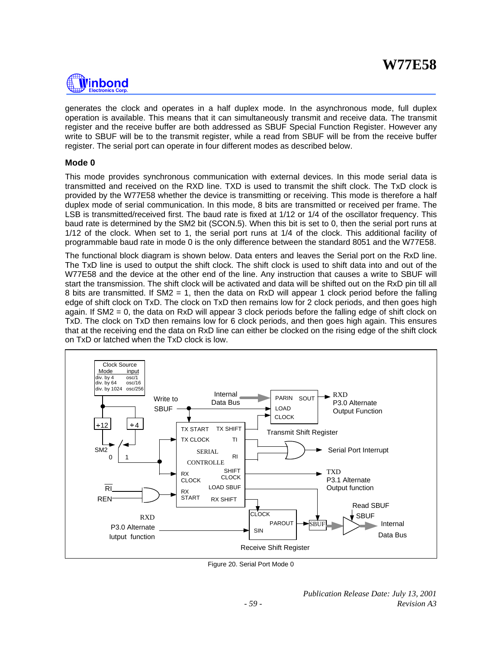

generates the clock and operates in a half duplex mode. In the asynchronous mode, full duplex operation is available. This means that it can simultaneously transmit and receive data. The transmit register and the receive buffer are both addressed as SBUF Special Function Register. However any write to SBUF will be to the transmit register, while a read from SBUF will be from the receive buffer register. The serial port can operate in four different modes as described below.

# **Mode 0**

This mode provides synchronous communication with external devices. In this mode serial data is transmitted and received on the RXD line. TXD is used to transmit the shift clock. The TxD clock is provided by the W77E58 whether the device is transmitting or receiving. This mode is therefore a half duplex mode of serial communication. In this mode, 8 bits are transmitted or received per frame. The LSB is transmitted/received first. The baud rate is fixed at 1/12 or 1/4 of the oscillator frequency. This baud rate is determined by the SM2 bit (SCON.5). When this bit is set to 0, then the serial port runs at 1/12 of the clock. When set to 1, the serial port runs at 1/4 of the clock. This additional facility of programmable baud rate in mode 0 is the only difference between the standard 8051 and the W77E58.

The functional block diagram is shown below. Data enters and leaves the Serial port on the RxD line. The TxD line is used to output the shift clock. The shift clock is used to shift data into and out of the W77E58 and the device at the other end of the line. Any instruction that causes a write to SBUF will start the transmission. The shift clock will be activated and data will be shifted out on the RxD pin till all 8 bits are transmitted. If SM2 = 1, then the data on RxD will appear 1 clock period before the falling edge of shift clock on TxD. The clock on TxD then remains low for 2 clock periods, and then goes high again. If SM2 = 0, the data on RxD will appear 3 clock periods before the falling edge of shift clock on TxD. The clock on TxD then remains low for 6 clock periods, and then goes high again. This ensures that at the receiving end the data on RxD line can either be clocked on the rising edge of the shift clock on TxD or latched when the TxD clock is low.



Figure 20. Serial Port Mode 0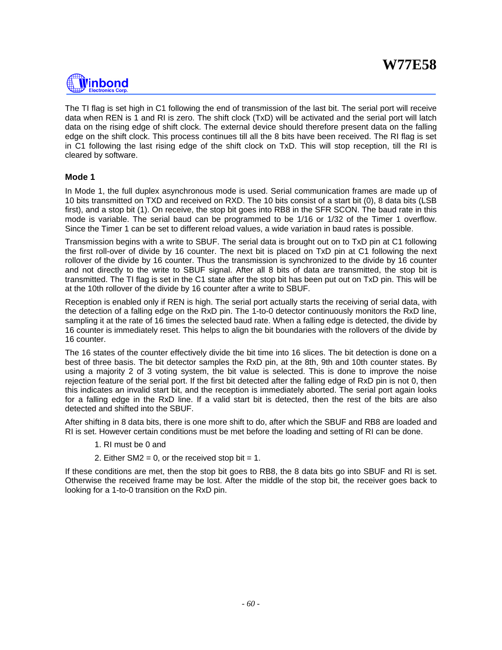

The TI flag is set high in C1 following the end of transmission of the last bit. The serial port will receive data when REN is 1 and RI is zero. The shift clock (TxD) will be activated and the serial port will latch data on the rising edge of shift clock. The external device should therefore present data on the falling edge on the shift clock. This process continues till all the 8 bits have been received. The RI flag is set in C1 following the last rising edge of the shift clock on TxD. This will stop reception, till the RI is cleared by software.

# **Mode 1**

In Mode 1, the full duplex asynchronous mode is used. Serial communication frames are made up of 10 bits transmitted on TXD and received on RXD. The 10 bits consist of a start bit (0), 8 data bits (LSB first), and a stop bit (1). On receive, the stop bit goes into RB8 in the SFR SCON. The baud rate in this mode is variable. The serial baud can be programmed to be 1/16 or 1/32 of the Timer 1 overflow. Since the Timer 1 can be set to different reload values, a wide variation in baud rates is possible.

Transmission begins with a write to SBUF. The serial data is brought out on to TxD pin at C1 following the first roll-over of divide by 16 counter. The next bit is placed on TxD pin at C1 following the next rollover of the divide by 16 counter. Thus the transmission is synchronized to the divide by 16 counter and not directly to the write to SBUF signal. After all 8 bits of data are transmitted, the stop bit is transmitted. The TI flag is set in the C1 state after the stop bit has been put out on TxD pin. This will be at the 10th rollover of the divide by 16 counter after a write to SBUF.

Reception is enabled only if REN is high. The serial port actually starts the receiving of serial data, with the detection of a falling edge on the RxD pin. The 1-to-0 detector continuously monitors the RxD line, sampling it at the rate of 16 times the selected baud rate. When a falling edge is detected, the divide by 16 counter is immediately reset. This helps to align the bit boundaries with the rollovers of the divide by 16 counter.

The 16 states of the counter effectively divide the bit time into 16 slices. The bit detection is done on a best of three basis. The bit detector samples the RxD pin, at the 8th, 9th and 10th counter states. By using a majority 2 of 3 voting system, the bit value is selected. This is done to improve the noise rejection feature of the serial port. If the first bit detected after the falling edge of RxD pin is not 0, then this indicates an invalid start bit, and the reception is immediately aborted. The serial port again looks for a falling edge in the RxD line. If a valid start bit is detected, then the rest of the bits are also detected and shifted into the SBUF.

After shifting in 8 data bits, there is one more shift to do, after which the SBUF and RB8 are loaded and RI is set. However certain conditions must be met before the loading and setting of RI can be done.

- 1. RI must be 0 and
- 2. Either  $SM2 = 0$ , or the received stop bit = 1.

If these conditions are met, then the stop bit goes to RB8, the 8 data bits go into SBUF and RI is set. Otherwise the received frame may be lost. After the middle of the stop bit, the receiver goes back to looking for a 1-to-0 transition on the RxD pin.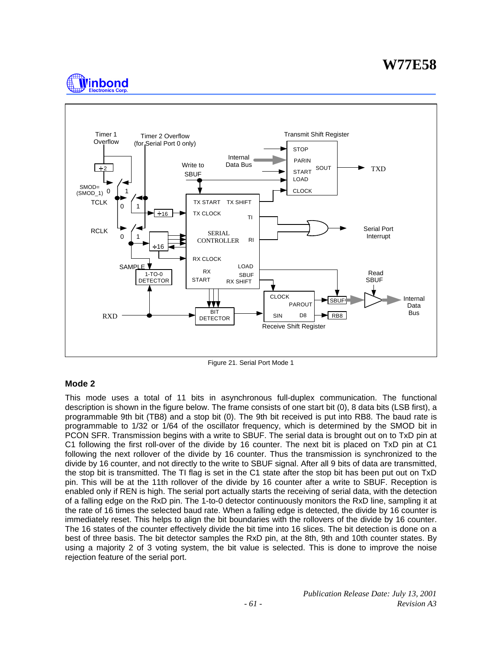# **W77E58**





Figure 21. Serial Port Mode 1

# **Mode 2**

This mode uses a total of 11 bits in asynchronous full-duplex communication. The functional description is shown in the figure below. The frame consists of one start bit (0), 8 data bits (LSB first), a programmable 9th bit (TB8) and a stop bit (0). The 9th bit received is put into RB8. The baud rate is programmable to 1/32 or 1/64 of the oscillator frequency, which is determined by the SMOD bit in PCON SFR. Transmission begins with a write to SBUF. The serial data is brought out on to TxD pin at C1 following the first roll-over of the divide by 16 counter. The next bit is placed on TxD pin at C1 following the next rollover of the divide by 16 counter. Thus the transmission is synchronized to the divide by 16 counter, and not directly to the write to SBUF signal. After all 9 bits of data are transmitted, the stop bit is transmitted. The TI flag is set in the C1 state after the stop bit has been put out on TxD pin. This will be at the 11th rollover of the divide by 16 counter after a write to SBUF. Reception is enabled only if REN is high. The serial port actually starts the receiving of serial data, with the detection of a falling edge on the RxD pin. The 1-to-0 detector continuously monitors the RxD line, sampling it at the rate of 16 times the selected baud rate. When a falling edge is detected, the divide by 16 counter is immediately reset. This helps to align the bit boundaries with the rollovers of the divide by 16 counter. The 16 states of the counter effectively divide the bit time into 16 slices. The bit detection is done on a best of three basis. The bit detector samples the RxD pin, at the 8th, 9th and 10th counter states. By using a majority 2 of 3 voting system, the bit value is selected. This is done to improve the noise rejection feature of the serial port.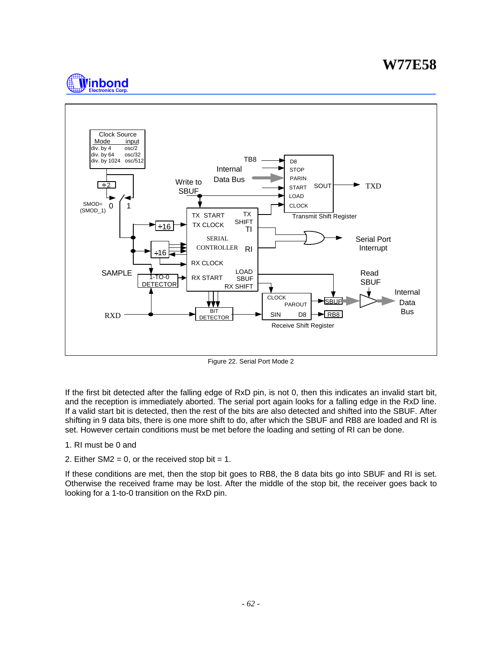# **W77E58**





Figure 22. Serial Port Mode 2

If the first bit detected after the falling edge of RxD pin, is not 0, then this indicates an invalid start bit, and the reception is immediately aborted. The serial port again looks for a falling edge in the RxD line. If a valid start bit is detected, then the rest of the bits are also detected and shifted into the SBUF. After shifting in 9 data bits, there is one more shift to do, after which the SBUF and RB8 are loaded and RI is set. However certain conditions must be met before the loading and setting of RI can be done.

### 1. RI must be 0 and

2. Either  $SM2 = 0$ , or the received stop bit = 1.

If these conditions are met, then the stop bit goes to RB8, the 8 data bits go into SBUF and RI is set. Otherwise the received frame may be lost. After the middle of the stop bit, the receiver goes back to looking for a 1-to-0 transition on the RxD pin.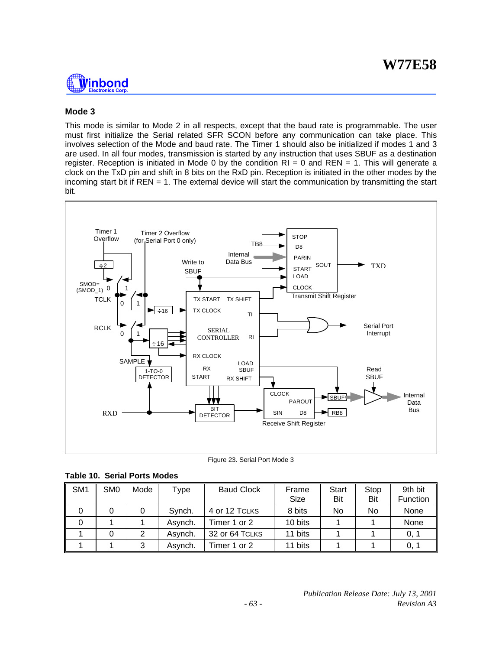

# **Mode 3**

This mode is similar to Mode 2 in all respects, except that the baud rate is programmable. The user must first initialize the Serial related SFR SCON before any communication can take place. This involves selection of the Mode and baud rate. The Timer 1 should also be initialized if modes 1 and 3 are used. In all four modes, transmission is started by any instruction that uses SBUF as a destination register. Reception is initiated in Mode 0 by the condition  $RI = 0$  and  $REN = 1$ . This will generate a clock on the TxD pin and shift in 8 bits on the RxD pin. Reception is initiated in the other modes by the incoming start bit if REN = 1. The external device will start the communication by transmitting the start bit.



Figure 23. Serial Port Mode 3

| Table 10. Serial Ports Modes |  |  |  |  |  |
|------------------------------|--|--|--|--|--|
|------------------------------|--|--|--|--|--|

| SM <sub>1</sub> | SM <sub>0</sub> | Mode | Type    | <b>Baud Clock</b> | Frame<br>Size | Start<br>Bit | Stop<br>Bit | 9th bit<br>Function |
|-----------------|-----------------|------|---------|-------------------|---------------|--------------|-------------|---------------------|
|                 |                 |      | Synch.  | 4 or 12 TCLKS     | 8 bits        | No           | No          | None                |
|                 |                 |      | Asvnch. | Timer 1 or 2      | 10 bits       |              |             | None                |
|                 |                 |      | Asynch. | 32 or 64 TCLKS    | 11 bits       |              |             | 0, 1                |
|                 |                 | 3    | Asvnch. | Timer 1 or 2      | 11 bits       |              |             | 0, 1                |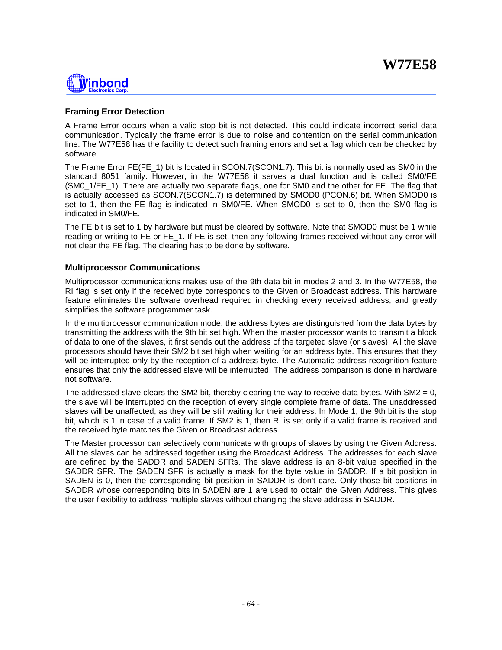# <u> Winbond</u>

# **Framing Error Detection**

A Frame Error occurs when a valid stop bit is not detected. This could indicate incorrect serial data communication. Typically the frame error is due to noise and contention on the serial communication line. The W77E58 has the facility to detect such framing errors and set a flag which can be checked by software.

The Frame Error FE(FE 1) bit is located in SCON.7(SCON1.7). This bit is normally used as SM0 in the standard 8051 family. However, in the W77E58 it serves a dual function and is called SM0/FE (SM0\_1/FE\_1). There are actually two separate flags, one for SM0 and the other for FE. The flag that is actually accessed as SCON.7(SCON1.7) is determined by SMOD0 (PCON.6) bit. When SMOD0 is set to 1, then the FE flag is indicated in SM0/FE. When SMOD0 is set to 0, then the SM0 flag is indicated in SM0/FE.

The FE bit is set to 1 by hardware but must be cleared by software. Note that SMOD0 must be 1 while reading or writing to FE or FE 1. If FE is set, then any following frames received without any error will not clear the FE flag. The clearing has to be done by software.

# **Multiprocessor Communications**

Multiprocessor communications makes use of the 9th data bit in modes 2 and 3. In the W77E58, the RI flag is set only if the received byte corresponds to the Given or Broadcast address. This hardware feature eliminates the software overhead required in checking every received address, and greatly simplifies the software programmer task.

In the multiprocessor communication mode, the address bytes are distinguished from the data bytes by transmitting the address with the 9th bit set high. When the master processor wants to transmit a block of data to one of the slaves, it first sends out the address of the targeted slave (or slaves). All the slave processors should have their SM2 bit set high when waiting for an address byte. This ensures that they will be interrupted only by the reception of a address byte. The Automatic address recognition feature ensures that only the addressed slave will be interrupted. The address comparison is done in hardware not software.

The addressed slave clears the SM2 bit, thereby clearing the way to receive data bytes. With SM2 = 0, the slave will be interrupted on the reception of every single complete frame of data. The unaddressed slaves will be unaffected, as they will be still waiting for their address. In Mode 1, the 9th bit is the stop bit, which is 1 in case of a valid frame. If SM2 is 1, then RI is set only if a valid frame is received and the received byte matches the Given or Broadcast address.

The Master processor can selectively communicate with groups of slaves by using the Given Address. All the slaves can be addressed together using the Broadcast Address. The addresses for each slave are defined by the SADDR and SADEN SFRs. The slave address is an 8-bit value specified in the SADDR SFR. The SADEN SFR is actually a mask for the byte value in SADDR. If a bit position in SADEN is 0, then the corresponding bit position in SADDR is don't care. Only those bit positions in SADDR whose corresponding bits in SADEN are 1 are used to obtain the Given Address. This gives the user flexibility to address multiple slaves without changing the slave address in SADDR.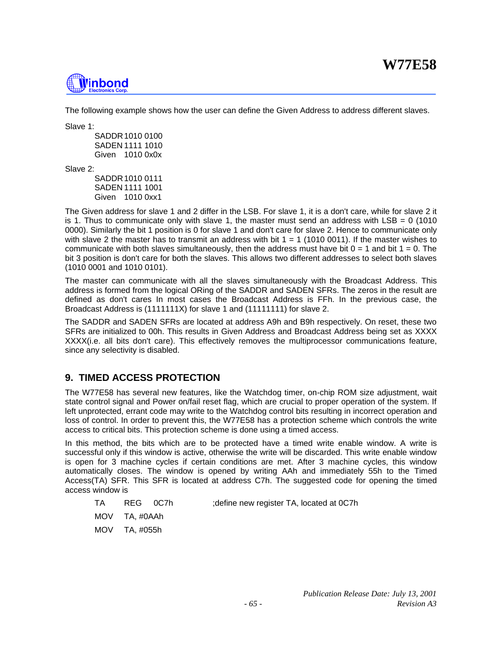

The following example shows how the user can define the Given Address to address different slaves.

Slave 1:

SADDR1010 0100 SADEN 1111 1010 Given 1010 0x0x

Slave 2:

SADDR1010 0111 SADEN 1111 1001 Given 1010 0xx1

The Given address for slave 1 and 2 differ in the LSB. For slave 1, it is a don't care, while for slave 2 it is 1. Thus to communicate only with slave 1, the master must send an address with  $LSB = 0$  (1010 0000). Similarly the bit 1 position is 0 for slave 1 and don't care for slave 2. Hence to communicate only with slave 2 the master has to transmit an address with bit  $1 = 1$  (1010 0011). If the master wishes to communicate with both slaves simultaneously, then the address must have bit  $0 = 1$  and bit  $1 = 0$ . The bit 3 position is don't care for both the slaves. This allows two different addresses to select both slaves (1010 0001 and 1010 0101).

The master can communicate with all the slaves simultaneously with the Broadcast Address. This address is formed from the logical ORing of the SADDR and SADEN SFRs. The zeros in the result are defined as don't cares In most cases the Broadcast Address is FFh. In the previous case, the Broadcast Address is (1111111X) for slave 1 and (11111111) for slave 2.

The SADDR and SADEN SFRs are located at address A9h and B9h respectively. On reset, these two SFRs are initialized to 00h. This results in Given Address and Broadcast Address being set as XXXX XXXX(i.e. all bits don't care). This effectively removes the multiprocessor communications feature, since any selectivity is disabled.

# **9. TIMED ACCESS PROTECTION**

The W77E58 has several new features, like the Watchdog timer, on-chip ROM size adjustment, wait state control signal and Power on/fail reset flag, which are crucial to proper operation of the system. If left unprotected, errant code may write to the Watchdog control bits resulting in incorrect operation and loss of control. In order to prevent this, the W77E58 has a protection scheme which controls the write access to critical bits. This protection scheme is done using a timed access.

In this method, the bits which are to be protected have a timed write enable window. A write is successful only if this window is active, otherwise the write will be discarded. This write enable window is open for 3 machine cycles if certain conditions are met. After 3 machine cycles, this window automatically closes. The window is opened by writing AAh and immediately 55h to the Timed Access(TA) SFR. This SFR is located at address C7h. The suggested code for opening the timed access window is

TA REG 0C7h ;define new register TA, located at 0C7h

MOV TA, #0AAh

MOV TA, #055h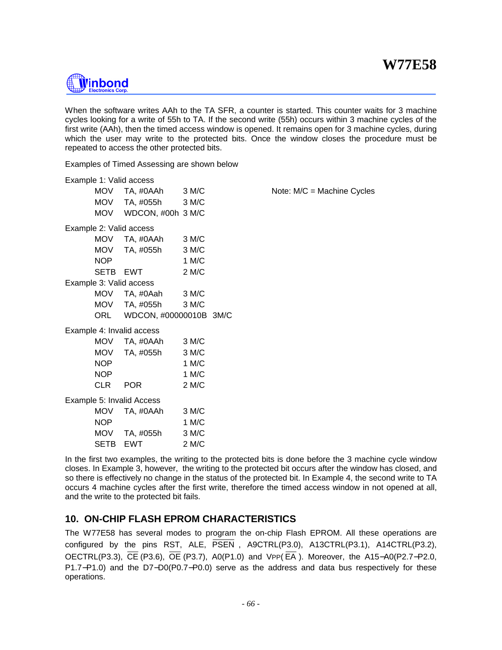

When the software writes AAh to the TA SFR, a counter is started. This counter waits for 3 machine cycles looking for a write of 55h to TA. If the second write (55h) occurs within 3 machine cycles of the first write (AAh), then the timed access window is opened. It remains open for 3 machine cycles, during which the user may write to the protected bits. Once the window closes the procedure must be repeated to access the other protected bits.

Examples of Timed Assessing are shown below

|             | Example 1: Valid access   |       |                              |
|-------------|---------------------------|-------|------------------------------|
| <b>MOV</b>  | TA, #0AAh                 | 3 M/C | Note: $M/C = Machine Cycles$ |
| <b>MOV</b>  | TA, #055h                 | 3 M/C |                              |
| <b>MOV</b>  | WDCON, #00h 3 M/C         |       |                              |
|             | Example 2: Valid access   |       |                              |
| <b>MOV</b>  | TA, #0AAh                 | 3 M/C |                              |
| <b>MOV</b>  | TA, #055h                 | 3 M/C |                              |
| <b>NOP</b>  |                           | 1 M/C |                              |
| <b>SETB</b> | <b>EWT</b>                | 2 M/C |                              |
|             | Example 3: Valid access   |       |                              |
| <b>MOV</b>  | TA, #0Aah                 | 3 M/C |                              |
| MOV         | TA, #055h                 | 3 M/C |                              |
| <b>ORL</b>  | WDCON, #00000010B 3M/C    |       |                              |
|             | Example 4: Invalid access |       |                              |
| <b>MOV</b>  | TA, #0AAh                 | 3 M/C |                              |
| <b>MOV</b>  | TA, #055h                 | 3 M/C |                              |
| <b>NOP</b>  |                           | 1 M/C |                              |
| <b>NOP</b>  |                           | 1 M/C |                              |
| <b>CLR</b>  | <b>POR</b>                | 2 M/C |                              |
|             | Example 5: Invalid Access |       |                              |
| <b>MOV</b>  | TA, #0AAh                 | 3 M/C |                              |
| <b>NOP</b>  |                           | 1 M/C |                              |
| <b>MOV</b>  | TA, #055h                 | 3 M/C |                              |
| SETB        | EWT                       | 2 M/C |                              |

In the first two examples, the writing to the protected bits is done before the 3 machine cycle window closes. In Example 3, however, the writing to the protected bit occurs after the window has closed, and so there is effectively no change in the status of the protected bit. In Example 4, the second write to TA occurs 4 machine cycles after the first write, therefore the timed access window in not opened at all, and the write to the protected bit fails.

# **10. ON-CHIP FLASH EPROM CHARACTERISTICS**

The W77E58 has several modes to program the on-chip Flash EPROM. All these operations are configured by the pins RST, ALE, PSEN , A9CTRL(P3.0), A13CTRL(P3.1), A14CTRL(P3.2), OECTRL(P3.3), CE (P3.6), OE (P3.7), A0(P1.0) and VPP( EA ). Moreover, the A15−A0(P2.7−P2.0, P1.7−P1.0) and the D7−D0(P0.7−P0.0) serve as the address and data bus respectively for these operations.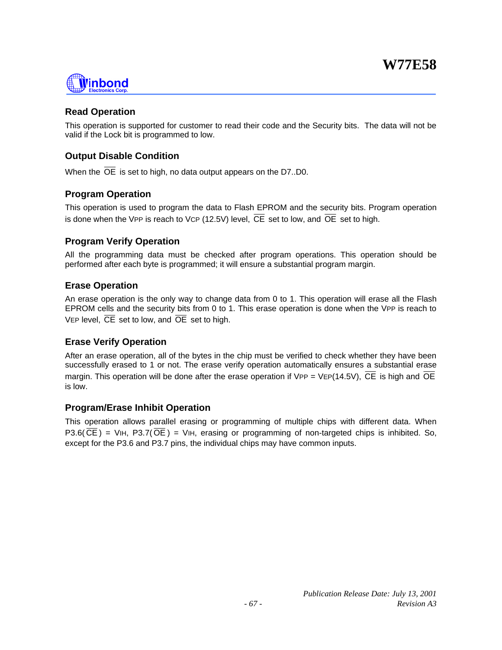

# **Read Operation**

This operation is supported for customer to read their code and the Security bits. The data will not be valid if the Lock bit is programmed to low.

# **Output Disable Condition**

When the  $\overline{OE}$  is set to high, no data output appears on the D7..D0.

# **Program Operation**

This operation is used to program the data to Flash EPROM and the security bits. Program operation is done when the VPP is reach to VCP (12.5V) level, CE set to low, and OE set to high.

# **Program Verify Operation**

All the programming data must be checked after program operations. This operation should be performed after each byte is programmed; it will ensure a substantial program margin.

# **Erase Operation**

An erase operation is the only way to change data from 0 to 1. This operation will erase all the Flash EPROM cells and the security bits from 0 to 1. This erase operation is done when the VPP is reach to VEP level,  $\overline{CE}$  set to low, and  $\overline{OE}$  set to high.

# **Erase Verify Operation**

After an erase operation, all of the bytes in the chip must be verified to check whether they have been successfully erased to 1 or not. The erase verify operation automatically ensures a substantial erase margin. This operation will be done after the erase operation if VPP = VEP(14.5V),  $\overline{CE}$  is high and  $\overline{OE}$ is low.

# **Program/Erase Inhibit Operation**

This operation allows parallel erasing or programming of multiple chips with different data. When P3.6( $\overline{CE}$ ) = VIH, P3.7( $\overline{OE}$ ) = VIH, erasing or programming of non-targeted chips is inhibited. So, except for the P3.6 and P3.7 pins, the individual chips may have common inputs.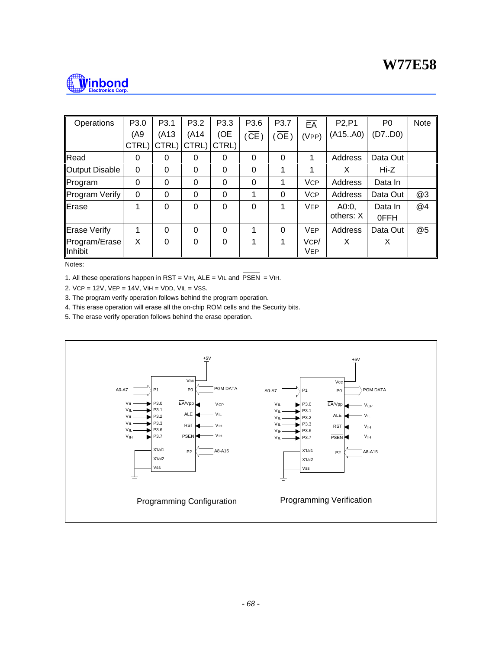

| Operations            | P <sub>3.0</sub> | P <sub>3.1</sub> | P <sub>3.2</sub> | P3.3  | P3.6              | P <sub>3.7</sub>  | $E\overline{A}$ | P <sub>2</sub> ,P <sub>1</sub> | P <sub>0</sub> | <b>Note</b> |
|-----------------------|------------------|------------------|------------------|-------|-------------------|-------------------|-----------------|--------------------------------|----------------|-------------|
|                       | (A9              | (A13)            | (A14)            | (OE   | $(\overline{CE})$ | $\overline{OE}$ ) | (VPP)           | (A15A0)                        | (D7.00)        |             |
|                       | CTRL)            | CTRL)            | CTRL)            | CTRL) |                   |                   |                 |                                |                |             |
| Read                  | $\Omega$         | 0                | 0                | 0     | 0                 | $\Omega$          | 1               | Address                        | Data Out       |             |
| <b>Output Disable</b> | $\Omega$         | 0                | 0                | 0     | 0                 |                   | 1               | X                              | Hi-Z           |             |
| Program               | $\Omega$         | 0                | 0                | 0     | 0                 |                   | <b>VCP</b>      | Address                        | Data In        |             |
| Program Verify        | 0                | 0                | 0                | 0     | 1                 | $\Omega$          | <b>VCP</b>      | Address                        | Data Out       | @3          |
| Erase                 | 1                | 0                | $\Omega$         | 0     | 0                 | 1                 | <b>VEP</b>      | A0:0,                          | Data In        | @4          |
|                       |                  |                  |                  |       |                   |                   |                 | others: X                      | 0FFH           |             |
| Erase Verify          | 1                | 0                | 0                | 0     | 1                 | $\Omega$          | <b>VEP</b>      | Address                        | Data Out       | @5          |
| Program/Erase         | X                | 0                | $\Omega$         | 0     | 1                 | 1                 | VCP/            | X                              | X              |             |
| Inhibit               |                  |                  |                  |       |                   |                   | <b>VEP</b>      |                                |                |             |

Notes:

1. All these operations happen in RST = VIH, ALE = VIL and  $\overline{PSEN}$  = VIH.

2. VCP = 12V, VEP = 14V, VIH = VDD, VIL = VSS.

3. The program verify operation follows behind the program operation.

4. This erase operation will erase all the on-chip ROM cells and the Security bits.

5. The erase verify operation follows behind the erase operation.

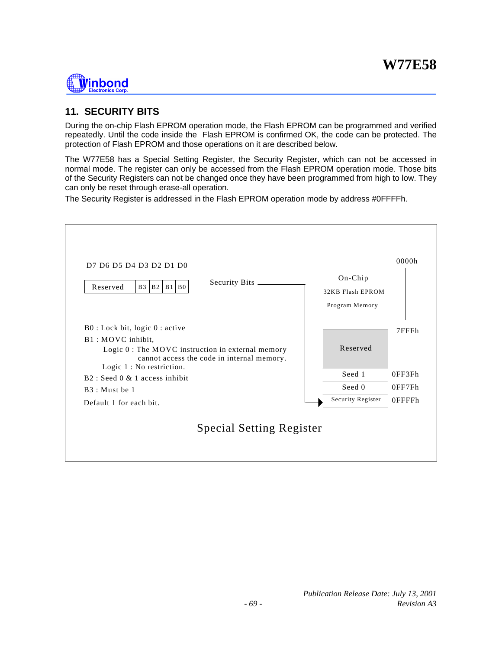# **Nünbond**

# **11. SECURITY BITS**

During the on-chip Flash EPROM operation mode, the Flash EPROM can be programmed and verified repeatedly. Until the code inside the Flash EPROM is confirmed OK, the code can be protected. The protection of Flash EPROM and those operations on it are described below.

The W77E58 has a Special Setting Register, the Security Register, which can not be accessed in normal mode. The register can only be accessed from the Flash EPROM operation mode. Those bits of the Security Registers can not be changed once they have been programmed from high to low. They can only be reset through erase-all operation.

The Security Register is addressed in the Flash EPROM operation mode by address #0FFFFh.

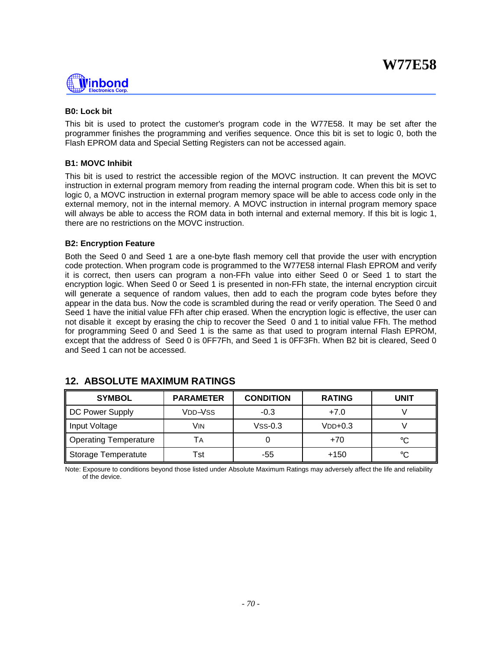

### **B0: Lock bit**

This bit is used to protect the customer's program code in the W77E58. It may be set after the programmer finishes the programming and verifies sequence. Once this bit is set to logic 0, both the Flash EPROM data and Special Setting Registers can not be accessed again.

### **B1: MOVC Inhibit**

This bit is used to restrict the accessible region of the MOVC instruction. It can prevent the MOVC instruction in external program memory from reading the internal program code. When this bit is set to logic 0, a MOVC instruction in external program memory space will be able to access code only in the external memory, not in the internal memory. A MOVC instruction in internal program memory space will always be able to access the ROM data in both internal and external memory. If this bit is logic 1, there are no restrictions on the MOVC instruction.

### **B2: Encryption Feature**

Both the Seed 0 and Seed 1 are a one-byte flash memory cell that provide the user with encryption code protection. When program code is programmed to the W77E58 internal Flash EPROM and verify it is correct, then users can program a non-FFh value into either Seed 0 or Seed 1 to start the encryption logic. When Seed 0 or Seed 1 is presented in non-FFh state, the internal encryption circuit will generate a sequence of random values, then add to each the program code bytes before they appear in the data bus. Now the code is scrambled during the read or verify operation. The Seed 0 and Seed 1 have the initial value FFh after chip erased. When the encryption logic is effective, the user can not disable it except by erasing the chip to recover the Seed 0 and 1 to initial value FFh. The method for programming Seed 0 and Seed 1 is the same as that used to program internal Flash EPROM, except that the address of Seed 0 is 0FF7Fh, and Seed 1 is 0FF3Fh. When B2 bit is cleared, Seed 0 and Seed 1 can not be accessed.

| <b>SYMBOL</b>         | <b>PARAMETER</b>                 | <b>CONDITION</b> | <b>RATING</b> | UNIT |
|-----------------------|----------------------------------|------------------|---------------|------|
| DC Power Supply       | V <sub>DD</sub> -V <sub>SS</sub> | $-0.3$           | $+7.0$        |      |
| Input Voltage         | Vin                              | $VSS-0.3$        | $VDD+0.3$     |      |
| Operating Temperature | ΙA                               |                  | $+70$         | °C   |
| Storage Temperatute   | Tst                              | -55              | $+150$        | °C   |

# **12. ABSOLUTE MAXIMUM RATINGS**

Note: Exposure to conditions beyond those listed under Absolute Maximum Ratings may adversely affect the life and reliability of the device.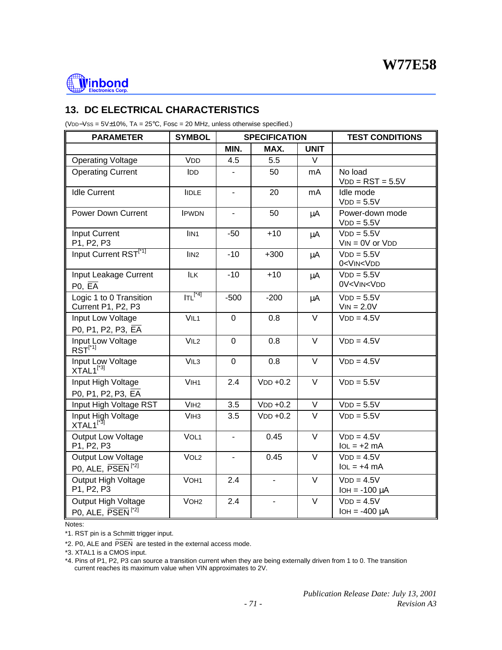

# **13. DC ELECTRICAL CHARACTERISTICS**

(VDD−VSS = 5V±10%, TA = 25°C, Fosc = 20 MHz, unless otherwise specified.)

| <b>PARAMETER</b>                                     | <b>SYMBOL</b>    |                | <b>SPECIFICATION</b> |             | <b>TEST CONDITIONS</b>                         |
|------------------------------------------------------|------------------|----------------|----------------------|-------------|------------------------------------------------|
|                                                      |                  | MIN.           | MAX.                 | <b>UNIT</b> |                                                |
| <b>Operating Voltage</b>                             | <b>VDD</b>       | 4.5            | 5.5                  | V           |                                                |
| <b>Operating Current</b>                             | <b>IDD</b>       |                | 50                   | mA          | No load<br>$VDD = RST = 5.5V$                  |
| <b>Idle Current</b>                                  | <b>IIDLE</b>     |                | 20                   | mA          | Idle mode<br>$VDD = 5.5V$                      |
| <b>Power Down Current</b>                            | <b>IPWDN</b>     |                | 50                   | $\mu$ A     | Power-down mode<br>$VDD = 5.5V$                |
| <b>Input Current</b><br>P1, P2, P3                   | IIN <sub>1</sub> | $-50$          | $+10$                | $\mu$ A     | $VDD = 5.5V$<br>$VIN = OV$ or $VDD$            |
| Input Current RST <sup>[*1]</sup>                    | IIN <sub>2</sub> | $-10$          | $+300$               | $\mu$ A     | $VDD = 5.5V$<br>0 <vin<vdd< td=""></vin<vdd<>  |
| Input Leakage Current<br>PO, EA                      | <b>ILK</b>       | $-10$          | $+10$                | μA          | $VDD = 5.5V$<br>0V <vin<vdd< td=""></vin<vdd<> |
| Logic 1 to 0 Transition<br>Current P1, P2, P3        | $ITL^{[*4]}$     | $-500$         | $-200$               | μA          | $VDD = 5.5V$<br>$VIN = 2.0V$                   |
| Input Low Voltage<br>P0, P1, P2, P3, EA              | VIL <sub>1</sub> | $\overline{0}$ | 0.8                  | $\vee$      | $VDD = 4.5V$                                   |
| Input Low Voltage<br>$RST^{[^*1]}$                   | VIL <sub>2</sub> | $\mathbf 0$    | 0.8                  | $\vee$      | $VDD = 4.5V$                                   |
| Input Low Voltage<br>XTAL1 <sup>[*3]</sup>           | VIL <sub>3</sub> | $\mathbf 0$    | 0.8                  | $\vee$      | $VDD = 4.5V$                                   |
| Input High Voltage<br>P0, P1, P2, P3, EA             | VIH <sub>1</sub> | 2.4            | $VDD + 0.2$          | $\vee$      | $VDD = 5.5V$                                   |
| Input High Voltage RST                               | V <sub>1H2</sub> | 3.5            | $VDD +0.2$           | $\vee$      | $VDD = 5.5V$                                   |
| Input High Voltage<br>$XTAL1^{[^*3]}$                | V <sub>IH3</sub> | 3.5            | $VDD +0.2$           | $\vee$      | $VDD = 5.5V$                                   |
| <b>Output Low Voltage</b><br>P1, P2, P3              | VOL <sub>1</sub> |                | 0.45                 | $\vee$      | $VDD = 4.5V$<br>$IoL = +2 mA$                  |
| Output Low Voltage<br>PO, ALE, PSEN <sup>[*2]</sup>  | VOL <sub>2</sub> |                | 0.45                 | $\vee$      | $VDD = 4.5V$<br>$IOL = +4 mA$                  |
| Output High Voltage<br>P1, P2, P3                    | VOH <sub>1</sub> | 2.4            | ٠                    | $\vee$      | $VDD = 4.5V$<br>$IOH = -100 \mu A$             |
| Output High Voltage<br>PO, ALE, PSEN <sup>[*2]</sup> | VOH <sub>2</sub> | 2.4            | $\frac{1}{2}$        | $\vee$      | $VDD = 4.5V$<br>$IOH = -400 \mu A$             |

Notes:

\*1. RST pin is a Schmitt trigger input.

\*2. P0, ALE and PSEN are tested in the external access mode.

\*3. XTAL1 is a CMOS input.

\*4. Pins of P1, P2, P3 can source a transition current when they are being externally driven from 1 to 0. The transition current reaches its maximum value when VIN approximates to 2V.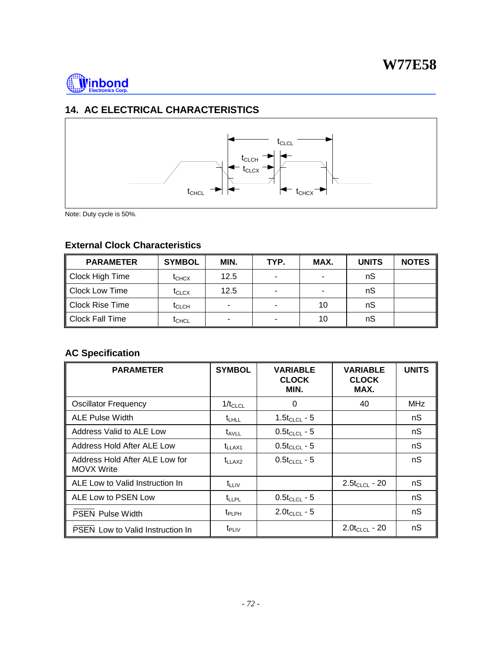

# **14. AC ELECTRICAL CHARACTERISTICS**



Note: Duty cycle is 50%.

# **External Clock Characteristics**

| <b>PARAMETER</b>       | <b>SYMBOL</b>                | MIN. | TYP.                     | MAX. | <b>UNITS</b> | <b>NOTES</b> |
|------------------------|------------------------------|------|--------------------------|------|--------------|--------------|
| Clock High Time        | $\mathfrak{r}_{\text{CHCX}}$ | 12.5 | $\overline{\phantom{a}}$ |      | nS           |              |
| <b>Clock Low Time</b>  | $\mathfrak{r}_{\text{CLCX}}$ | 12.5 | $\overline{\phantom{a}}$ |      | nS           |              |
| <b>Clock Rise Time</b> | $\mathsf{t}_{\mathsf{CLCH}}$ |      | ٠                        | 10   | nS           |              |
| <b>Clock Fall Time</b> | $\mathsf{t}_{\mathsf{CHCL}}$ |      | $\overline{\phantom{a}}$ | 10   | nS           |              |

# **AC Specification**

| <b>PARAMETER</b>                             | <b>SYMBOL</b>  | <b><i>VARIABLE</i></b><br><b>CLOCK</b><br>MIN. | <b><i>VARIABLE</i></b><br><b>CLOCK</b><br>MAX. | <b>UNITS</b> |
|----------------------------------------------|----------------|------------------------------------------------|------------------------------------------------|--------------|
| <b>Oscillator Frequency</b>                  | $1/t_{CLCL}$   | 0                                              | 40                                             | <b>MHz</b>   |
| <b>ALE Pulse Width</b>                       | $t_{LHLL}$     | 1.5 $t_{CLCL}$ - 5                             |                                                | nS           |
| Address Valid to ALE Low                     | $t_{AVLL}$     | $0.5t_{CLCL}$ - 5                              |                                                | nS           |
| Address Hold After ALE Low                   | $t_{LLAX1}$    | $0.5t_{CLCL}$ - 5                              |                                                | nS           |
| Address Hold After ALE Low for<br>MOVX Write | $t_{LLAX2}$    | $0.5t_{CLCL}$ - 5                              |                                                | nS           |
| ALE Low to Valid Instruction In              | $t_{LLIV}$     |                                                | $2.5t_{CLCL}$ - 20                             | nS           |
| ALE Low to PSEN Low                          | $t_{LLPL}$     | $0.5t_{CLCL}$ - 5                              |                                                | nS           |
| <b>PSEN Pulse Width</b>                      | $t_{\sf PLPH}$ | $2.0t_{CLCL} - 5$                              |                                                | nS           |
| <b>PSEN Low to Valid Instruction In</b>      | $t_{\sf PLIV}$ |                                                | $2.0t_{CLCL}$ - 20                             | nS           |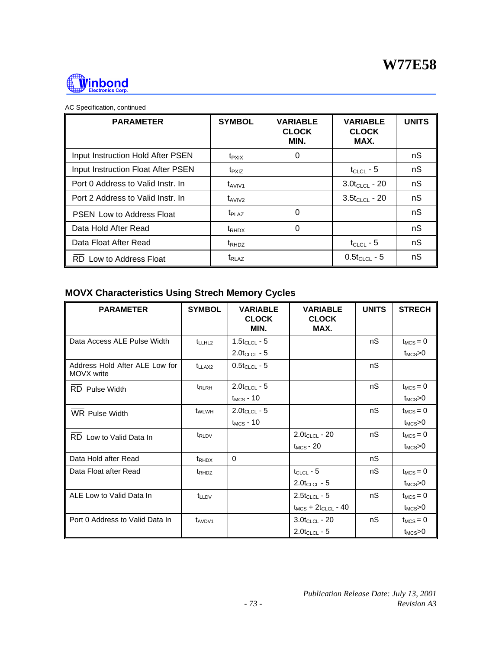

|  | AC Specification, continued |  |
|--|-----------------------------|--|
|  |                             |  |

| <b>PARAMETER</b>                   | <b>SYMBOL</b>            | <b>VARIABLE</b><br><b>CLOCK</b><br>MIN. | <b>VARIABLE</b><br><b>CLOCK</b><br>MAX. | <b>UNITS</b> |
|------------------------------------|--------------------------|-----------------------------------------|-----------------------------------------|--------------|
| Input Instruction Hold After PSEN  | $t_{\sf P XIX}$          | 0                                       |                                         | nS           |
| Input Instruction Float After PSEN | $t_{PXIZ}$               |                                         | $t_{CLCL}$ - 5                          | nS           |
| Port 0 Address to Valid Instr. In  | $t_{AVIV1}$              |                                         | $3.0t_{CLCL}$ - 20                      | nS           |
| Port 2 Address to Valid Instr. In  | $t_{AVIV2}$              |                                         | $3.5t_{CLCL}$ - 20                      | nS           |
| PSEN Low to Address Float          | $t_{PI\,A2}$             | 0                                       |                                         | nS           |
| Data Hold After Read               | $t_{RHDX}$               | 0                                       |                                         | nS           |
| Data Float After Read              | t <sub>RHDZ</sub>        |                                         | $t_{CLCL}$ - 5                          | nS           |
| RD Low to Address Float            | <b>t</b> <sub>RLAZ</sub> |                                         | $0.5t_{CLCL} - 5$                       | nS           |

# **MOVX Characteristics Using Strech Memory Cycles**

| <b>PARAMETER</b>                             | <b>SYMBOL</b>      | <b>VARIABLE</b><br><b>CLOCK</b><br>MIN. | <b>VARIABLE</b><br><b>CLOCK</b><br>MAX. | <b>UNITS</b> | <b>STRECH</b>       |
|----------------------------------------------|--------------------|-----------------------------------------|-----------------------------------------|--------------|---------------------|
| Data Access ALE Pulse Width                  | t <sub>LLHL2</sub> | $1.5t_{CLCL} - 5$                       |                                         | nS           | $t_{MCS} = 0$       |
|                                              |                    | $2.0$ t <sub>CLCL</sub> - 5             |                                         |              | $t_{MCS}$ $>0$      |
| Address Hold After ALE Low for<br>MOVX write | $t_{LLAX2}$        | $0.5t_{CLCL}$ - 5                       |                                         | nS           |                     |
| <b>RD</b> Pulse Width                        | t <sub>RLRH</sub>  | $2.0$ t <sub>CLCL</sub> - 5             |                                         | nS           | $t_{MCS} = 0$       |
|                                              |                    | $t_{MCS}$ - 10                          |                                         |              | $t_{\text{MCS}}$ >0 |
| <b>WR Pulse Width</b>                        | t <sub>WLWH</sub>  | $2.0t_{CLCL} - 5$                       |                                         | nS           | $t_{MCS} = 0$       |
|                                              |                    | $t_{MCS}$ - 10                          |                                         |              | $t_{MCS}$ >0        |
| RD Low to Valid Data In                      | $t_{\rm RLDV}$     |                                         | $2.0t_{CLCL}$ - 20                      | nS           | $t_{MCS} = 0$       |
|                                              |                    |                                         | $t_{MCS}$ - 20                          |              | $t_{MCS}$ $>0$      |
| Data Hold after Read                         | t <sub>RHDX</sub>  | 0                                       |                                         | nS           |                     |
| Data Float after Read                        | t <sub>RHDZ</sub>  |                                         | $t_{CLCL}$ - 5                          | nS           | $t_{MCS} = 0$       |
|                                              |                    |                                         | $2.0t_{CLCL} - 5$                       |              | $t_{MCS}$ >0        |
| ALE Low to Valid Data In                     | <b>t</b> LLDV      |                                         | $2.5t_{CLCL} - 5$                       | nS           | $t_{MCS} = 0$       |
|                                              |                    |                                         | $t_{MCS}$ + $2t_{CLCL}$ - 40            |              | $t_{MCS}$ $>0$      |
| Port 0 Address to Valid Data In              | $t_{AVDV1}$        |                                         | $3.0t_{CLCL}$ - 20                      | nS           | $t_{MCS} = 0$       |
|                                              |                    |                                         | $2.0t_{CLCL} - 5$                       |              | $t_{MCS}$ >0        |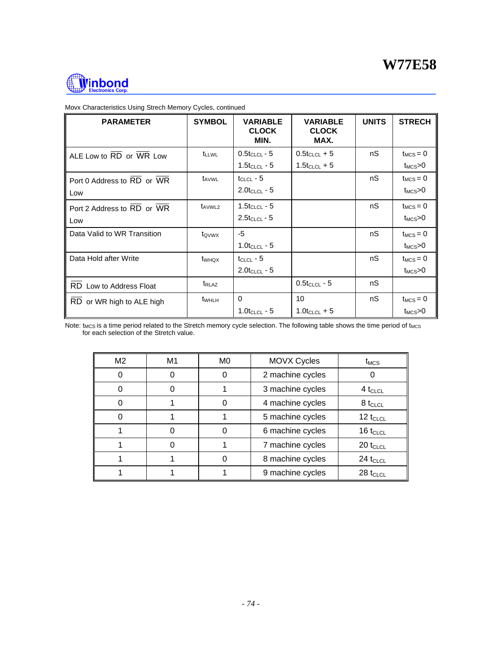

| <b>PARAMETER</b>               | <b>SYMBOL</b>     | <b>VARIABLE</b><br><b>CLOCK</b><br>MIN. | <b>VARIABLE</b><br><b>CLOCK</b><br>MAX. | <b>UNITS</b> | <b>STRECH</b>         |
|--------------------------------|-------------------|-----------------------------------------|-----------------------------------------|--------------|-----------------------|
| ALE Low to RD or WR Low        | <b>t</b> LLWL     | $0.5t_{CLCL}$ - 5                       | $0.5t_{CLCL} + 5$                       | nS           | $t_{MCS} = 0$         |
|                                |                   | $1.5$ tclcl - 5                         | $1.5$ t <sub>CLCL</sub> + 5             |              | $t_{MCS}$ $>0$        |
| Port 0 Address to RD or WR     | t <sub>AVWL</sub> | $t_{CLCL}$ - 5                          |                                         | nS           | $t_{MCS} = 0$         |
| Low                            |                   | $2.0t_{CLCL} - 5$                       |                                         |              | $t_{MCS}$ >0          |
| Port 2 Address to RD or WR     | $t_{AVWL2}$       | 1.5 $t_{CLCL}$ - 5                      |                                         | nS           | $t_{MCS} = 0$         |
| Low                            |                   | $2.5t_{CLCL} - 5$                       |                                         |              | $t_{MCS}$ >0          |
| Data Valid to WR Transition    | tovwx             | $-5$                                    |                                         | nS           | $t_{MCS} = 0$         |
|                                |                   | $1.0$ t <sub>CLCL</sub> - 5             |                                         |              | $t_{MCS}$ $\!\approx$ |
| Data Hold after Write          | t <sub>WHQX</sub> | $t_{CLCL}$ - 5                          |                                         | nS           | $t_{MCS} = 0$         |
|                                |                   | $2.0t_{CLCL} - 5$                       |                                         |              | $t_{MCS}$ >0          |
| <b>RD</b> Low to Address Float | t <sub>RLAZ</sub> |                                         | $0.5t_{CLCL}$ - 5                       | nS           |                       |
| RD or WR high to ALE high      | t <sub>WHLH</sub> | $\Omega$                                | 10                                      | nS           | $t_{MCS} = 0$         |
|                                |                   | $1.0$ t <sub>CLCL</sub> - 5             | $1.0t_{CLCL} + 5$                       |              | $t_{MCS}$ $>0$        |

Movx Characteristics Using Strech Memory Cycles, continued

Note: t<sub>MCS</sub> is a time period related to the Stretch memory cycle selection. The following table shows the time period of t<sub>MCS</sub> for each selection of the Stretch value.

| M <sub>2</sub> | M1 | M <sub>0</sub> | <b>MOVX Cycles</b> | $t_{MCS}$     |
|----------------|----|----------------|--------------------|---------------|
| 0              | 0  |                | 2 machine cycles   |               |
| 0              |    |                | 3 machine cycles   | $4t_{CLCL}$   |
| 0              |    |                | 4 machine cycles   | $8t_{CLCL}$   |
| 0              |    |                | 5 machine cycles   | 12 $t_{CLCL}$ |
|                |    |                | 6 machine cycles   | 16 $t_{CLCL}$ |
|                |    |                | 7 machine cycles   | $20 t_{CLCL}$ |
|                |    |                | 8 machine cycles   | $24 t_{CLCL}$ |
|                |    |                | 9 machine cycles   | $28 t_{CLCL}$ |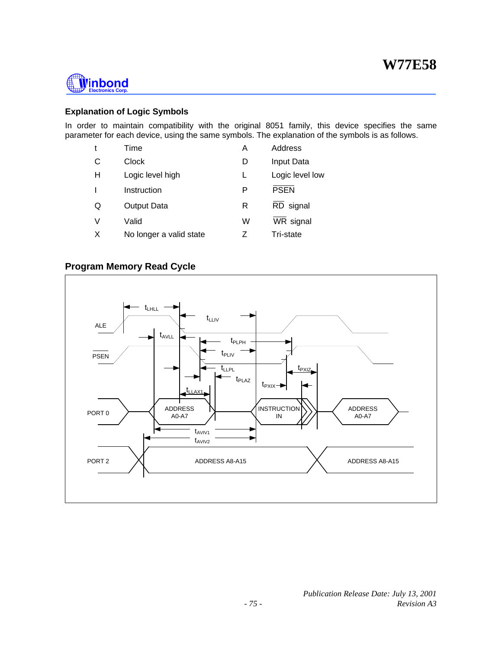

#### **Explanation of Logic Symbols**

In order to maintain compatibility with the original 8051 family, this device specifies the same parameter for each device, using the same symbols. The explanation of the symbols is as follows.

| t | Time                    | Α | Address         |
|---|-------------------------|---|-----------------|
| C | Clock                   |   | Input Data      |
| Н | Logic level high        | L | Logic level low |
|   | Instruction             | P | <b>PSEN</b>     |
| Q | Output Data             | R | RD signal       |
| V | Valid                   | W | WR signal       |
| X | No longer a valid state |   | Tri-state       |

#### **Program Memory Read Cycle**

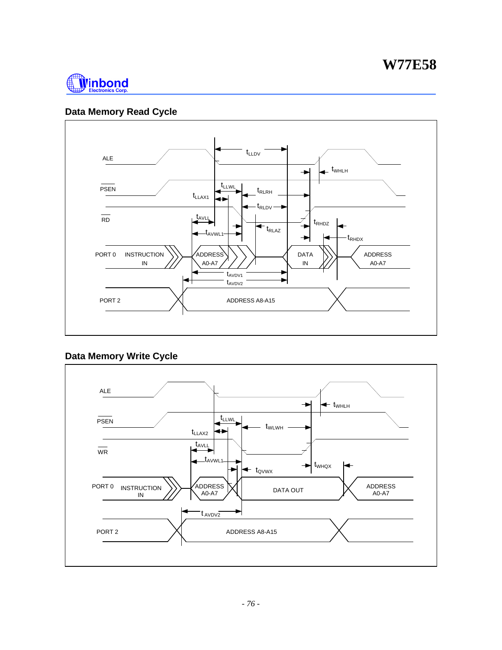

# **Data Memory Read Cycle**



# **Data Memory Write Cycle**

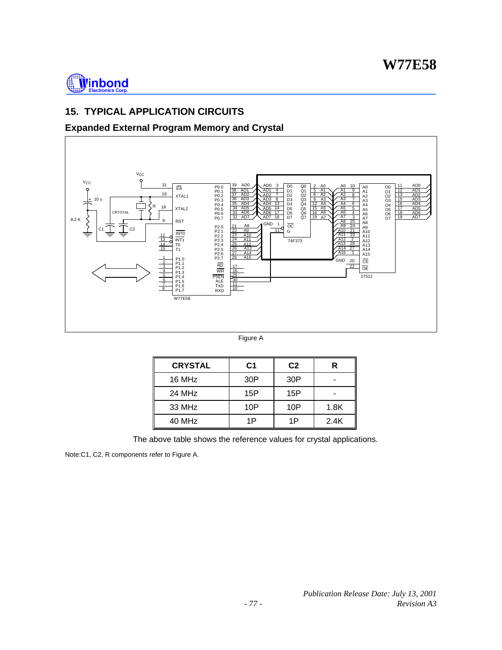

# **15. TYPICAL APPLICATION CIRCUITS**

# **Expanded External Program Memory and Crystal**



Figure A

| <b>CRYSTAL</b> | C1  | C <sub>2</sub> | R    |
|----------------|-----|----------------|------|
| 16 MHz         | 30P | 30P            |      |
| 24 MHz         | 15P | 15P            |      |
| 33 MHz         | 10P | 10P            | 1.8K |
| 40 MHz         | 1P  | 1P             | 2.4K |

The above table shows the reference values for crystal applications.

Note:C1, C2, R components refer to Figure A.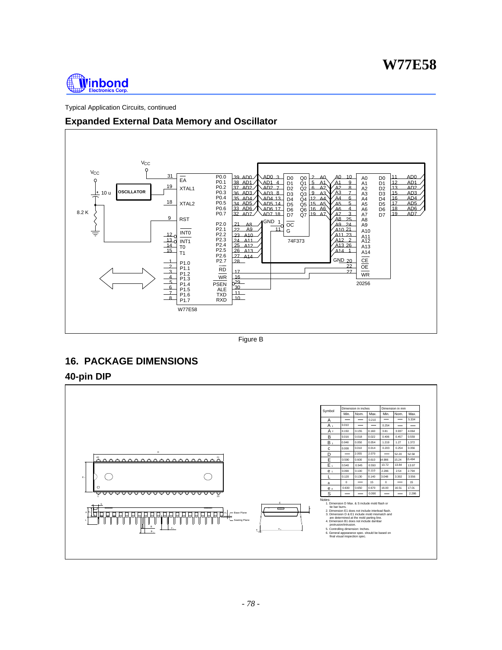

Typical Application Circuits, continued

## **Expanded External Data Memory and Oscillator**



Figure B

# **16. PACKAGE DIMENSIONS**

#### **40-pin DIP**

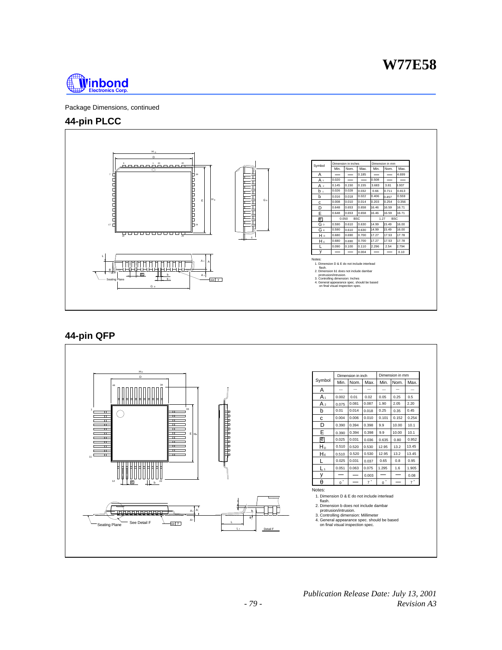

Package Dimensions, continued

#### **44-pin PLCC**



## **44-pin QFP**